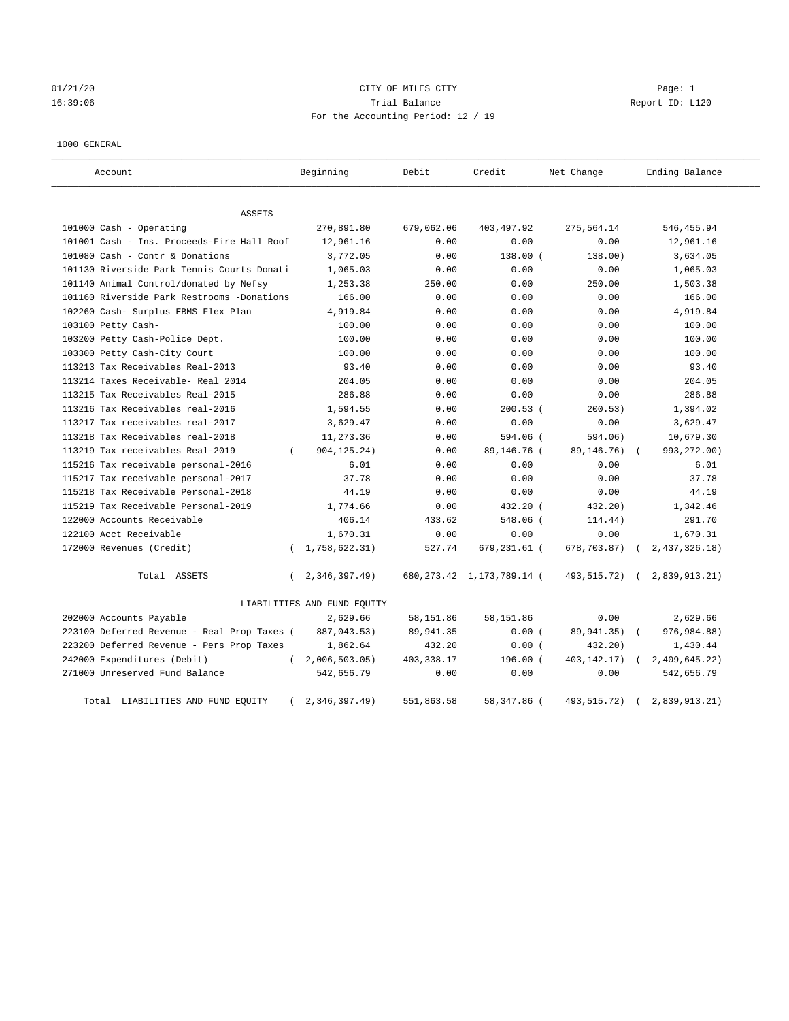## 01/21/20 CITY OF MILES CITY Page: 1 16:39:06 Trial Balance Report ID: L120 For the Accounting Period: 12 / 19

## 1000 GENERAL

| Account                                     |          | Beginning                   | Debit       | Credit                       | Net Change    | Ending Balance |
|---------------------------------------------|----------|-----------------------------|-------------|------------------------------|---------------|----------------|
| ASSETS                                      |          |                             |             |                              |               |                |
| 101000 Cash - Operating                     |          | 270,891.80                  | 679,062.06  | 403, 497.92                  | 275,564.14    | 546, 455.94    |
| 101001 Cash - Ins. Proceeds-Fire Hall Roof  |          | 12,961.16                   | 0.00        | 0.00                         | 0.00          | 12,961.16      |
| 101080 Cash - Contr & Donations             |          | 3,772.05                    | 0.00        | $138.00$ (                   | 138.00)       | 3,634.05       |
| 101130 Riverside Park Tennis Courts Donati  |          | 1,065.03                    | 0.00        | 0.00                         | 0.00          | 1,065.03       |
| 101140 Animal Control/donated by Nefsy      |          | 1,253.38                    | 250.00      | 0.00                         | 250.00        | 1,503.38       |
| 101160 Riverside Park Restrooms -Donations  |          | 166.00                      | 0.00        | 0.00                         | 0.00          | 166.00         |
| 102260 Cash- Surplus EBMS Flex Plan         |          | 4,919.84                    | 0.00        | 0.00                         | 0.00          | 4,919.84       |
| 103100 Petty Cash-                          |          | 100.00                      | 0.00        | 0.00                         | 0.00          | 100.00         |
| 103200 Petty Cash-Police Dept.              |          | 100.00                      | 0.00        | 0.00                         | 0.00          | 100.00         |
| 103300 Petty Cash-City Court                |          | 100.00                      | 0.00        | 0.00                         | 0.00          | 100.00         |
| 113213 Tax Receivables Real-2013            |          | 93.40                       | 0.00        | 0.00                         | 0.00          | 93.40          |
| 113214 Taxes Receivable- Real 2014          |          | 204.05                      | 0.00        | 0.00                         | 0.00          | 204.05         |
| 113215 Tax Receivables Real-2015            |          | 286.88                      | 0.00        | 0.00                         | 0.00          | 286.88         |
| 113216 Tax Receivables real-2016            |          | 1,594.55                    | 0.00        | $200.53$ (                   | 200.53)       | 1,394.02       |
| 113217 Tax receivables real-2017            |          | 3,629.47                    | 0.00        | 0.00                         | 0.00          | 3,629.47       |
| 113218 Tax Receivables real-2018            |          | 11,273.36                   | 0.00        | $594.06$ (                   | 594.06)       | 10,679.30      |
| 113219 Tax receivables Real-2019            | $\left($ | 904, 125. 24)               | 0.00        | 89,146.76 (                  | 89,146.76)    | 993, 272.00)   |
| 115216 Tax receivable personal-2016         |          | 6.01                        | 0.00        | 0.00                         | 0.00          | 6.01           |
| 115217 Tax receivable personal-2017         |          | 37.78                       | 0.00        | 0.00                         | 0.00          | 37.78          |
| 115218 Tax Receivable Personal-2018         |          | 44.19                       | 0.00        | 0.00                         | 0.00          | 44.19          |
| 115219 Tax Receivable Personal-2019         |          | 1,774.66                    | 0.00        | 432.20 (                     | 432.20)       | 1,342.46       |
| 122000 Accounts Receivable                  |          | 406.14                      | 433.62      | 548.06 (                     | 114.44)       | 291.70         |
| 122100 Acct Receivable                      |          | 1,670.31                    | 0.00        | 0.00                         | 0.00          | 1,670.31       |
| 172000 Revenues (Credit)                    | $\left($ | 1,758,622.31)               | 527.74      | 679,231.61 (                 | 678,703.87)   | 2,437,326.18)  |
| Total ASSETS                                | $\left($ | 2,346,397.49)               |             | 680, 273.42 1, 173, 789.14 ( | 493,515.72) ( | 2,839,913.21)  |
|                                             |          | LIABILITIES AND FUND EQUITY |             |                              |               |                |
| 202000 Accounts Payable                     |          | 2,629.66                    | 58, 151.86  | 58, 151.86                   | 0.00          | 2,629.66       |
| 223100 Deferred Revenue - Real Prop Taxes ( |          | 887,043.53)                 | 89, 941.35  | 0.00(                        | 89,941.35)    | 976,984.88)    |
| 223200 Deferred Revenue - Pers Prop Taxes   |          | 1,862.64                    | 432.20      | 0.00(                        | 432.20)       | 1,430.44       |
| 242000 Expenditures (Debit)                 | $\left($ | 2,006,503.05)               | 403, 338.17 | 196.00 (                     | 403, 142. 17) | 2,409,645.22)  |
| 271000 Unreserved Fund Balance              |          | 542,656.79                  | 0.00        | 0.00                         | 0.00          | 542,656.79     |
| Total LIABILITIES AND FUND EQUITY           |          | 2,346,397.49)               | 551,863.58  | 58,347.86 (                  | 493, 515. 72) | 2,839,913.21)  |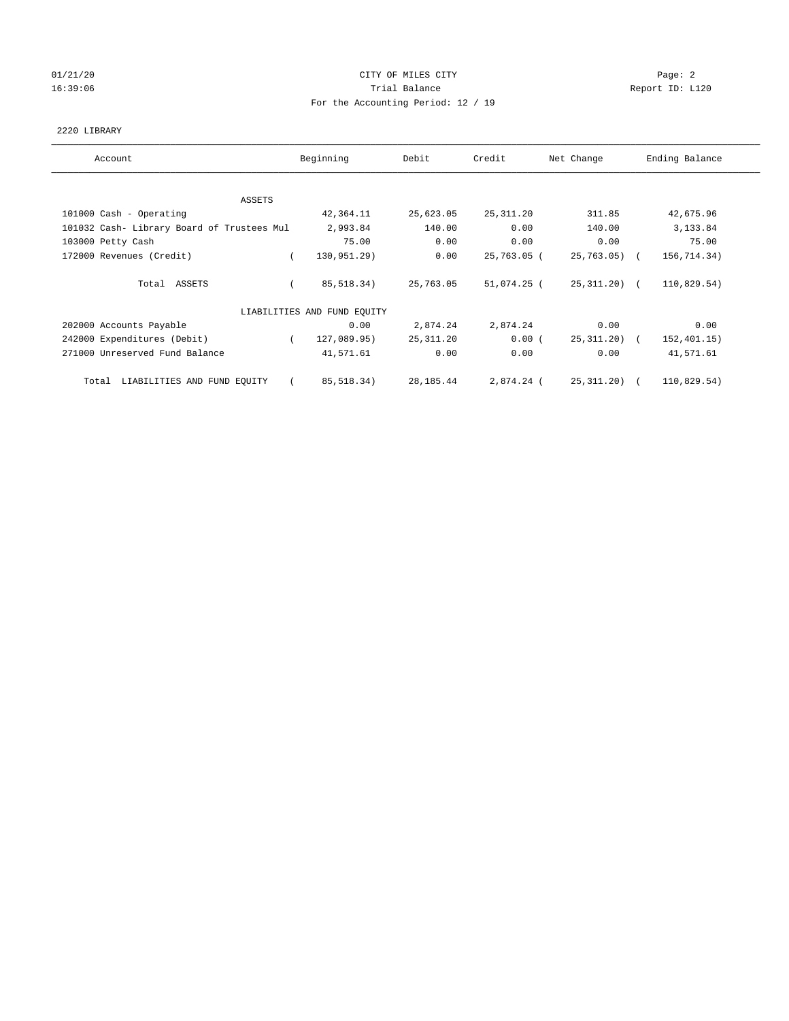# 01/21/20 **CITY OF MILES CITY CITY CITY Page: 2** 16:39:06 Trial Balance Report ID: L120 For the Accounting Period: 12 / 19

## 2220 LIBRARY

| Account                                    | Beginning                   | Debit      | Credit      | Net Change     | Ending Balance |
|--------------------------------------------|-----------------------------|------------|-------------|----------------|----------------|
| ASSETS                                     |                             |            |             |                |                |
| 101000 Cash - Operating                    | 42,364.11                   | 25,623.05  | 25, 311.20  | 311.85         | 42,675.96      |
| 101032 Cash- Library Board of Trustees Mul | 2,993.84                    | 140.00     | 0.00        | 140.00         | 3,133.84       |
| 103000 Petty Cash                          | 75.00                       | 0.00       | 0.00        | 0.00           | 75.00          |
| 172000 Revenues (Credit)                   | 130,951.29)                 | 0.00       | 25,763.05 ( | $25,763.05$ (  | 156,714.34)    |
| Total ASSETS                               | 85,518.34)                  | 25,763.05  | 51,074.25 ( | 25, 311, 20) ( | 110,829.54)    |
|                                            | LIABILITIES AND FUND EQUITY |            |             |                |                |
| 202000 Accounts Payable                    | 0.00                        | 2,874.24   | 2,874.24    | 0.00           | 0.00           |
| 242000 Expenditures (Debit)                | 127,089.95)<br>$\sqrt{2}$   | 25, 311.20 | 0.00(       | 25, 311, 20) ( | 152, 401.15)   |
| 271000 Unreserved Fund Balance             | 41,571.61                   | 0.00       | 0.00        | 0.00           | 41,571.61      |
| Total LIABILITIES AND FUND EQUITY          | 85,518.34)                  | 28,185.44  | 2,874.24 (  | 25,311.20) (   | 110,829.54)    |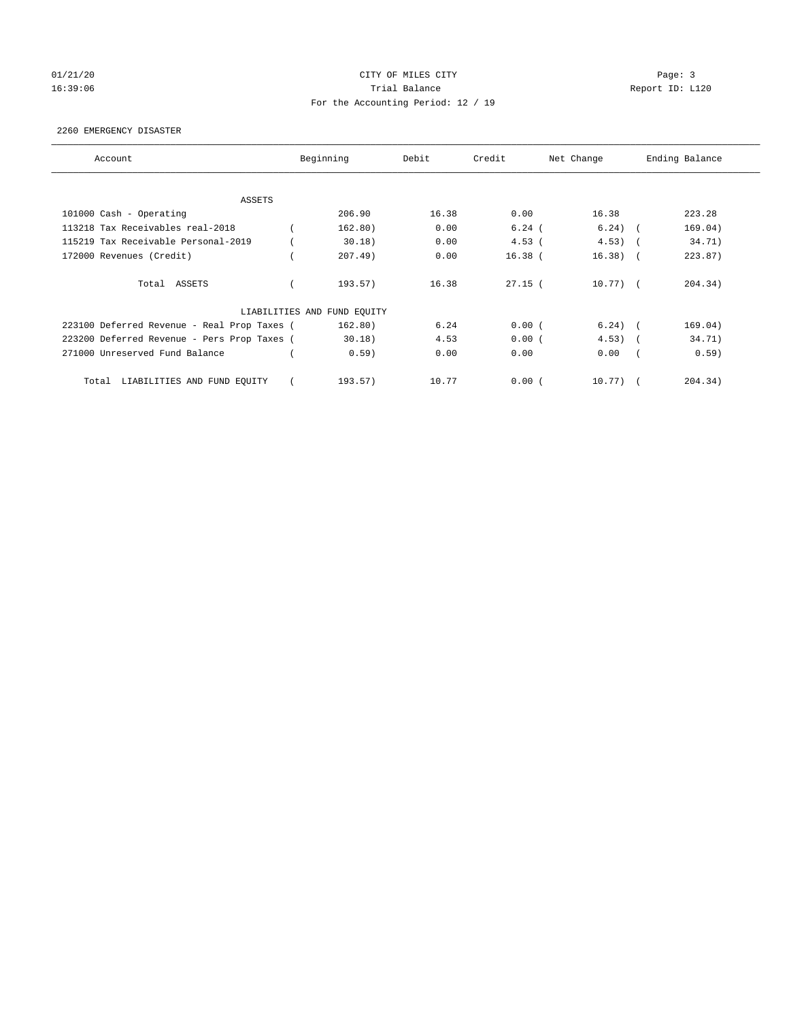# 01/21/20 Page: 3 16:39:06 Trial Balance Report ID: L120 For the Accounting Period: 12 / 19

## 2260 EMERGENCY DISASTER

| Account                                     | Beginning                   | Debit | Credit    | Net Change |            | Ending Balance |
|---------------------------------------------|-----------------------------|-------|-----------|------------|------------|----------------|
| <b>ASSETS</b>                               |                             |       |           |            |            |                |
| 101000 Cash - Operating                     | 206.90                      | 16.38 | 0.00      | 16.38      |            | 223.28         |
| 113218 Tax Receivables real-2018            | 162.80)                     | 0.00  | $6.24$ (  | $6.24)$ (  |            | 169.04)        |
| 115219 Tax Receivable Personal-2019         | 30.18)                      | 0.00  | $4.53$ (  | 4.53)      |            | 34.71)         |
| 172000 Revenues (Credit)                    | 207.49)                     | 0.00  | $16.38$ ( | 16.38)     | $\sqrt{2}$ | 223.87)        |
| Total ASSETS                                | 193.57)                     | 16.38 | $27.15$ ( | $10.77)$ ( |            | 204.34)        |
|                                             | LIABILITIES AND FUND EQUITY |       |           |            |            |                |
| 223100 Deferred Revenue - Real Prop Taxes ( | 162.80)                     | 6.24  | 0.00(     | $6.24)$ (  |            | 169.04)        |
| 223200 Deferred Revenue - Pers Prop Taxes ( | 30.18)                      | 4.53  | 0.00(     | $4.53)$ (  |            | 34.71)         |
| 271000 Unreserved Fund Balance              | 0.59)                       | 0.00  | 0.00      | 0.00       |            | 0.59)          |
| LIABILITIES AND FUND EQUITY<br>Total        | 193.57)                     | 10.77 | 0.00(     | 10.77)     |            | 204.34)        |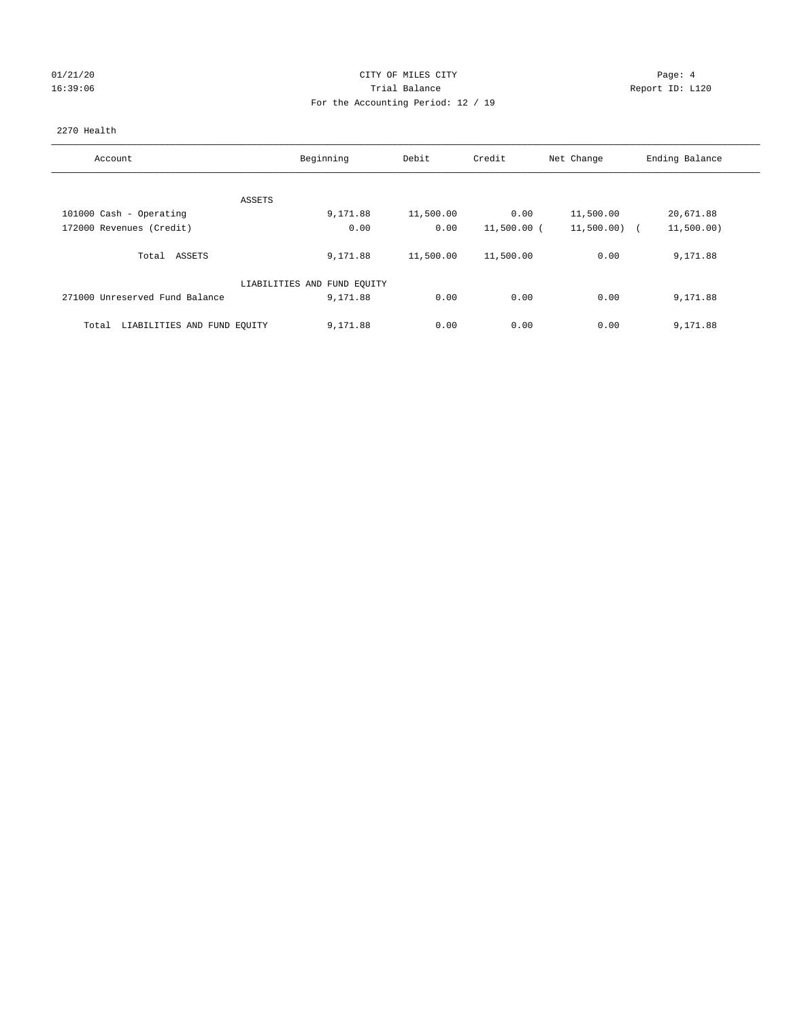# 01/21/20 Page: 4 16:39:06 Trial Balance Report ID: L120 For the Accounting Period: 12 / 19

## 2270 Health

| Account                              | Beginning                   | Debit     | Credit      | Net Change     | Ending Balance |
|--------------------------------------|-----------------------------|-----------|-------------|----------------|----------------|
|                                      |                             |           |             |                |                |
| ASSETS                               |                             |           |             |                |                |
| 101000 Cash - Operating              | 9,171.88                    | 11,500.00 | 0.00        | 11,500.00      | 20,671.88      |
| 172000 Revenues (Credit)             | 0.00                        | 0.00      | 11,500.00 ( | $11,500.00)$ ( | 11,500.00)     |
| ASSETS<br>Total                      | 9,171.88                    | 11,500.00 | 11,500.00   | 0.00           | 9,171.88       |
|                                      | LIABILITIES AND FUND EQUITY |           |             |                |                |
| 271000 Unreserved Fund Balance       | 9,171.88                    | 0.00      | 0.00        | 0.00           | 9,171.88       |
| LIABILITIES AND FUND EQUITY<br>Total | 9,171.88                    | 0.00      | 0.00        | 0.00           | 9,171.88       |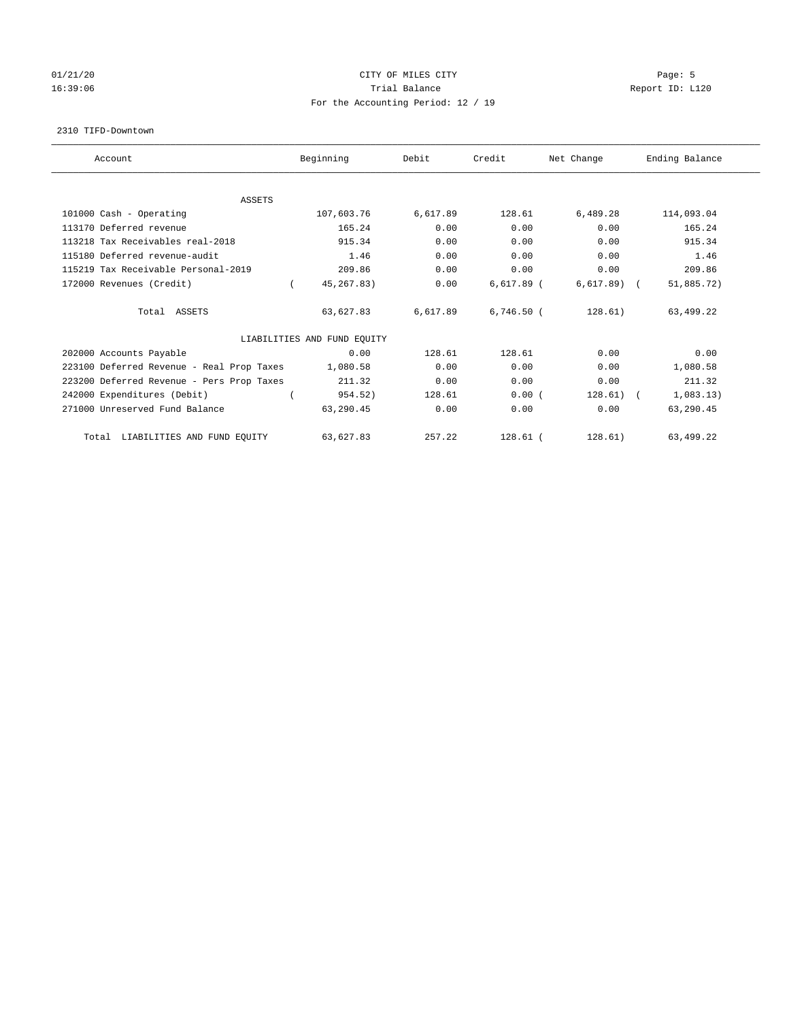## 01/21/20 Page: 5 16:39:06 Trial Balance Report ID: L120 For the Accounting Period: 12 / 19

#### 2310 TIFD-Downtown

| Account                                   | Beginning                   | Debit    | Credit       | Net Change   | Ending Balance |
|-------------------------------------------|-----------------------------|----------|--------------|--------------|----------------|
| <b>ASSETS</b>                             |                             |          |              |              |                |
| 101000 Cash - Operating                   | 107,603.76                  | 6,617.89 | 128.61       | 6,489.28     | 114,093.04     |
| 113170 Deferred revenue                   | 165.24                      | 0.00     | 0.00         | 0.00         | 165.24         |
| 113218 Tax Receivables real-2018          | 915.34                      | 0.00     | 0.00         | 0.00         | 915.34         |
| 115180 Deferred revenue-audit             | 1.46                        | 0.00     | 0.00         | 0.00         | 1.46           |
| 115219 Tax Receivable Personal-2019       | 209.86                      | 0.00     | 0.00         | 0.00         | 209.86         |
| 172000 Revenues (Credit)                  | 45, 267.83)                 | 0.00     | $6,617.89$ ( | $6,617.89$ ( | 51,885.72)     |
| Total ASSETS                              | 63,627.83                   | 6,617.89 | $6,746.50$ ( | 128.61)      | 63,499.22      |
|                                           | LIABILITIES AND FUND EQUITY |          |              |              |                |
| 202000 Accounts Payable                   | 0.00                        | 128.61   | 128.61       | 0.00         | 0.00           |
| 223100 Deferred Revenue - Real Prop Taxes | 1,080.58                    | 0.00     | 0.00         | 0.00         | 1,080.58       |
| 223200 Deferred Revenue - Pers Prop Taxes | 211.32                      | 0.00     | 0.00         | 0.00         | 211.32         |
| 242000 Expenditures (Debit)               | 954.52)                     | 128.61   | 0.00(        | $128.61)$ (  | 1,083.13)      |
| 271000 Unreserved Fund Balance            | 63,290.45                   | 0.00     | 0.00         | 0.00         | 63,290.45      |
| LIABILITIES AND FUND EQUITY<br>Total      | 63,627.83                   | 257.22   | $128.61$ (   | 128.61)      | 63,499.22      |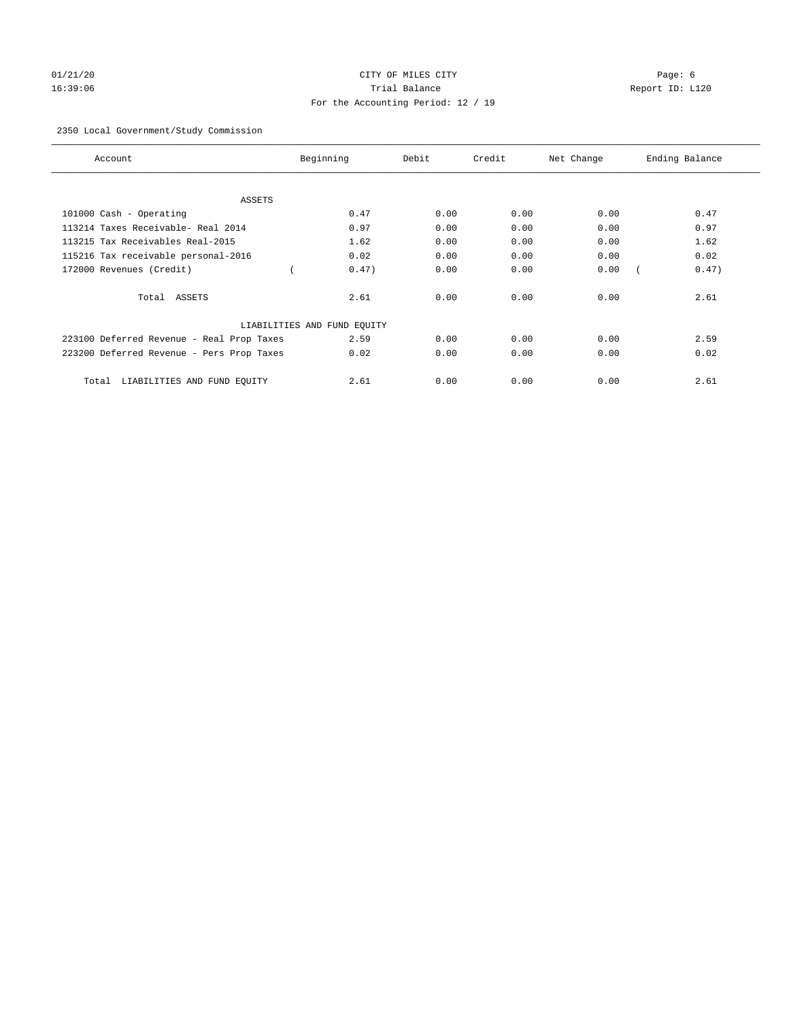# 01/21/20 Page: 6 16:39:06 Trial Balance Report ID: L120 For the Accounting Period: 12 / 19

## 2350 Local Government/Study Commission

| Account                                   | Beginning                   | Debit | Credit | Net Change | Ending Balance |
|-------------------------------------------|-----------------------------|-------|--------|------------|----------------|
| ASSETS                                    |                             |       |        |            |                |
| 101000 Cash - Operating                   | 0.47                        | 0.00  | 0.00   | 0.00       | 0.47           |
| 113214 Taxes Receivable- Real 2014        | 0.97                        | 0.00  | 0.00   | 0.00       | 0.97           |
| 113215 Tax Receivables Real-2015          | 1.62                        | 0.00  | 0.00   | 0.00       | 1.62           |
| 115216 Tax receivable personal-2016       | 0.02                        | 0.00  | 0.00   | 0.00       | 0.02           |
| 172000 Revenues (Credit)                  | 0.47)                       | 0.00  | 0.00   | 0.00       | 0.47)          |
| Total ASSETS                              | 2.61                        | 0.00  | 0.00   | 0.00       | 2.61           |
|                                           | LIABILITIES AND FUND EQUITY |       |        |            |                |
| 223100 Deferred Revenue - Real Prop Taxes | 2.59                        | 0.00  | 0.00   | 0.00       | 2.59           |
| 223200 Deferred Revenue - Pers Prop Taxes | 0.02                        | 0.00  | 0.00   | 0.00       | 0.02           |
| LIABILITIES AND FUND EQUITY<br>Total      | 2.61                        | 0.00  | 0.00   | 0.00       | 2.61           |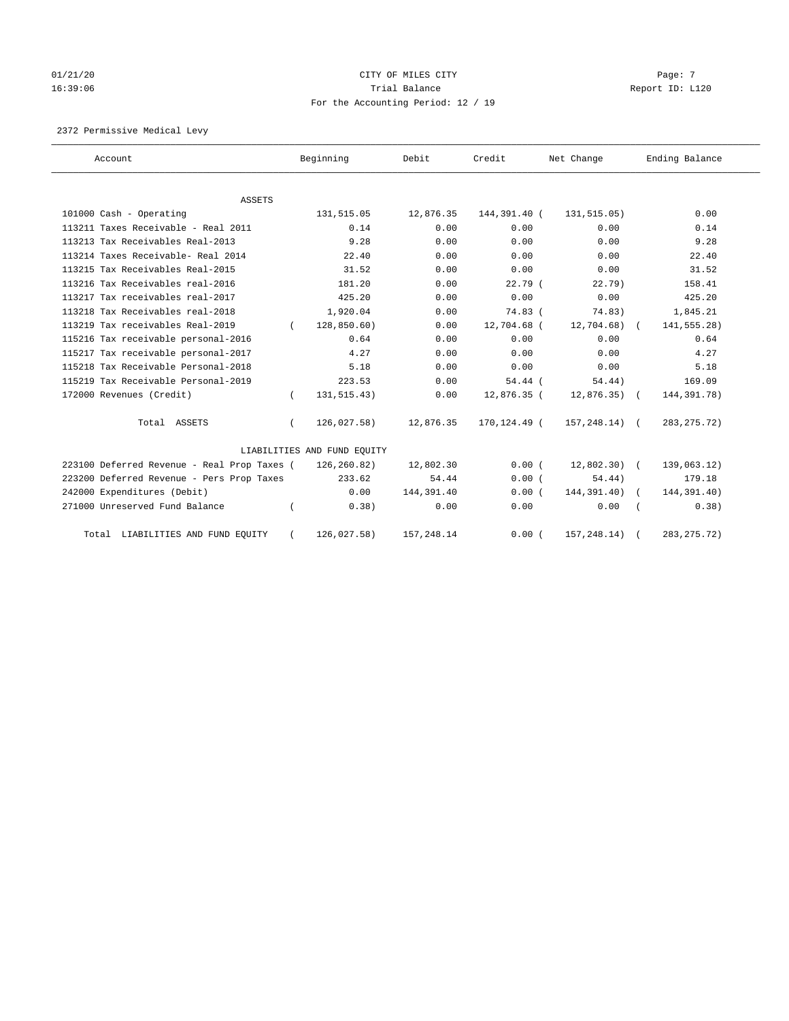# 01/21/20  $CITY$  OF MILES CITY CHECK CITY CHECK CONSTRUCT  $Page: 7$ 16:39:06 Trial Balance Report ID: L120 For the Accounting Period: 12 / 19

2372 Permissive Medical Levy

| Account                                     |          | Beginning                   | Debit       | Credit       | Net Change       | Ending Balance |
|---------------------------------------------|----------|-----------------------------|-------------|--------------|------------------|----------------|
| ASSETS                                      |          |                             |             |              |                  |                |
| 101000 Cash - Operating                     |          | 131,515.05                  | 12,876.35   | 144,391.40 ( | 131, 515.05)     | 0.00           |
| 113211 Taxes Receivable - Real 2011         |          | 0.14                        | 0.00        | 0.00         | 0.00             | 0.14           |
| 113213 Tax Receivables Real-2013            |          | 9.28                        | 0.00        | 0.00         | 0.00             | 9.28           |
| 113214 Taxes Receivable- Real 2014          |          | 22.40                       | 0.00        | 0.00         | 0.00             | 22.40          |
| 113215 Tax Receivables Real-2015            |          | 31.52                       | 0.00        | 0.00         | 0.00             | 31.52          |
| 113216 Tax Receivables real-2016            |          | 181.20                      | 0.00        | $22.79$ (    | 22.79)           | 158.41         |
| 113217 Tax receivables real-2017            |          | 425.20                      | 0.00        | 0.00         | 0.00             | 425.20         |
| 113218 Tax Receivables real-2018            |          | 1,920.04                    | 0.00        | $74.83$ (    | 74.83)           | 1,845.21       |
| 113219 Tax receivables Real-2019            | $\left($ | 128,850.60)                 | 0.00        | 12,704.68 (  | 12,704.68)       | 141,555.28)    |
| 115216 Tax receivable personal-2016         |          | 0.64                        | 0.00        | 0.00         | 0.00             | 0.64           |
| 115217 Tax receivable personal-2017         |          | 4.27                        | 0.00        | 0.00         | 0.00             | 4.27           |
| 115218 Tax Receivable Personal-2018         |          | 5.18                        | 0.00        | 0.00         | 0.00             | 5.18           |
| 115219 Tax Receivable Personal-2019         |          | 223.53                      | 0.00        | $54.44$ (    | 54.44)           | 169.09         |
| 172000 Revenues (Credit)                    | $\left($ | 131, 515. 43)               | 0.00        | 12,876.35 (  | $12,876.35$ (    | 144,391.78)    |
| Total ASSETS                                | $\left($ | 126,027.58)                 | 12,876.35   | 170,124.49 ( | $157, 248.14)$ ( | 283, 275. 72)  |
|                                             |          | LIABILITIES AND FUND EQUITY |             |              |                  |                |
| 223100 Deferred Revenue - Real Prop Taxes ( |          | 126,260.82)                 | 12,802.30   | 0.00(        | $12,802,30$ (    | 139,063.12)    |
| 223200 Deferred Revenue - Pers Prop Taxes   |          | 233.62                      | 54.44       | 0.00(        | 54.44)           | 179.18         |
| 242000 Expenditures (Debit)                 |          | 0.00                        | 144, 391.40 | 0.00(        | 144,391.40)      | 144,391.40)    |
| 271000 Unreserved Fund Balance              |          | 0.38)                       | 0.00        | 0.00         | 0.00             | 0.38)          |
| Total LIABILITIES AND FUND EQUITY           |          | 126,027.58)                 | 157,248.14  | 0.00(        | 157, 248.14)     | 283, 275. 72)  |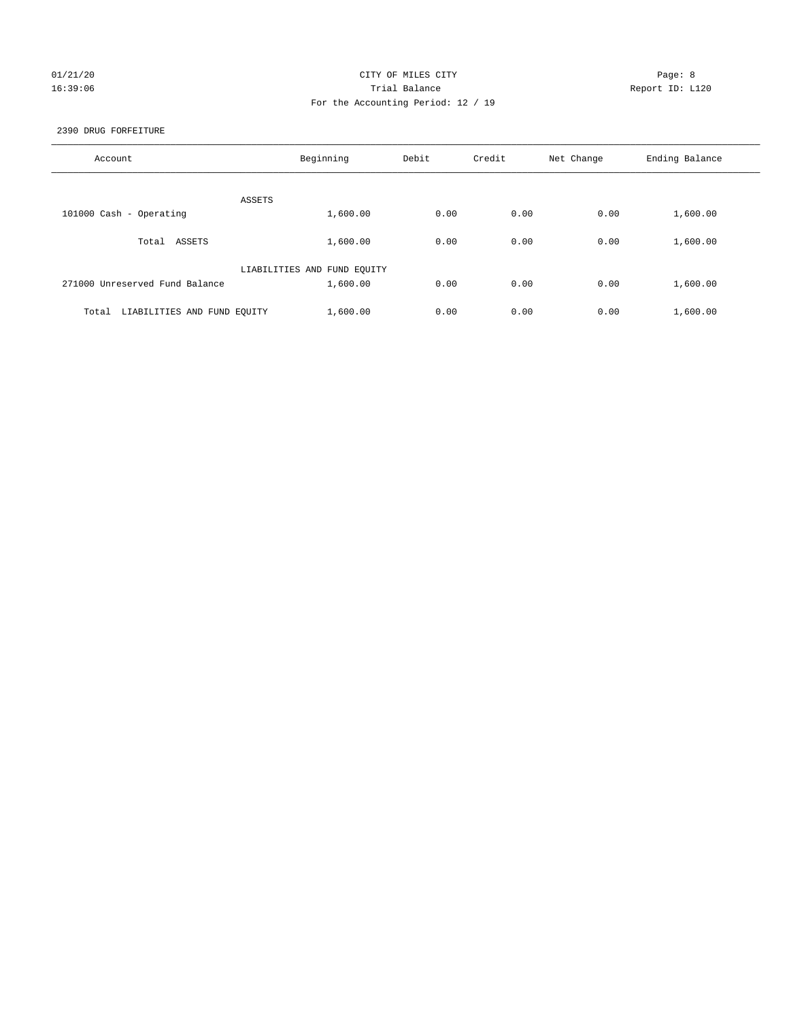## 01/21/20 Page: 8 16:39:06 Trial Balance Report ID: L120 For the Accounting Period: 12 / 19

## 2390 DRUG FORFEITURE

| Account                              | Beginning                   | Debit | Credit | Net Change | Ending Balance |
|--------------------------------------|-----------------------------|-------|--------|------------|----------------|
| ASSETS                               |                             |       |        |            |                |
| 101000 Cash - Operating              | 1,600.00                    | 0.00  | 0.00   | 0.00       | 1,600.00       |
| Total ASSETS                         | 1,600.00                    | 0.00  | 0.00   | 0.00       | 1,600.00       |
|                                      | LIABILITIES AND FUND EQUITY |       |        |            |                |
| 271000 Unreserved Fund Balance       | 1,600.00                    | 0.00  | 0.00   | 0.00       | 1,600.00       |
| LIABILITIES AND FUND EQUITY<br>Total | 1,600.00                    | 0.00  | 0.00   | 0.00       | 1,600.00       |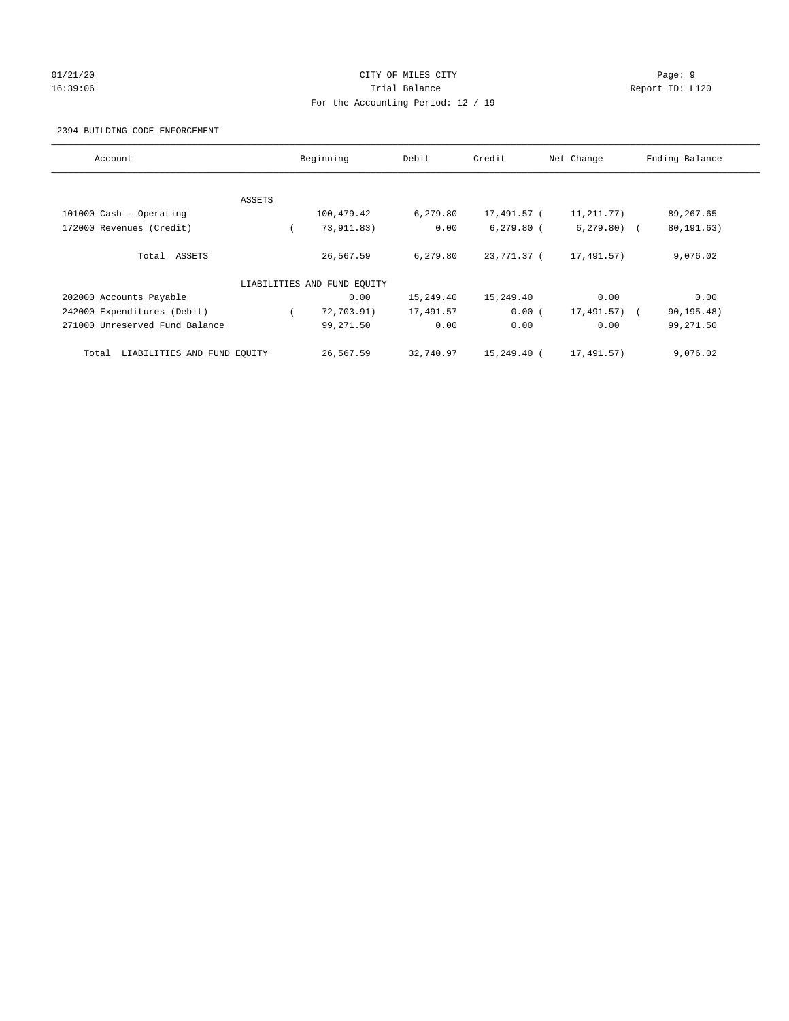# 01/21/20 Page: 9 16:39:06 Trial Balance Report ID: L120 For the Accounting Period: 12 / 19

## 2394 BUILDING CODE ENFORCEMENT

| Account                              |        | Beginning                   | Debit     | Credit       | Net Change    | Ending Balance |
|--------------------------------------|--------|-----------------------------|-----------|--------------|---------------|----------------|
|                                      |        |                             |           |              |               |                |
|                                      | ASSETS |                             |           |              |               |                |
| 101000 Cash - Operating              |        | 100,479.42                  | 6,279.80  | 17,491.57 (  | 11,211.77)    | 89,267.65      |
| 172000 Revenues (Credit)             |        | 73,911.83)                  | 0.00      | $6,279.80$ ( | $6, 279.80$ ( | 80, 191.63)    |
| Total ASSETS                         |        | 26,567.59                   | 6.279.80  | 23,771.37 (  | 17,491.57)    | 9,076.02       |
|                                      |        | LIABILITIES AND FUND EQUITY |           |              |               |                |
| 202000 Accounts Payable              |        | 0.00                        | 15,249.40 | 15,249.40    | 0.00          | 0.00           |
| 242000 Expenditures (Debit)          |        | 72,703.91)                  | 17,491.57 | 0.00(        | 17,491.57) (  | 90, 195.48)    |
| 271000 Unreserved Fund Balance       |        | 99,271.50                   | 0.00      | 0.00         | 0.00          | 99,271.50      |
| LIABILITIES AND FUND EQUITY<br>Total |        | 26,567.59                   | 32,740.97 | 15,249.40 (  | 17,491.57)    | 9,076.02       |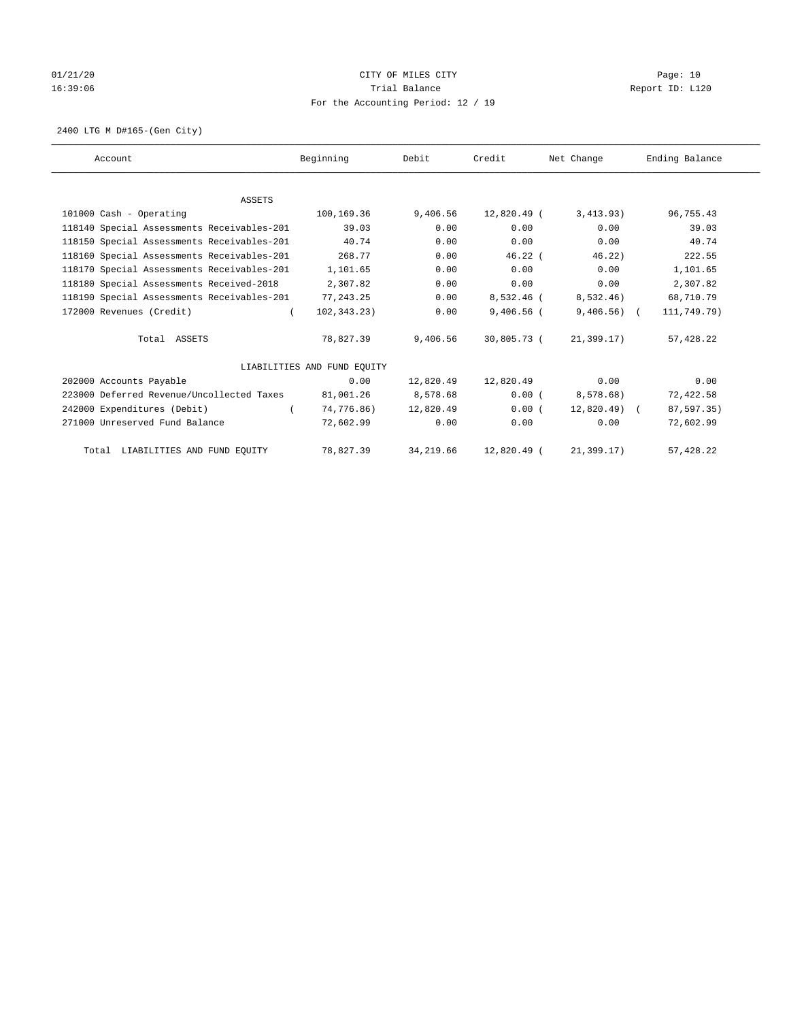# 01/21/20 Page: 10 16:39:06 Trial Balance Report ID: L120 For the Accounting Period: 12 / 19

2400 LTG M D#165-(Gen City)

| Account                                    | Beginning                   | Debit     | Credit       | Net Change    | Ending Balance |
|--------------------------------------------|-----------------------------|-----------|--------------|---------------|----------------|
|                                            |                             |           |              |               |                |
| <b>ASSETS</b>                              |                             |           |              |               |                |
| 101000 Cash - Operating                    | 100,169.36                  | 9,406.56  | 12,820.49 (  | 3,413.93)     | 96,755.43      |
| 118140 Special Assessments Receivables-201 | 39.03                       | 0.00      | 0.00         | 0.00          | 39.03          |
| 118150 Special Assessments Receivables-201 | 40.74                       | 0.00      | 0.00         | 0.00          | 40.74          |
| 118160 Special Assessments Receivables-201 | 268.77                      | 0.00      | $46.22$ (    | 46.22)        | 222.55         |
| 118170 Special Assessments Receivables-201 | 1,101.65                    | 0.00      | 0.00         | 0.00          | 1,101.65       |
| 118180 Special Assessments Received-2018   | 2,307.82                    | 0.00      | 0.00         | 0.00          | 2,307.82       |
| 118190 Special Assessments Receivables-201 | 77, 243.25                  | 0.00      | 8,532.46 (   | 8,532.46)     | 68,710.79      |
| 172000 Revenues (Credit)                   | 102, 343, 23)               | 0.00      | $9,406.56$ ( | $9,406.56$ (  | 111,749.79)    |
| Total ASSETS                               | 78,827.39                   | 9,406.56  | 30,805.73 (  | 21,399.17)    | 57,428.22      |
|                                            | LIABILITIES AND FUND EQUITY |           |              |               |                |
| 202000 Accounts Payable                    | 0.00                        | 12,820.49 | 12,820.49    | 0.00          | 0.00           |
| 223000 Deferred Revenue/Uncollected Taxes  | 81,001.26                   | 8,578.68  | 0.00(        | 8,578.68)     | 72,422.58      |
| 242000 Expenditures (Debit)                | 74,776.86)                  | 12,820.49 | 0.00(        | $12,820.49$ ( | 87,597.35)     |
| 271000 Unreserved Fund Balance             | 72,602.99                   | 0.00      | 0.00         | 0.00          | 72,602.99      |
| Total LIABILITIES AND FUND EQUITY          | 78,827.39                   | 34,219.66 | 12,820.49 (  | 21, 399.17)   | 57,428.22      |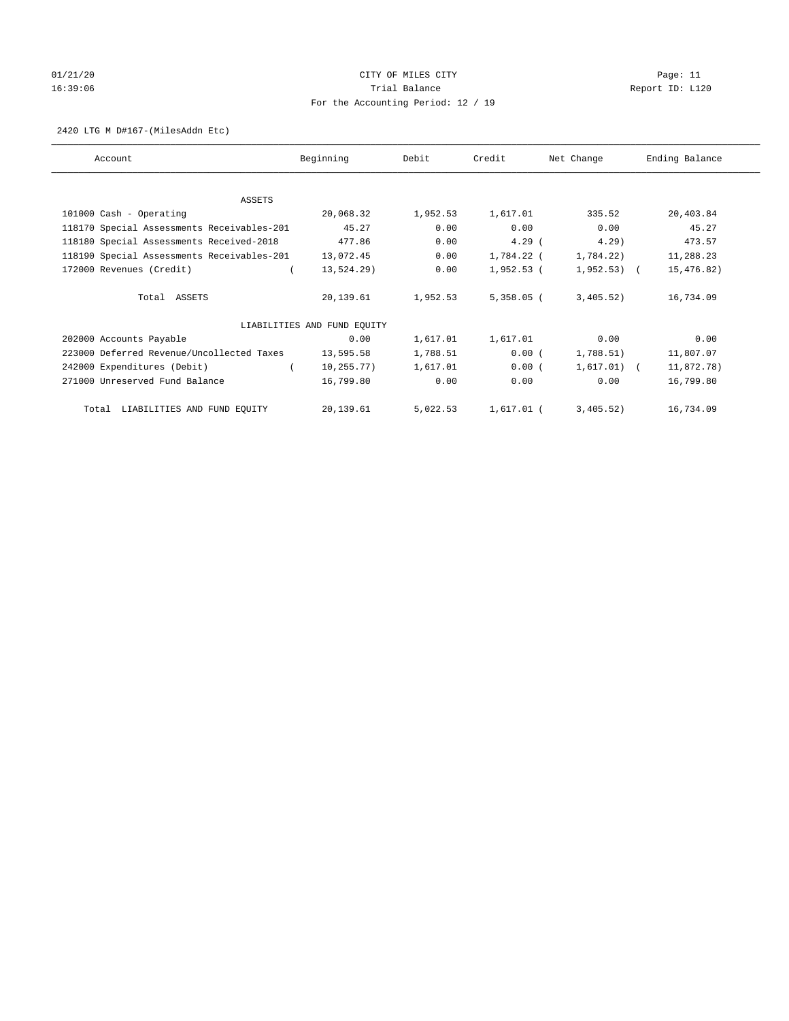# 01/21/20 Page: 11 16:39:06 Trial Balance Report ID: L120 For the Accounting Period: 12 / 19

#### 2420 LTG M D#167-(MilesAddn Etc)

| Account                                    | Beginning                   | Debit    | Credit       | Net Change    | Ending Balance |
|--------------------------------------------|-----------------------------|----------|--------------|---------------|----------------|
|                                            |                             |          |              |               |                |
| ASSETS                                     |                             |          |              |               |                |
| 101000 Cash - Operating                    | 20,068.32                   | 1,952.53 | 1,617.01     | 335.52        | 20,403.84      |
| 118170 Special Assessments Receivables-201 | 45.27                       | 0.00     | 0.00         | 0.00          | 45.27          |
| 118180 Special Assessments Received-2018   | 477.86                      | 0.00     | $4.29$ (     | 4.29          | 473.57         |
| 118190 Special Assessments Receivables-201 | 13,072.45                   | 0.00     | 1,784.22 (   | 1,784.22)     | 11,288.23      |
| 172000 Revenues (Credit)                   | 13,524.29)                  | 0.00     | 1,952.53 (   | $1,952.53$ (  | 15,476.82)     |
| Total ASSETS                               | 20,139.61                   | 1,952.53 | $5,358.05$ ( | 3,405.52)     | 16,734.09      |
|                                            | LIABILITIES AND FUND EQUITY |          |              |               |                |
| 202000 Accounts Payable                    | 0.00                        | 1,617.01 | 1,617.01     | 0.00          | 0.00           |
| 223000 Deferred Revenue/Uncollected Taxes  | 13,595.58                   | 1,788.51 | 0.00(        | 1,788.51)     | 11,807.07      |
| 242000 Expenditures (Debit)                | 10,255.77)                  | 1,617.01 | 0.00(        | $1,617.01)$ ( | 11,872.78)     |
| 271000 Unreserved Fund Balance             | 16,799.80                   | 0.00     | 0.00         | 0.00          | 16,799.80      |
| Total LIABILITIES AND FUND EQUITY          | 20,139.61                   | 5,022.53 | 1,617.01 (   | 3,405.52)     | 16,734.09      |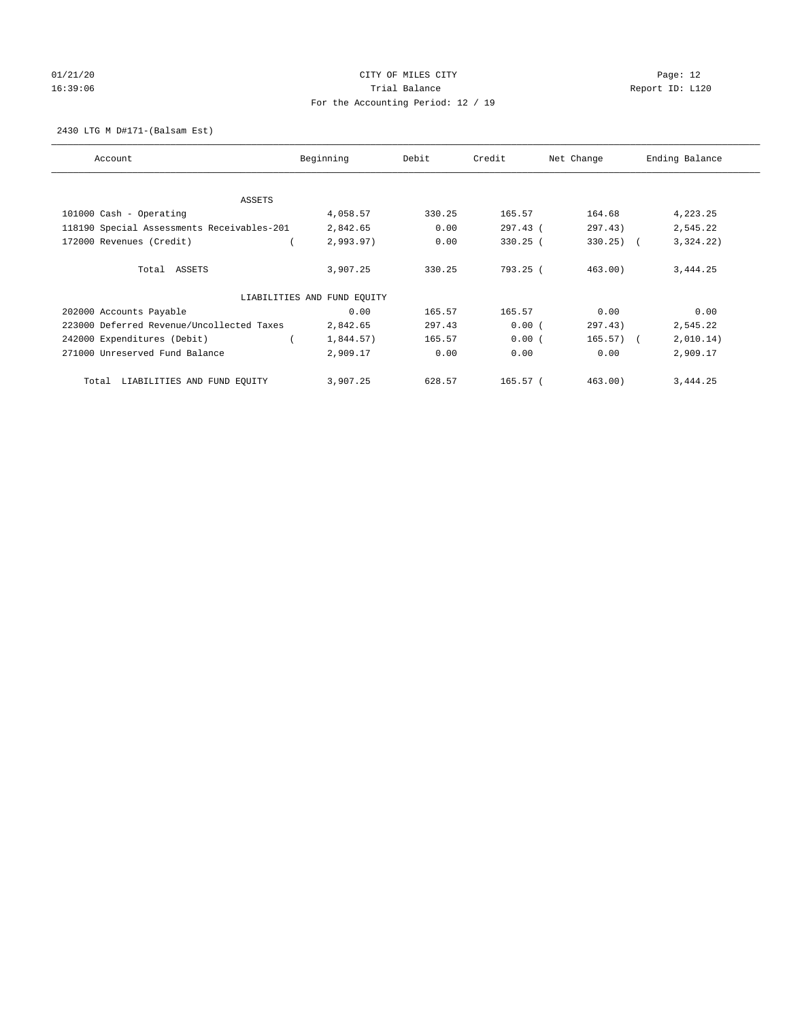# $01/21/20$  Page: 12 16:39:06 Channel Report ID: L120 For the Accounting Period: 12 / 19

2430 LTG M D#171-(Balsam Est)

| Account                                    | Beginning                   | Debit  | Credit     | Net Change   | Ending Balance |
|--------------------------------------------|-----------------------------|--------|------------|--------------|----------------|
| ASSETS                                     |                             |        |            |              |                |
| 101000 Cash - Operating                    | 4,058.57                    | 330.25 | 165.57     | 164.68       | 4,223.25       |
| 118190 Special Assessments Receivables-201 | 2,842.65                    | 0.00   | 297.43 (   | 297.43)      | 2,545.22       |
| 172000 Revenues (Credit)                   | 2,993.97)                   | 0.00   | $330.25$ ( | $330.25$ ) ( | 3,324.22)      |
| Total ASSETS                               | 3,907.25                    | 330.25 | 793.25 (   | 463.00)      | 3,444.25       |
|                                            | LIABILITIES AND FUND EQUITY |        |            |              |                |
| 202000 Accounts Payable                    | 0.00                        | 165.57 | 165.57     | 0.00         | 0.00           |
| 223000 Deferred Revenue/Uncollected Taxes  | 2,842.65                    | 297.43 | 0.00(      | 297.43)      | 2,545.22       |
| 242000 Expenditures (Debit)                | 1,844.57)                   | 165.57 | 0.00(      | $165.57$ ) ( | 2,010.14)      |
| 271000 Unreserved Fund Balance             | 2,909.17                    | 0.00   | 0.00       | 0.00         | 2,909.17       |
| LIABILITIES AND FUND EQUITY<br>Total       | 3,907.25                    | 628.57 | $165.57$ ( | 463.00       | 3,444.25       |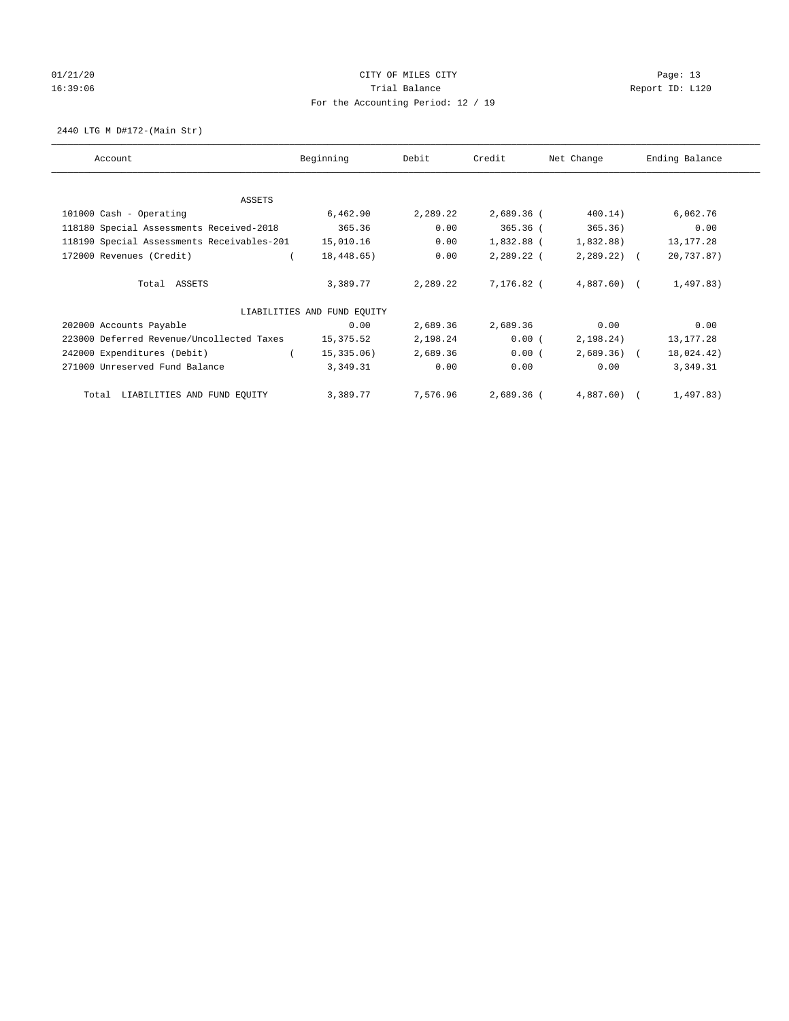# $01/21/20$  Page: 13 16:39:06 Channel Report ID: L120 For the Accounting Period: 12 / 19

2440 LTG M D#172-(Main Str)

| Account                                    | Beginning                   | Debit    | Credit     | Net Change   | Ending Balance |
|--------------------------------------------|-----------------------------|----------|------------|--------------|----------------|
| <b>ASSETS</b>                              |                             |          |            |              |                |
| 101000 Cash - Operating                    | 6,462.90                    | 2,289.22 | 2,689.36 ( | 400.14)      | 6,062.76       |
| 118180 Special Assessments Received-2018   | 365.36                      | 0.00     | $365.36$ ( | 365.36)      | 0.00           |
| 118190 Special Assessments Receivables-201 | 15,010.16                   | 0.00     | 1,832.88 ( | 1,832.88)    | 13, 177. 28    |
| 172000 Revenues (Credit)                   | 18,448.65)                  | 0.00     | 2,289.22 ( | $2,289.22$ ( | 20,737.87)     |
|                                            |                             |          |            |              |                |
| Total ASSETS                               | 3,389.77                    | 2,289.22 | 7,176.82 ( | $4,887.60$ ( | 1,497.83)      |
|                                            | LIABILITIES AND FUND EQUITY |          |            |              |                |
| 202000 Accounts Payable                    | 0.00                        | 2,689.36 | 2,689.36   | 0.00         | 0.00           |
| 223000 Deferred Revenue/Uncollected Taxes  | 15,375.52                   | 2,198.24 | 0.00(      | 2,198.24)    | 13, 177. 28    |
| 242000 Expenditures (Debit)                | 15, 335.06)                 | 2,689.36 | 0.00(      | $2,689.36$ ( | 18,024.42)     |
| 271000 Unreserved Fund Balance             | 3,349.31                    | 0.00     | 0.00       | 0.00         | 3,349.31       |
| LIABILITIES AND FUND EQUITY<br>Total       | 3,389.77                    | 7,576.96 | 2,689.36 ( | $4,887.60$ ( | 1,497.83)      |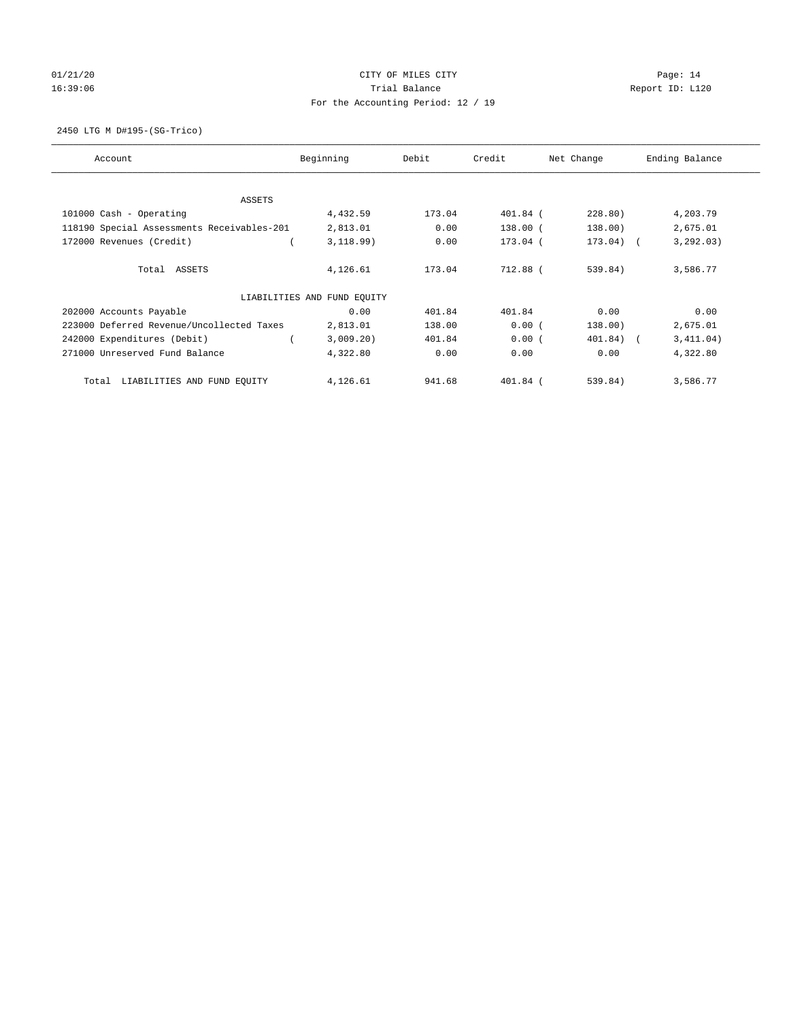# $01/21/20$  Page: 14 16:39:06 Report ID: L120 For the Accounting Period: 12 / 19

2450 LTG M D#195-(SG-Trico)

| Account                                    | Beginning                   | Debit  | Credit   | Net Change  | Ending Balance |
|--------------------------------------------|-----------------------------|--------|----------|-------------|----------------|
| ASSETS                                     |                             |        |          |             |                |
| 101000 Cash - Operating                    | 4,432.59                    | 173.04 | 401.84 ( | 228.80)     | 4,203.79       |
| 118190 Special Assessments Receivables-201 | 2,813.01                    | 0.00   | 138.00 ( | 138.00)     | 2,675.01       |
| 172000 Revenues (Credit)                   | 3,118.99)                   | 0.00   | 173.04 ( | $173.04)$ ( | 3, 292.03)     |
| Total ASSETS                               | 4,126.61                    | 173.04 | 712.88 ( | 539.84)     | 3,586.77       |
|                                            | LIABILITIES AND FUND EQUITY |        |          |             |                |
| 202000 Accounts Payable                    | 0.00                        | 401.84 | 401.84   | 0.00        | 0.00           |
| 223000 Deferred Revenue/Uncollected Taxes  | 2,813.01                    | 138.00 | 0.00(    | 138.00)     | 2,675.01       |
| 242000 Expenditures (Debit)                | 3,009.20)                   | 401.84 | 0.00(    | 401.84) (   | 3,411.04)      |
| 271000 Unreserved Fund Balance             | 4,322.80                    | 0.00   | 0.00     | 0.00        | 4,322.80       |
| LIABILITIES AND FUND EQUITY<br>Total       | 4,126.61                    | 941.68 | 401.84 ( | 539.84)     | 3,586.77       |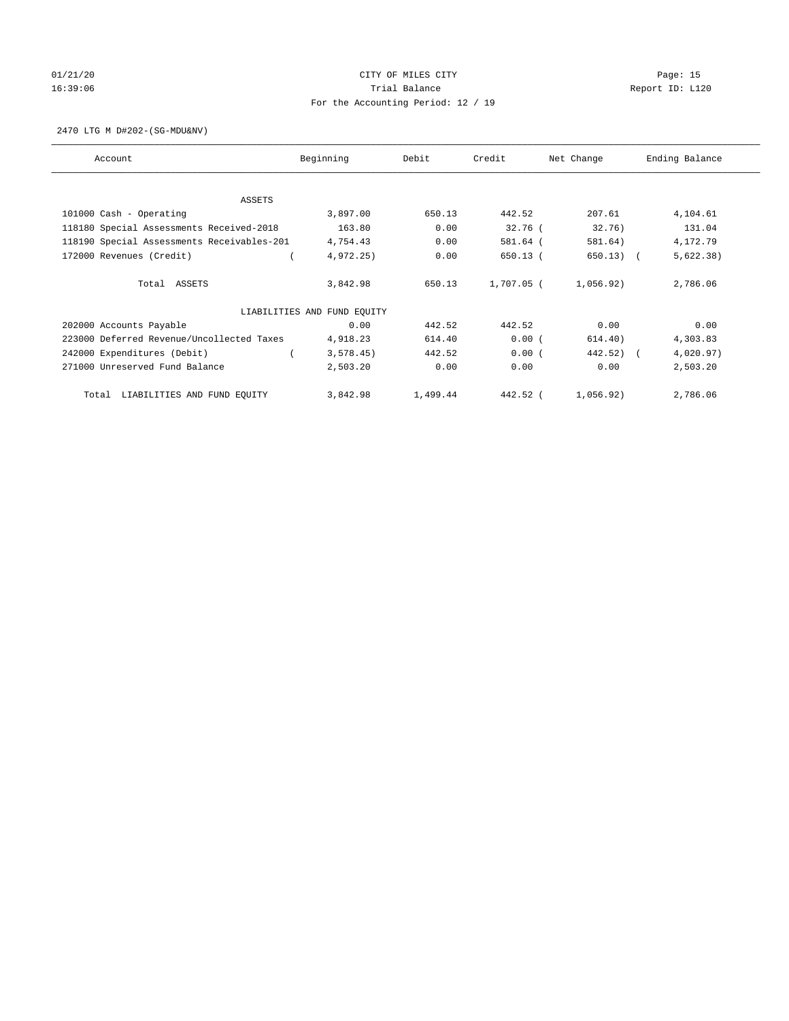# 01/21/20 Page: 15 16:39:06 Trial Balance Report ID: L120 For the Accounting Period: 12 / 19

2470 LTG M D#202-(SG-MDU&NV)

| Account                                    | Beginning                   | Debit    | Credit     | Net Change | Ending Balance |
|--------------------------------------------|-----------------------------|----------|------------|------------|----------------|
| <b>ASSETS</b>                              |                             |          |            |            |                |
| 101000 Cash - Operating                    | 3,897.00                    | 650.13   | 442.52     | 207.61     | 4,104.61       |
| 118180 Special Assessments Received-2018   | 163.80                      | 0.00     | $32.76$ (  | 32.76)     | 131.04         |
| 118190 Special Assessments Receivables-201 | 4,754.43                    | 0.00     | 581.64 (   | 581.64)    | 4,172.79       |
| 172000 Revenues (Credit)                   | 4,972.25                    | 0.00     | $650.13$ ( | 650.13)    | 5,622.38)      |
| Total ASSETS                               | 3,842.98                    | 650.13   | 1,707.05 ( | 1,056.92)  | 2,786.06       |
|                                            | LIABILITIES AND FUND EQUITY |          |            |            |                |
| 202000 Accounts Payable                    | 0.00                        | 442.52   | 442.52     | 0.00       | 0.00           |
| 223000 Deferred Revenue/Uncollected Taxes  | 4,918.23                    | 614.40   | 0.00(      | 614.40)    | 4,303.83       |
| 242000 Expenditures (Debit)                | 3,578.45)                   | 442.52   | 0.00(      | 442.52)    | 4,020.97)      |
| 271000 Unreserved Fund Balance             | 2,503.20                    | 0.00     | 0.00       | 0.00       | 2,503.20       |
| LIABILITIES AND FUND EQUITY<br>Total       | 3,842.98                    | 1,499.44 | 442.52 (   | 1,056.92)  | 2,786.06       |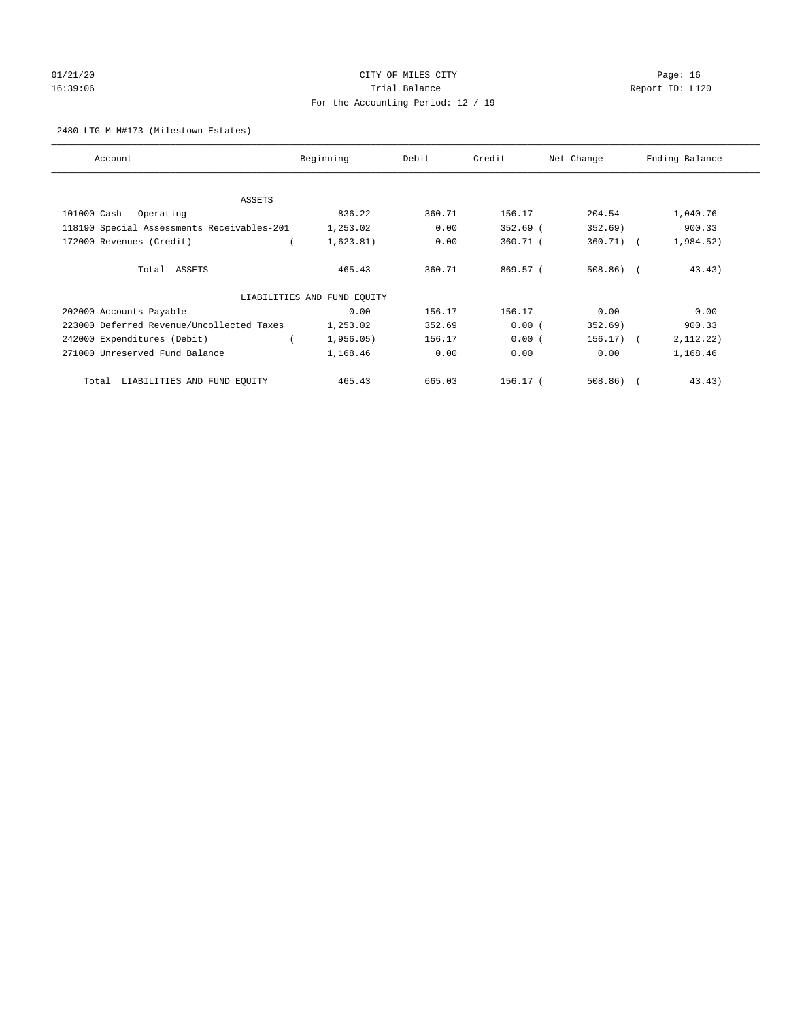# 01/21/20 Page: 16 16:39:06 Trial Balance Report ID: L120 For the Accounting Period: 12 / 19

## 2480 LTG M M#173-(Milestown Estates)

| Account                                    | Beginning                   | Debit  | Credit     | Net Change   | Ending Balance |
|--------------------------------------------|-----------------------------|--------|------------|--------------|----------------|
|                                            |                             |        |            |              |                |
| ASSETS                                     |                             | 360.71 | 156.17     | 204.54       |                |
| 101000 Cash - Operating                    | 836.22                      |        |            |              | 1,040.76       |
| 118190 Special Assessments Receivables-201 | 1,253.02                    | 0.00   | $352.69$ ( | 352.69)      | 900.33         |
| 172000 Revenues (Credit)                   | 1,623.81)                   | 0.00   | $360.71$ ( | $360.71$ (   | 1,984.52)      |
| Total ASSETS                               | 465.43                      | 360.71 | 869.57 (   | $508.86$ ) ( | 43.43)         |
|                                            | LIABILITIES AND FUND EQUITY |        |            |              |                |
| 202000 Accounts Payable                    | 0.00                        | 156.17 | 156.17     | 0.00         | 0.00           |
| 223000 Deferred Revenue/Uncollected Taxes  | 1,253.02                    | 352.69 | 0.00(      | 352.69)      | 900.33         |
| 242000 Expenditures (Debit)                | 1,956.05)                   | 156.17 | 0.00(      | $156.17)$ (  | 2, 112.22)     |
| 271000 Unreserved Fund Balance             | 1,168.46                    | 0.00   | 0.00       | 0.00         | 1,168.46       |
| LIABILITIES AND FUND EQUITY<br>Total       | 465.43                      | 665.03 | 156.17 (   | $508.86$ ) ( | 43.43)         |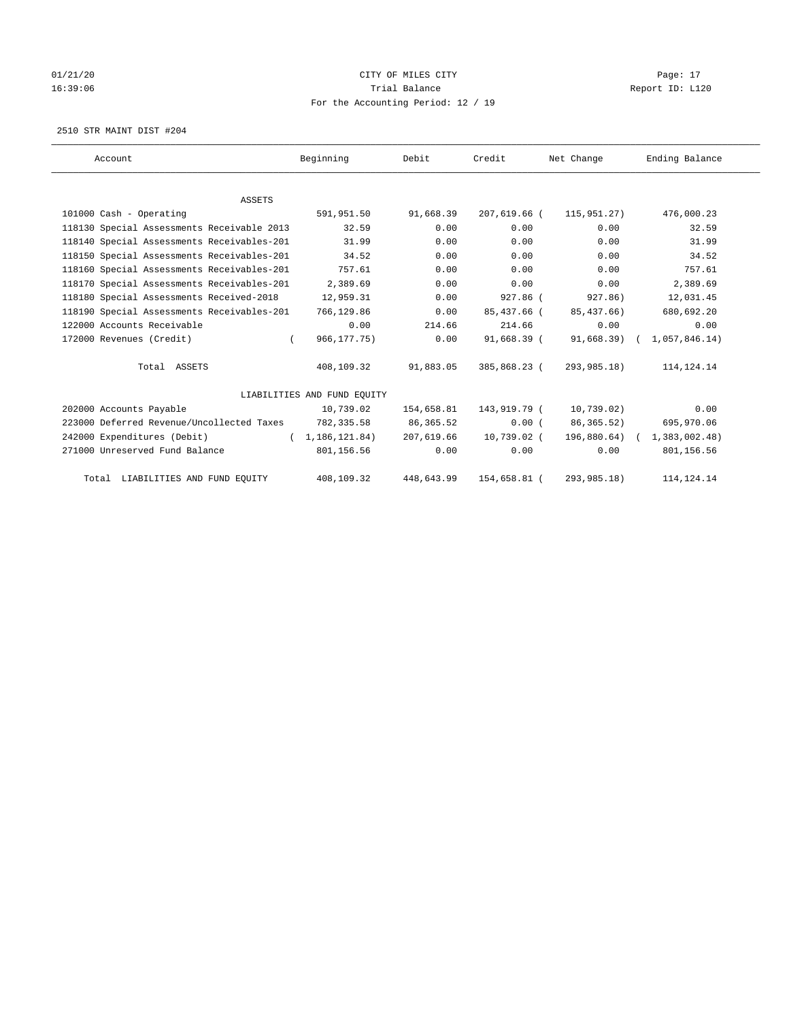# $01/21/20$  Page: 17 16:39:06 Channel Report ID: L120 For the Accounting Period: 12 / 19

2510 STR MAINT DIST #204

| Account                                    | Beginning                   | Debit      | Credit       | Net Change     | Ending Balance |
|--------------------------------------------|-----------------------------|------------|--------------|----------------|----------------|
|                                            |                             |            |              |                |                |
| <b>ASSETS</b>                              |                             |            |              |                |                |
| 101000 Cash - Operating                    | 591,951.50                  | 91,668.39  | 207,619.66 ( | 115,951,27)    | 476,000.23     |
| 118130 Special Assessments Receivable 2013 | 32.59                       | 0.00       | 0.00         | 0.00           | 32.59          |
| 118140 Special Assessments Receivables-201 | 31.99                       | 0.00       | 0.00         | 0.00           | 31.99          |
| 118150 Special Assessments Receivables-201 | 34.52                       | 0.00       | 0.00         | 0.00           | 34.52          |
| 118160 Special Assessments Receivables-201 | 757.61                      | 0.00       | 0.00         | 0.00           | 757.61         |
| 118170 Special Assessments Receivables-201 | 2,389.69                    | 0.00       | 0.00         | 0.00           | 2,389.69       |
| 118180 Special Assessments Received-2018   | 12,959.31                   | 0.00       | 927.86 (     | 927.86)        | 12,031.45      |
| 118190 Special Assessments Receivables-201 | 766,129.86                  | 0.00       | 85,437.66 (  | 85, 437, 66)   | 680,692.20     |
| 122000 Accounts Receivable                 | 0.00                        | 214.66     | 214.66       | 0.00           | 0.00           |
| 172000 Revenues (Credit)                   | 966, 177, 75)               | 0.00       | 91,668.39 (  | 91,668.39)     | 1,057,846.14)  |
| Total ASSETS                               | 408,109.32                  | 91,883.05  | 385,868.23 ( | 293,985.18)    | 114, 124. 14   |
|                                            | LIABILITIES AND FUND EQUITY |            |              |                |                |
| 202000 Accounts Payable                    | 10,739.02                   | 154,658.81 | 143,919.79 ( | 10,739.02)     | 0.00           |
| 223000 Deferred Revenue/Uncollected Taxes  | 782,335.58                  | 86,365.52  | 0.00(        | 86, 365.52)    | 695,970.06     |
| 242000 Expenditures (Debit)                | (1, 186, 121, 84)           | 207,619.66 | 10,739.02 (  | $196,880.64$ ( | 1,383,002.48)  |
| 271000 Unreserved Fund Balance             | 801,156.56                  | 0.00       | 0.00         | 0.00           | 801,156.56     |
| Total LIABILITIES AND FUND EQUITY          | 408,109.32                  | 448,643.99 | 154,658.81 ( | 293,985.18)    | 114, 124. 14   |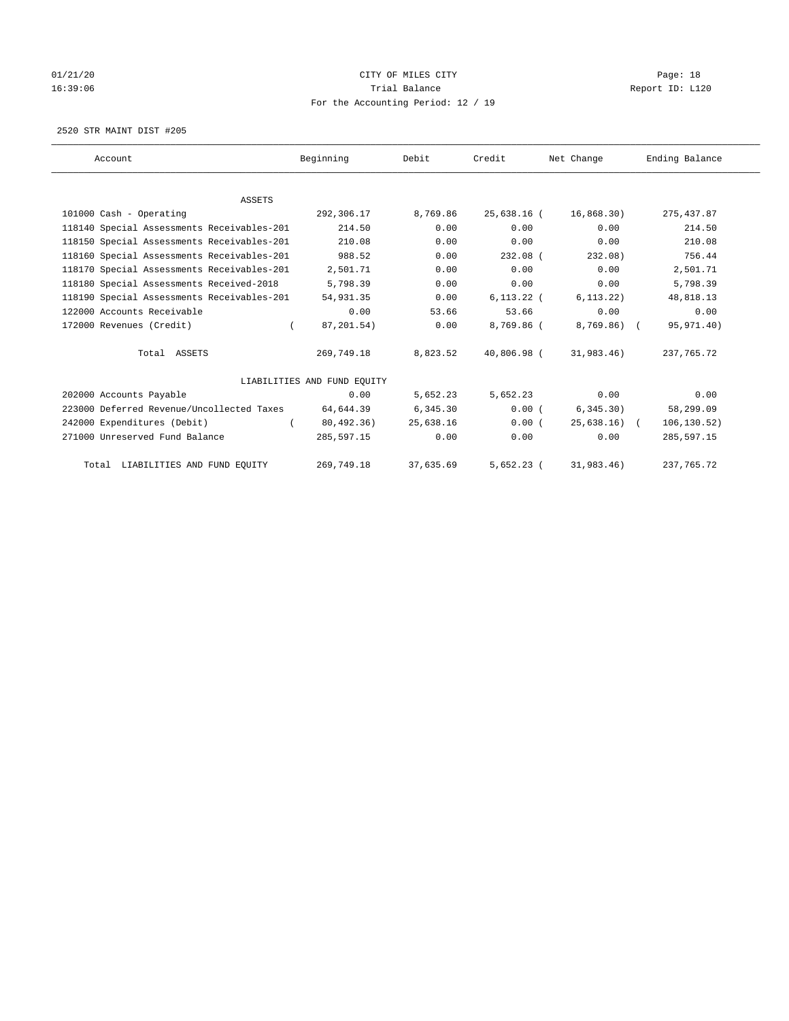# 01/21/20 Page: 18 16:39:06 Channel Report ID: L120 For the Accounting Period: 12 / 19

2520 STR MAINT DIST #205

| Account                                    | Beginning                   | Debit     | Credit       | Net Change    | Ending Balance |
|--------------------------------------------|-----------------------------|-----------|--------------|---------------|----------------|
|                                            |                             |           |              |               |                |
| <b>ASSETS</b>                              |                             |           |              |               |                |
| 101000 Cash - Operating                    | 292,306.17                  | 8,769.86  | 25,638.16 (  | 16,868.30)    | 275, 437.87    |
| 118140 Special Assessments Receivables-201 | 214.50                      | 0.00      | 0.00         | 0.00          | 214.50         |
| 118150 Special Assessments Receivables-201 | 210.08                      | 0.00      | 0.00         | 0.00          | 210.08         |
| 118160 Special Assessments Receivables-201 | 988.52                      | 0.00      | $232.08$ (   | 232.08)       | 756.44         |
| 118170 Special Assessments Receivables-201 | 2,501.71                    | 0.00      | 0.00         | 0.00          | 2,501.71       |
| 118180 Special Assessments Received-2018   | 5,798.39                    | 0.00      | 0.00         | 0.00          | 5,798.39       |
| 118190 Special Assessments Receivables-201 | 54,931.35                   | 0.00      | $6.113.22$ ( | 6, 113, 22)   | 48,818.13      |
| 122000 Accounts Receivable                 | 0.00                        | 53.66     | 53.66        | 0.00          | 0.00           |
| 172000 Revenues (Credit)                   | 87,201.54)<br>$\left($      | 0.00      | 8,769.86 (   | $8,769.86$ (  | 95,971.40)     |
| Total ASSETS                               | 269,749.18                  | 8,823.52  | 40,806.98 (  | 31,983.46)    | 237,765.72     |
|                                            | LIABILITIES AND FUND EQUITY |           |              |               |                |
| 202000 Accounts Payable                    | 0.00                        | 5,652.23  | 5,652.23     | 0.00          | 0.00           |
| 223000 Deferred Revenue/Uncollected Taxes  | 64,644.39                   | 6,345.30  | 0.00(        | 6, 345.30)    | 58,299.09      |
| 242000 Expenditures (Debit)                | 80,492.36)                  | 25,638.16 | 0.00(        | $25,638.16$ ( | 106,130.52)    |
| 271000 Unreserved Fund Balance             | 285,597.15                  | 0.00      | 0.00         | 0.00          | 285,597.15     |
| Total LIABILITIES AND FUND EQUITY          | 269,749.18                  | 37,635.69 | $5,652.23$ ( | 31,983.46)    | 237, 765. 72   |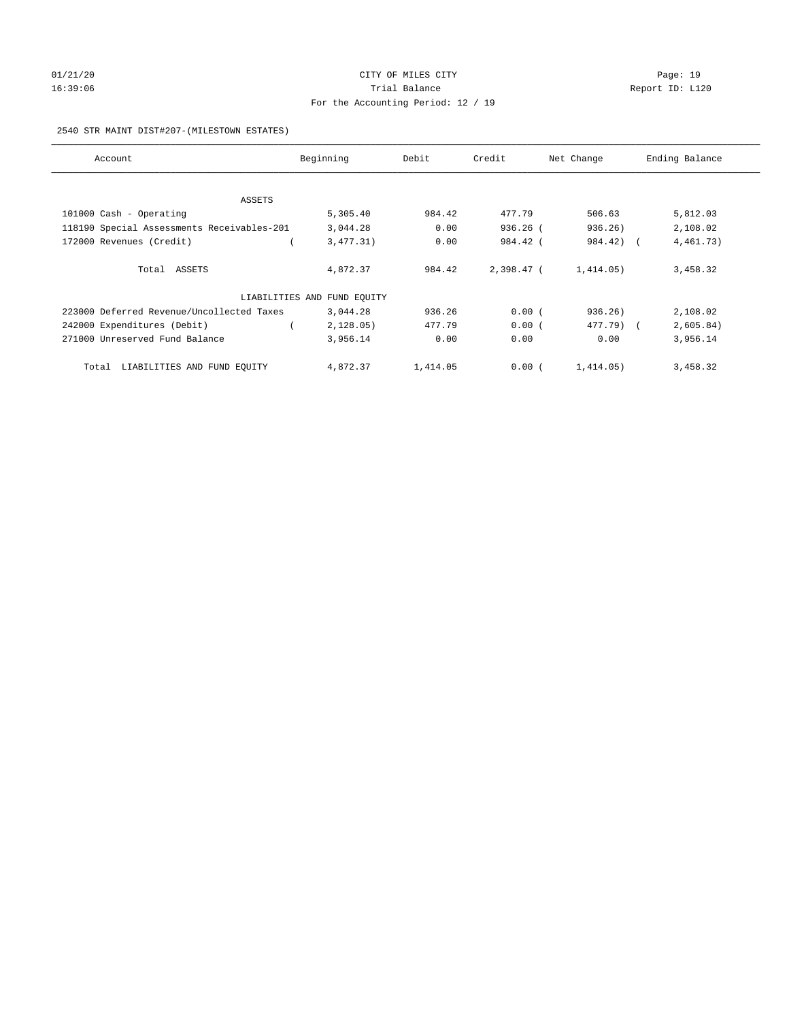# 01/21/20 Page: 19 16:39:06 Channel Report ID: L120 For the Accounting Period: 12 / 19

## 2540 STR MAINT DIST#207-(MILESTOWN ESTATES)

| Account                                    | Beginning                   | Debit    | Credit       | Net Change | Ending Balance |
|--------------------------------------------|-----------------------------|----------|--------------|------------|----------------|
|                                            |                             |          |              |            |                |
| ASSETS                                     |                             |          |              |            |                |
| 101000 Cash - Operating                    | 5,305.40                    | 984.42   | 477.79       | 506.63     | 5,812.03       |
| 118190 Special Assessments Receivables-201 | 3,044.28                    | 0.00     | $936.26$ (   | 936.26)    | 2,108.02       |
| 172000 Revenues (Credit)                   | 3,477.31)                   | 0.00     | 984.42 (     | 984.42) (  | 4, 461. 73)    |
| Total ASSETS                               | 4,872.37                    | 984.42   | $2.398.47$ ( | 1,414.05)  | 3,458.32       |
|                                            | LIABILITIES AND FUND EQUITY |          |              |            |                |
| 223000 Deferred Revenue/Uncollected Taxes  | 3,044.28                    | 936.26   | 0.00(        | 936.26)    | 2,108.02       |
| 242000 Expenditures (Debit)                | 2,128.05)                   | 477.79   | 0.00(        | 477.79) (  | 2,605.84)      |
| 271000 Unreserved Fund Balance             | 3,956.14                    | 0.00     | 0.00         | 0.00       | 3,956.14       |
| LIABILITIES AND FUND EQUITY<br>Total       | 4,872.37                    | 1,414.05 | 0.00(        | 1,414.05)  | 3,458.32       |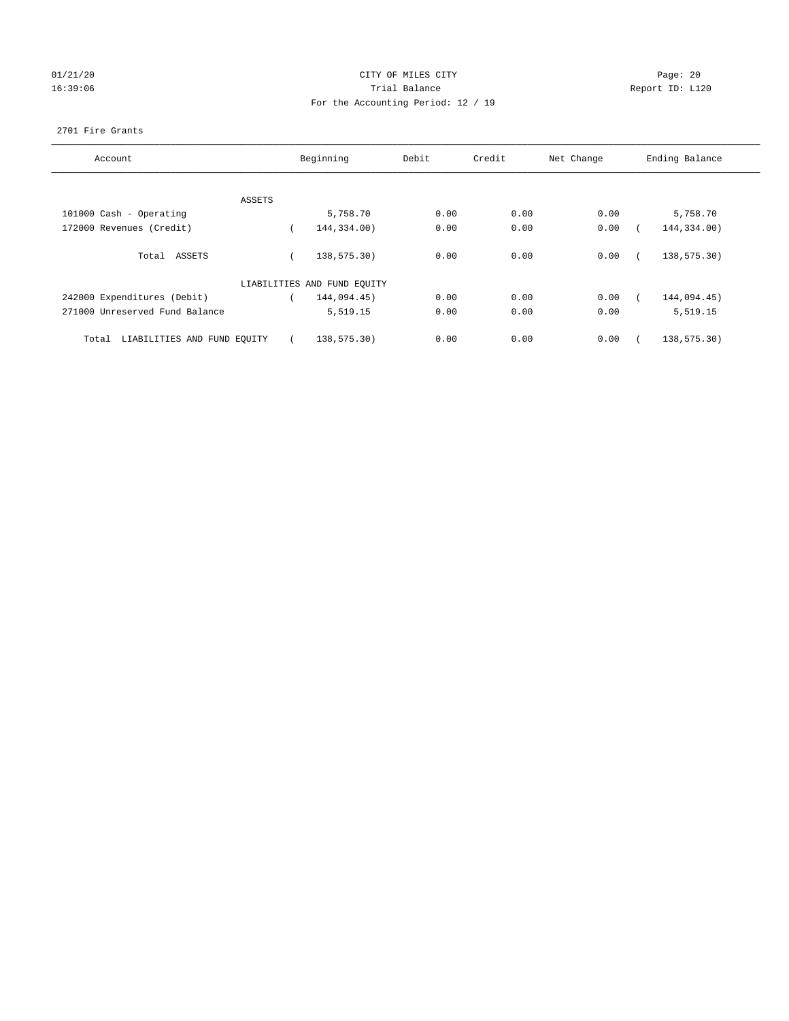# 01/21/20 Page: 20 16:39:06 Trial Balance Report ID: L120 For the Accounting Period: 12 / 19

## 2701 Fire Grants

| Account                              |        | Beginning                   | Debit | Credit | Net Change | Ending Balance |
|--------------------------------------|--------|-----------------------------|-------|--------|------------|----------------|
|                                      |        |                             |       |        |            |                |
|                                      |        |                             |       |        |            |                |
|                                      | ASSETS |                             |       |        |            |                |
| 101000 Cash - Operating              |        | 5,758.70                    | 0.00  | 0.00   | 0.00       | 5,758.70       |
| 172000 Revenues (Credit)             |        | 144,334.00)                 | 0.00  | 0.00   | 0.00       | 144,334.00)    |
| Total ASSETS                         |        | 138,575.30)                 | 0.00  | 0.00   | 0.00       | 138,575.30)    |
|                                      |        |                             |       |        |            |                |
|                                      |        | LIABILITIES AND FUND EQUITY |       |        |            |                |
| 242000 Expenditures (Debit)          |        | 144,094.45)                 | 0.00  | 0.00   | 0.00       | 144,094.45)    |
| 271000 Unreserved Fund Balance       |        | 5,519.15                    | 0.00  | 0.00   | 0.00       | 5,519.15       |
| LIABILITIES AND FUND EQUITY<br>Total |        | 138,575.30)                 | 0.00  | 0.00   | 0.00       | 138,575.30)    |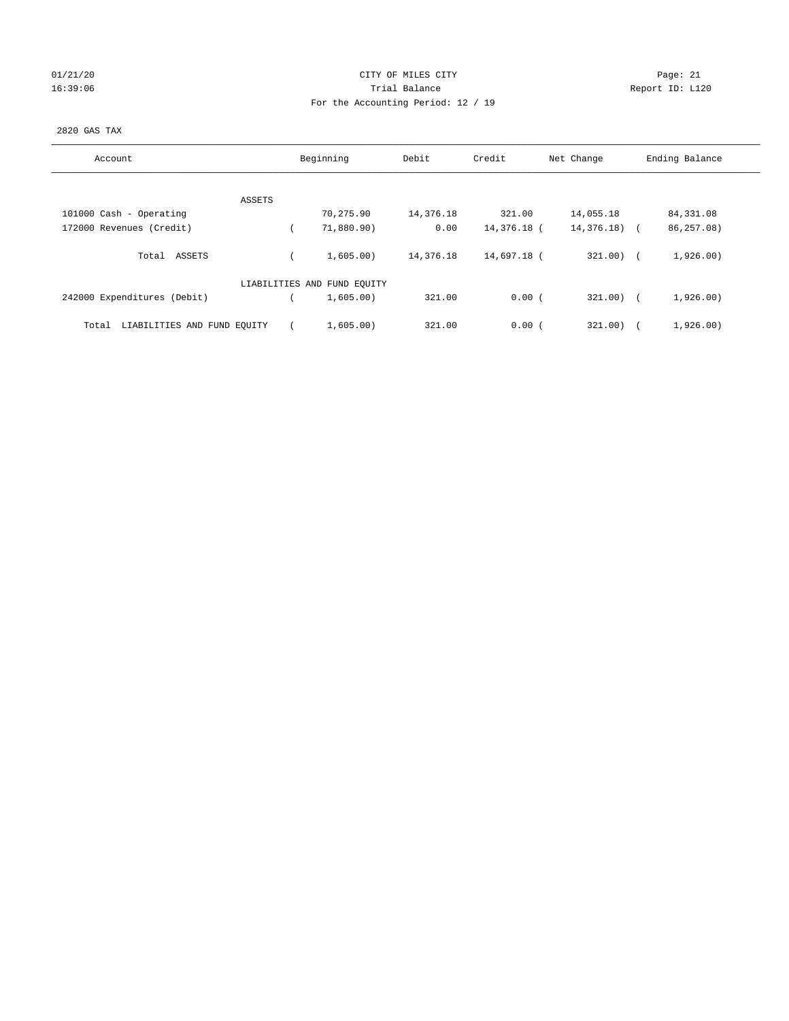## 01/21/20 Page: 21 16:39:06 Trial Balance Report ID: L120 For the Accounting Period: 12 / 19

## 2820 GAS TAX

| Account                              |        | Beginning                   | Debit     | Credit      | Net Change    | Ending Balance |
|--------------------------------------|--------|-----------------------------|-----------|-------------|---------------|----------------|
|                                      |        |                             |           |             |               |                |
|                                      | ASSETS |                             |           |             |               |                |
| 101000 Cash - Operating              |        | 70,275.90                   | 14,376.18 | 321.00      | 14,055.18     | 84,331.08      |
| 172000 Revenues (Credit)             |        | 71,880.90)                  | 0.00      | 14,376.18 ( | $14,376.18$ ( | 86,257.08)     |
| Total ASSETS                         |        | 1,605.00)                   | 14,376.18 | 14,697.18 ( | 321.00)       | 1,926.00)      |
|                                      |        | LIABILITIES AND FUND EQUITY |           |             |               |                |
| 242000 Expenditures (Debit)          |        | 1,605.00)                   | 321.00    | 0.00(       | $321.00$ (    | 1,926.00)      |
| LIABILITIES AND FUND EQUITY<br>Total |        | 1,605.00)                   | 321.00    | 0.00(       | 321.00)       | 1,926.00)      |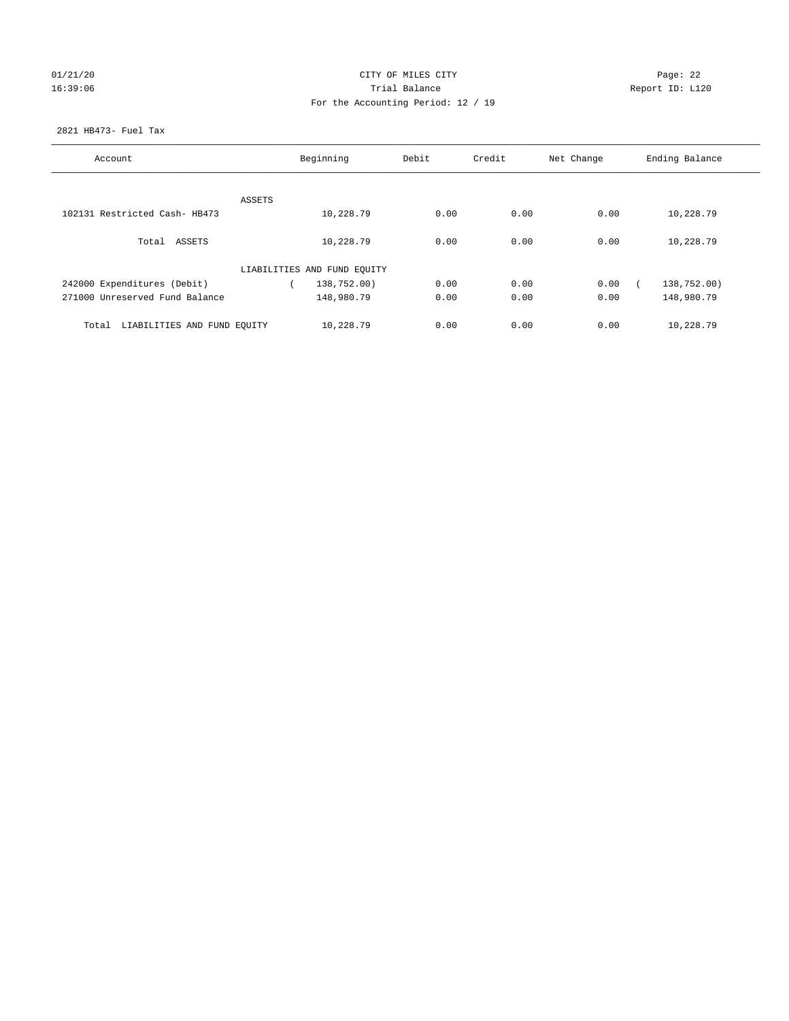# $01/21/20$  Page: 22 16:39:06 Trial Balance Report ID: L120 For the Accounting Period: 12 / 19

## 2821 HB473- Fuel Tax

| Account                              | Beginning |                             | Debit | Credit | Net Change | Ending Balance |
|--------------------------------------|-----------|-----------------------------|-------|--------|------------|----------------|
|                                      |           |                             |       |        |            |                |
|                                      | ASSETS    |                             |       |        |            |                |
| 102131 Restricted Cash- HB473        |           | 10,228.79                   | 0.00  | 0.00   | 0.00       | 10,228.79      |
| Total ASSETS                         |           | 10,228.79                   | 0.00  | 0.00   | 0.00       | 10,228.79      |
|                                      |           | LIABILITIES AND FUND EQUITY |       |        |            |                |
| 242000 Expenditures (Debit)          |           | 138,752.00)                 | 0.00  | 0.00   | 0.00       | 138,752.00)    |
| 271000 Unreserved Fund Balance       |           | 148,980.79                  | 0.00  | 0.00   | 0.00       | 148,980.79     |
| LIABILITIES AND FUND EQUITY<br>Total |           | 10,228.79                   | 0.00  | 0.00   | 0.00       | 10,228.79      |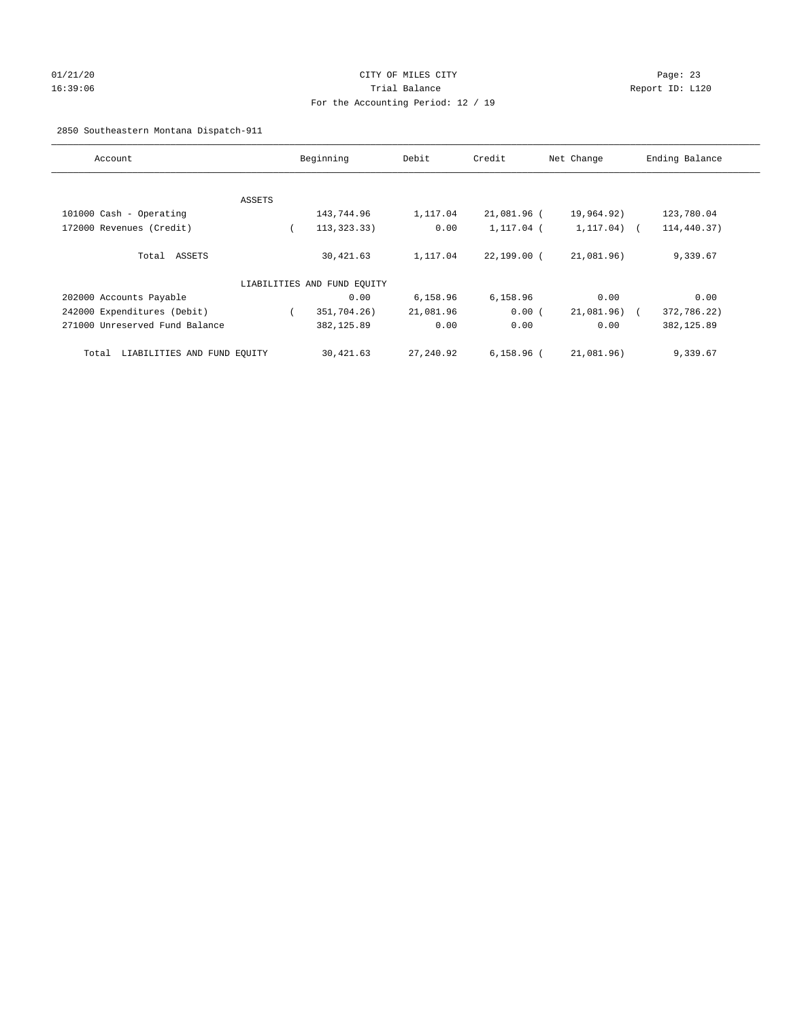# 01/21/20 Page: 23 16:39:06 Trial Balance Report ID: L120 For the Accounting Period: 12 / 19

2850 Southeastern Montana Dispatch-911

| Account                              | Beginning |                             | Debit     | Credit<br>Net Change |                 | Ending Balance            |  |
|--------------------------------------|-----------|-----------------------------|-----------|----------------------|-----------------|---------------------------|--|
|                                      |           |                             |           |                      |                 |                           |  |
|                                      | ASSETS    |                             |           |                      |                 |                           |  |
| 101000 Cash - Operating              |           | 143,744.96                  | 1,117.04  | 21,081.96 (          | 19,964.92)      | 123,780.04                |  |
| 172000 Revenues (Credit)             |           | 113, 323.33)                | 0.00      | 1,117.04 (           | $1, 117.04$ ) ( | 114,440.37)               |  |
| Total ASSETS                         |           | 30,421.63                   | 1,117.04  | 22,199.00 (          | 21,081.96)      | 9,339.67                  |  |
|                                      |           | LIABILITIES AND FUND EQUITY |           |                      |                 |                           |  |
| 202000 Accounts Payable              |           | 0.00                        | 6,158.96  | 6,158.96             | 0.00            | 0.00                      |  |
| 242000 Expenditures (Debit)          |           | 351,704.26)                 | 21,081.96 | 0.00(                | 21,081.96)      | 372,786.22)<br>$\sqrt{2}$ |  |
| 271000 Unreserved Fund Balance       |           | 382,125.89                  | 0.00      | 0.00                 | 0.00            | 382, 125.89               |  |
| LIABILITIES AND FUND EQUITY<br>Total |           | 30,421.63                   | 27,240.92 | $6,158.96$ (         | 21,081.96)      | 9,339.67                  |  |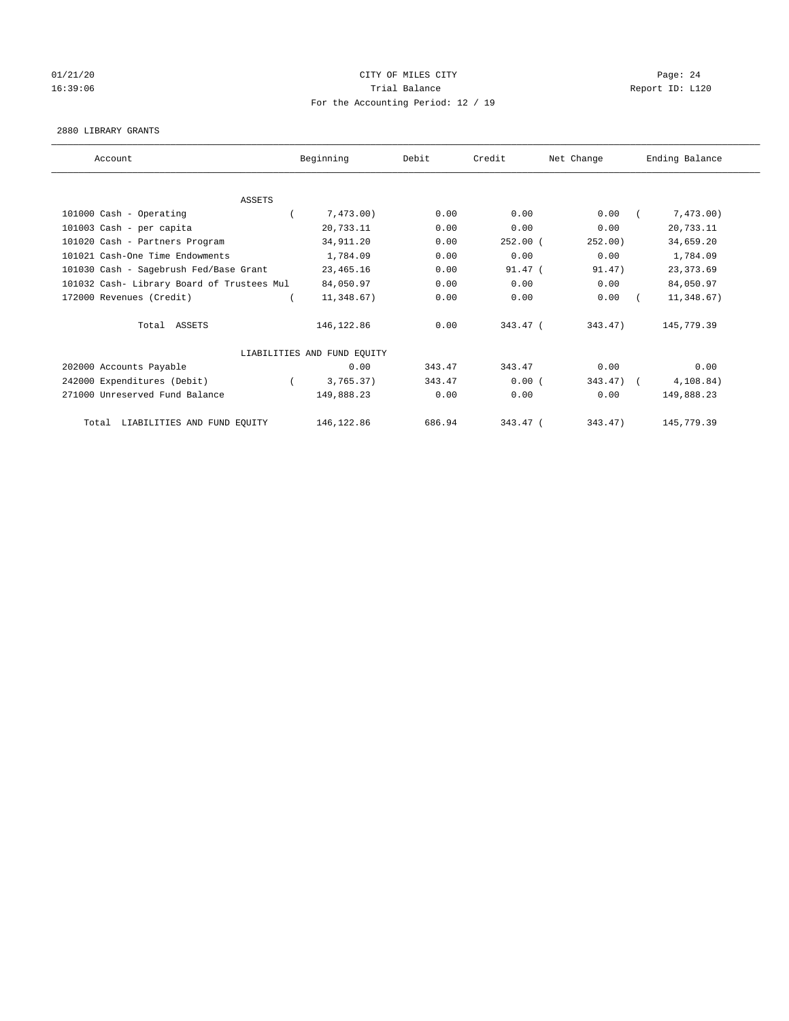# 01/21/20 Page: 24 16:39:06 Trial Balance Report ID: L120 For the Accounting Period: 12 / 19

## 2880 LIBRARY GRANTS

| Account                                    | Beginning                   | Debit  | Credit     | Net Change | Ending Balance |
|--------------------------------------------|-----------------------------|--------|------------|------------|----------------|
|                                            |                             |        |            |            |                |
| <b>ASSETS</b>                              |                             |        |            |            |                |
| 101000 Cash - Operating                    | 7,473.00)                   | 0.00   | 0.00       | 0.00       | 7,473.00)      |
| 101003 Cash - per capita                   | 20,733.11                   | 0.00   | 0.00       | 0.00       | 20,733.11      |
| 101020 Cash - Partners Program             | 34, 911.20                  | 0.00   | $252.00$ ( | 252.00)    | 34,659.20      |
| 101021 Cash-One Time Endowments            | 1,784.09                    | 0.00   | 0.00       | 0.00       | 1,784.09       |
| 101030 Cash - Sagebrush Fed/Base Grant     | 23, 465. 16                 | 0.00   | $91.47$ (  | 91.47)     | 23, 373.69     |
| 101032 Cash- Library Board of Trustees Mul | 84,050.97                   | 0.00   | 0.00       | 0.00       | 84,050.97      |
| 172000 Revenues (Credit)                   | 11,348.67)                  | 0.00   | 0.00       | 0.00       | 11,348.67)     |
| Total ASSETS                               | 146, 122.86                 | 0.00   | $343.47$ ( | 343.47)    | 145,779.39     |
|                                            | LIABILITIES AND FUND EQUITY |        |            |            |                |
| 202000 Accounts Payable                    | 0.00                        | 343.47 | 343.47     | 0.00       | 0.00           |
| 242000 Expenditures (Debit)                | 3,765.37)                   | 343.47 | 0.00(      | 343.47)    | 4, 108.84)     |
| 271000 Unreserved Fund Balance             | 149,888.23                  | 0.00   | 0.00       | 0.00       | 149,888.23     |
| LIABILITIES AND FUND EQUITY<br>Total       | 146,122.86                  | 686.94 | 343.47 (   | 343.47)    | 145,779.39     |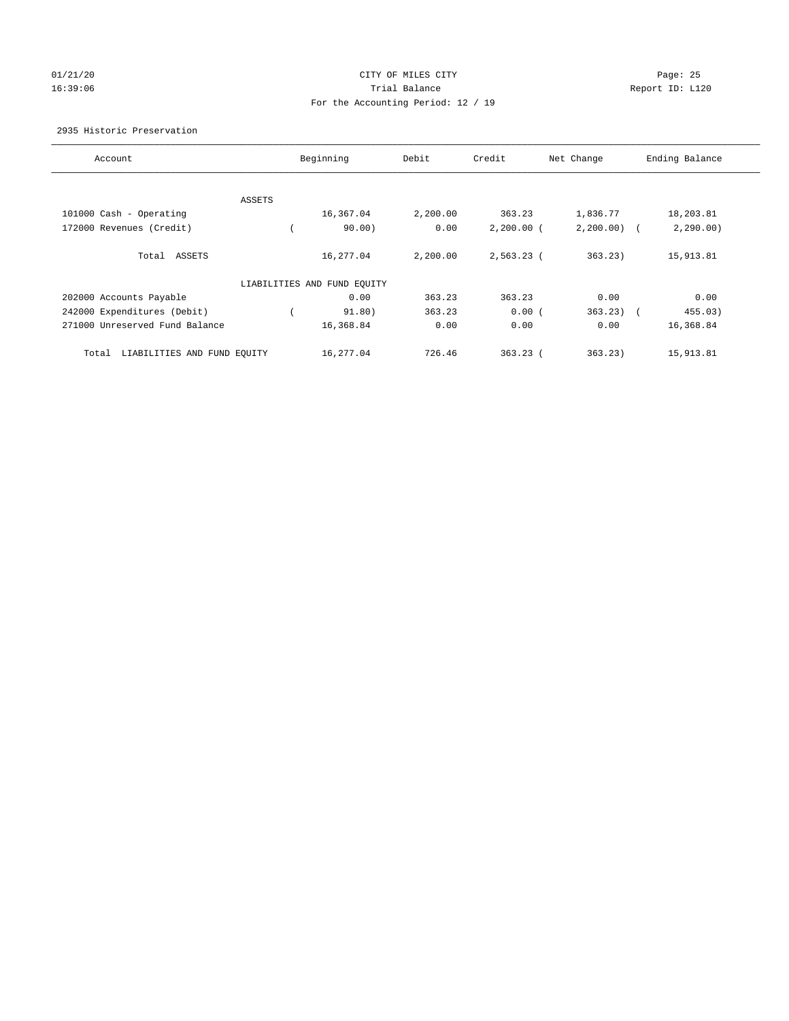## 01/21/20 Page: 25 16:39:06 Trial Balance Report ID: L120 For the Accounting Period: 12 / 19

## 2935 Historic Preservation

| Account                              | Beginning                   | Debit    | Credit       | Net Change    | Ending Balance |
|--------------------------------------|-----------------------------|----------|--------------|---------------|----------------|
|                                      |                             |          |              |               |                |
| ASSETS                               |                             |          |              |               |                |
| 101000 Cash - Operating              | 16,367.04                   | 2,200.00 | 363.23       | 1,836.77      | 18,203.81      |
| 172000 Revenues (Credit)             | 90.00)                      | 0.00     | $2,200.00$ ( | $2,200.00)$ ( | 2, 290.00)     |
| Total ASSETS                         | 16,277.04                   | 2,200.00 | 2,563.23 (   | 363.23        | 15,913.81      |
|                                      | LIABILITIES AND FUND EQUITY |          |              |               |                |
| 202000 Accounts Payable              | 0.00                        | 363.23   | 363.23       | 0.00          | 0.00           |
| 242000 Expenditures (Debit)          | 91.80)                      | 363.23   | 0.00(        | $363.23)$ (   | 455.03)        |
| 271000 Unreserved Fund Balance       | 16,368.84                   | 0.00     | 0.00         | 0.00          | 16,368.84      |
| LIABILITIES AND FUND EQUITY<br>Total | 16,277.04                   | 726.46   | $363.23$ (   | 363.23)       | 15,913.81      |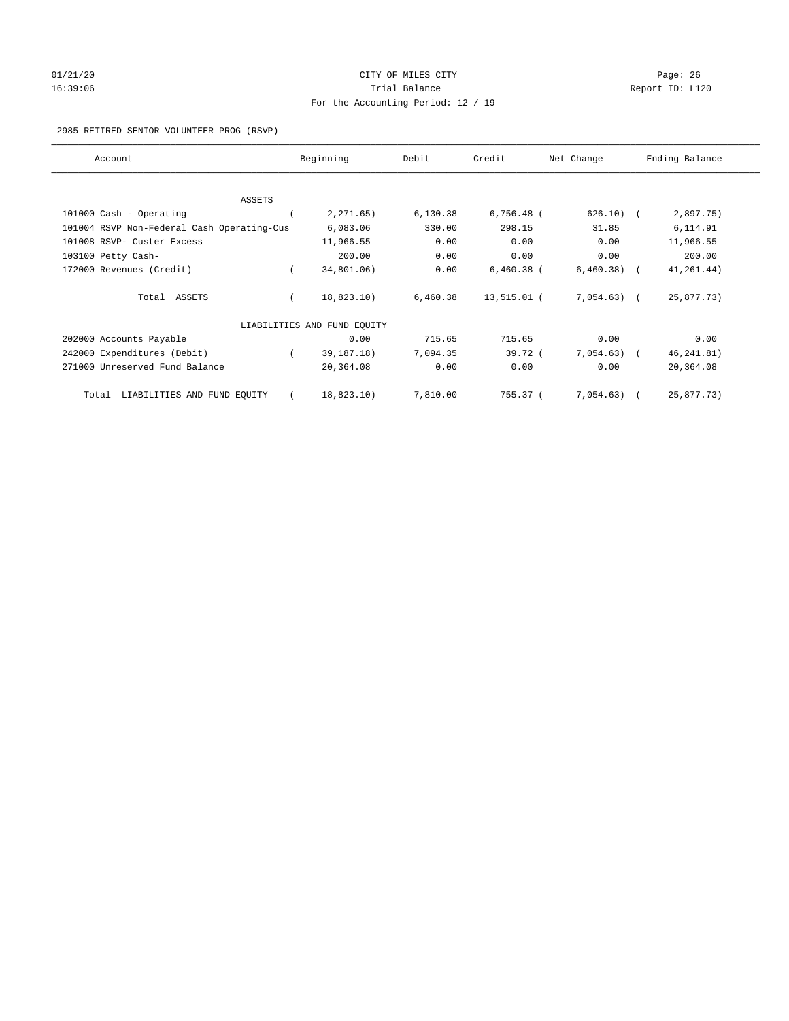# 01/21/20 Page: 26 16:39:06 Channel Report ID: L120 For the Accounting Period: 12 / 19

2985 RETIRED SENIOR VOLUNTEER PROG (RSVP)

| Account                                    | Beginning                   | Debit    | Credit       | Net Change   | Ending Balance |
|--------------------------------------------|-----------------------------|----------|--------------|--------------|----------------|
|                                            |                             |          |              |              |                |
| <b>ASSETS</b>                              |                             |          |              |              |                |
| 101000 Cash - Operating                    | 2, 271.65)                  | 6,130.38 | $6,756.48$ ( | 626.10)      | 2,897.75)      |
| 101004 RSVP Non-Federal Cash Operating-Cus | 6,083.06                    | 330.00   | 298.15       | 31.85        | 6,114.91       |
| 101008 RSVP- Custer Excess                 | 11,966.55                   | 0.00     | 0.00         | 0.00         | 11,966.55      |
| 103100 Petty Cash-                         | 200.00                      | 0.00     | 0.00         | 0.00         | 200.00         |
| 172000 Revenues (Credit)                   | 34,801.06)                  | 0.00     | $6,460.38$ ( | 6,460.38)    | 41, 261. 44)   |
| Total ASSETS                               | 18,823.10)                  | 6,460.38 | 13,515.01 (  | $7,054.63$ ( | 25,877.73)     |
|                                            | LIABILITIES AND FUND EQUITY |          |              |              |                |
| 202000 Accounts Payable                    | 0.00                        | 715.65   | 715.65       | 0.00         | 0.00           |
| 242000 Expenditures (Debit)                | 39, 187. 18)                | 7,094.35 | 39.72 (      | 7,054.63)    | 46, 241.81)    |
| 271000 Unreserved Fund Balance             | 20,364.08                   | 0.00     | 0.00         | 0.00         | 20,364.08      |
| LIABILITIES AND FUND EQUITY<br>Total       | 18,823.10)                  | 7,810.00 | 755.37 (     | 7,054.63)    | 25,877.73)     |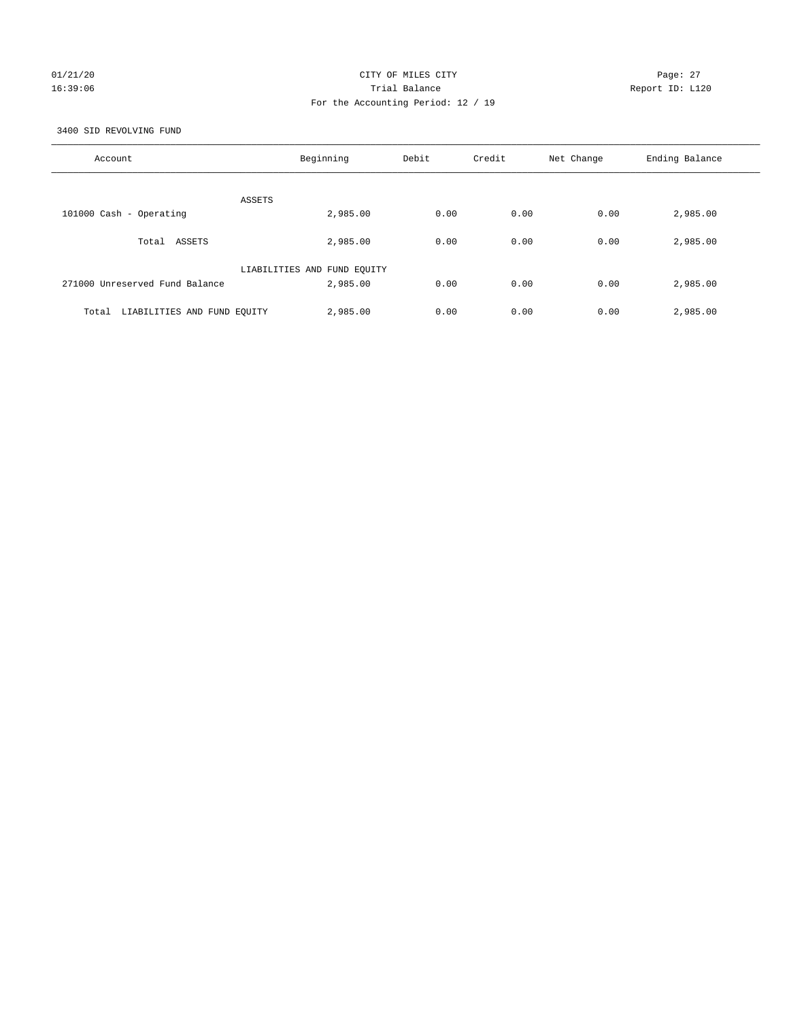## 01/21/20 Page: 27 16:39:06 Trial Balance Report ID: L120 For the Accounting Period: 12 / 19

3400 SID REVOLVING FUND

| Account                              | Beginning                   | Debit | Credit | Net Change | Ending Balance |
|--------------------------------------|-----------------------------|-------|--------|------------|----------------|
| ASSETS                               |                             |       |        |            |                |
| 101000 Cash - Operating              | 2,985.00                    | 0.00  | 0.00   | 0.00       | 2,985.00       |
| Total ASSETS                         | 2,985.00                    | 0.00  | 0.00   | 0.00       | 2,985.00       |
|                                      | LIABILITIES AND FUND EQUITY |       |        |            |                |
| 271000 Unreserved Fund Balance       | 2,985.00                    | 0.00  | 0.00   | 0.00       | 2,985.00       |
| LIABILITIES AND FUND EQUITY<br>Total | 2,985.00                    | 0.00  | 0.00   | 0.00       | 2,985.00       |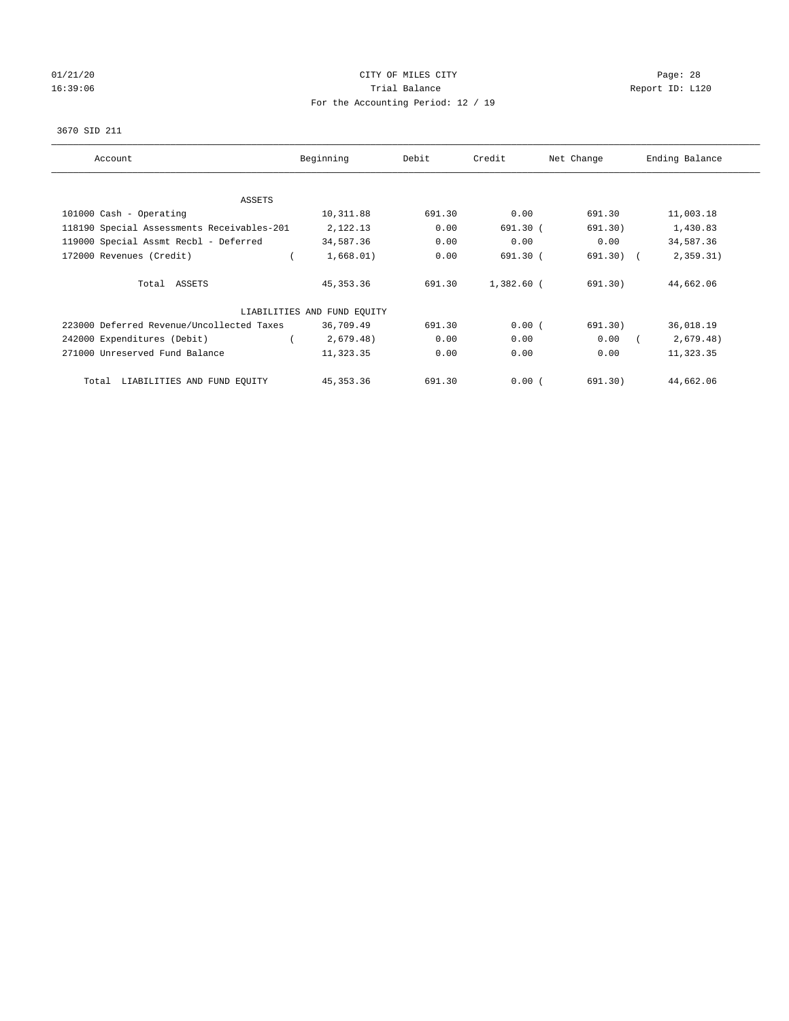# 01/21/20 Page: 28 16:39:06 Channel Report ID: L120 For the Accounting Period: 12 / 19

## 3670 SID 211

| Account                                    | Beginning                   | Debit  | Credit     | Net Change  | Ending Balance |
|--------------------------------------------|-----------------------------|--------|------------|-------------|----------------|
| ASSETS                                     |                             |        |            |             |                |
| 101000 Cash - Operating                    | 10,311.88                   | 691.30 | 0.00       | 691.30      | 11,003.18      |
| 118190 Special Assessments Receivables-201 | 2,122.13                    | 0.00   | $691.30$ ( | 691.30)     | 1,430.83       |
| 119000 Special Assmt Recbl - Deferred      | 34,587.36                   | 0.00   | 0.00       | 0.00        | 34,587.36      |
| 172000 Revenues (Credit)                   | 1,668.01)                   | 0.00   | 691.30 (   | $691.30)$ ( | 2,359.31)      |
| Total ASSETS                               | 45, 353. 36                 | 691.30 | 1,382.60 ( | 691.30)     | 44,662.06      |
|                                            | LIABILITIES AND FUND EQUITY |        |            |             |                |
| 223000 Deferred Revenue/Uncollected Taxes  | 36,709.49                   | 691.30 | 0.00(      | 691.30)     | 36,018.19      |
| 242000 Expenditures (Debit)                | 2,679.48)                   | 0.00   | 0.00       | 0.00        | 2,679.48)      |
| 271000 Unreserved Fund Balance             | 11,323.35                   | 0.00   | 0.00       | 0.00        | 11,323.35      |
| LIABILITIES AND FUND EQUITY<br>Total       | 45, 353. 36                 | 691.30 | 0.00(      | 691.30)     | 44,662.06      |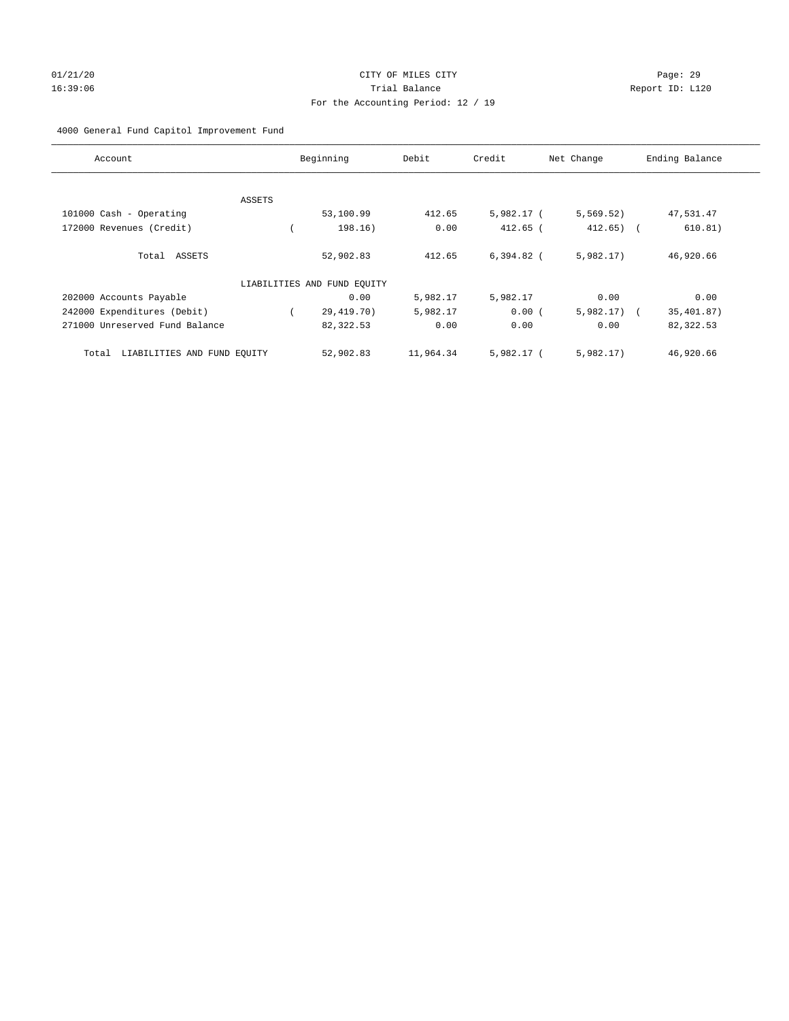# 01/21/20 Page: 29 16:39:06 Trial Balance Report ID: L120 For the Accounting Period: 12 / 19

## 4000 General Fund Capitol Improvement Fund

| Account                              |        | Beginning                   | Debit     | Credit       | Net Change     | Ending Balance |
|--------------------------------------|--------|-----------------------------|-----------|--------------|----------------|----------------|
|                                      |        |                             |           |              |                |                |
|                                      | ASSETS |                             |           |              |                |                |
| 101000 Cash - Operating              |        | 53,100.99                   | 412.65    | 5,982.17 (   | 5,569.52)      | 47,531.47      |
| 172000 Revenues (Credit)             |        | 198.16)                     | 0.00      | $412.65$ (   | $412.65$ ) (   | 610.81)        |
| Total ASSETS                         |        | 52,902.83                   | 412.65    | $6.394.82$ ( | 5,982.17       | 46,920.66      |
|                                      |        | LIABILITIES AND FUND EQUITY |           |              |                |                |
| 202000 Accounts Payable              |        | 0.00                        | 5,982.17  | 5,982.17     | 0.00           | 0.00           |
| 242000 Expenditures (Debit)          |        | 29,419.70)                  | 5,982.17  | 0.00(        | $5,982.17$ ) ( | 35,401.87)     |
| 271000 Unreserved Fund Balance       |        | 82,322.53                   | 0.00      | 0.00         | 0.00           | 82,322.53      |
| LIABILITIES AND FUND EQUITY<br>Total |        | 52,902.83                   | 11,964.34 | $5.982.17$ ( | 5,982.17)      | 46,920.66      |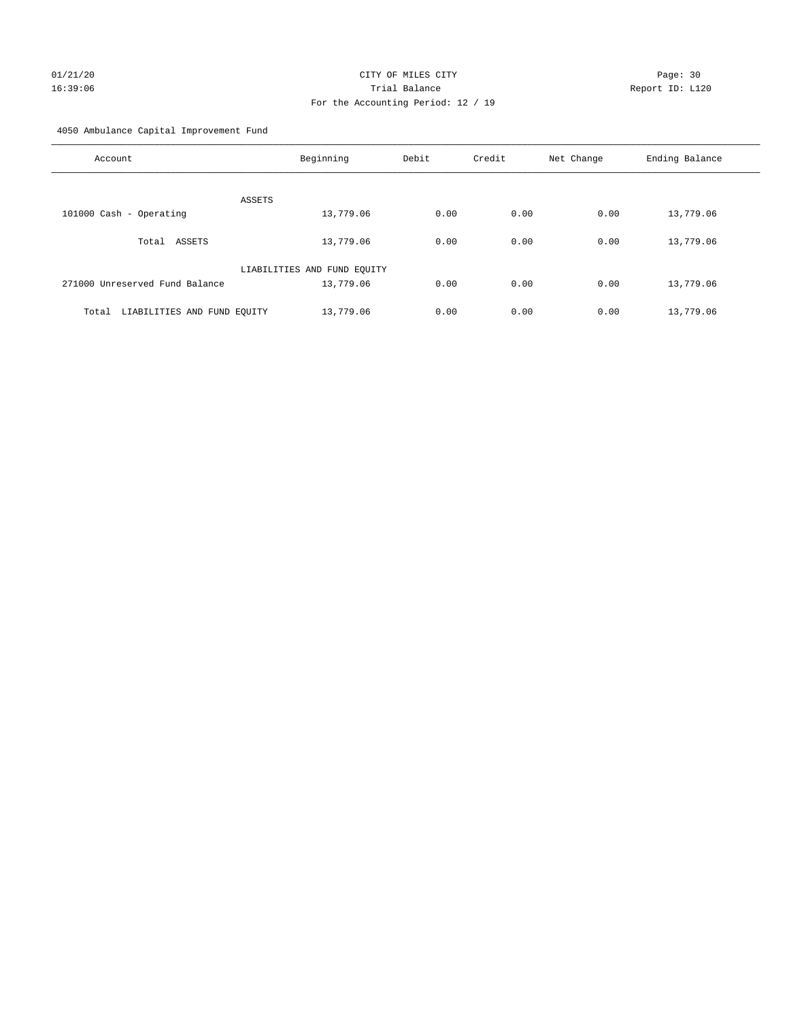# 01/21/20 Page: 30 16:39:06 Trial Balance Report ID: L120 For the Accounting Period: 12 / 19

4050 Ambulance Capital Improvement Fund

| Account                              | Beginning                   | Debit | Credit | Net Change | Ending Balance |
|--------------------------------------|-----------------------------|-------|--------|------------|----------------|
| ASSETS                               |                             |       |        |            |                |
| 101000 Cash - Operating              | 13,779.06                   | 0.00  | 0.00   | 0.00       | 13,779.06      |
| ASSETS<br>Total                      | 13,779.06                   | 0.00  | 0.00   | 0.00       | 13,779.06      |
|                                      | LIABILITIES AND FUND EQUITY |       |        |            |                |
| 271000 Unreserved Fund Balance       | 13,779.06                   | 0.00  | 0.00   | 0.00       | 13,779.06      |
| LIABILITIES AND FUND EQUITY<br>Total | 13,779.06                   | 0.00  | 0.00   | 0.00       | 13,779.06      |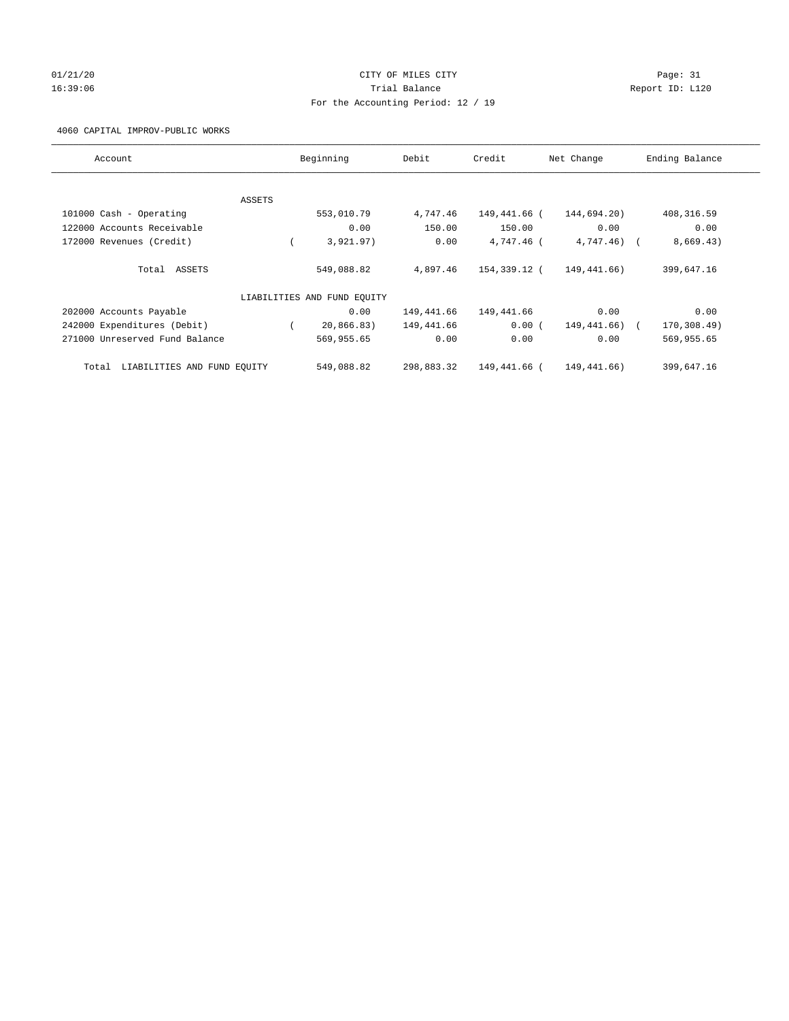# $01/21/20$  Page: 31 16:39:06 Trial Balance Report ID: L120 For the Accounting Period: 12 / 19

## 4060 CAPITAL IMPROV-PUBLIC WORKS

| Account                              |        | Beginning                   | Debit      | Credit       | Net Change   | Ending Balance |
|--------------------------------------|--------|-----------------------------|------------|--------------|--------------|----------------|
|                                      |        |                             |            |              |              |                |
|                                      | ASSETS |                             |            |              |              |                |
| 101000 Cash - Operating              |        | 553,010.79                  | 4,747.46   | 149,441.66 ( | 144,694.20)  | 408,316.59     |
| 122000 Accounts Receivable           |        | 0.00                        | 150.00     | 150.00       | 0.00         | 0.00           |
| 172000 Revenues (Credit)             |        | 3,921.97)                   | 0.00       | 4,747.46 (   | $4,747.46$ ( | 8,669.43)      |
| Total ASSETS                         |        | 549,088.82                  | 4,897.46   | 154,339.12 ( | 149,441.66)  | 399,647.16     |
|                                      |        | LIABILITIES AND FUND EQUITY |            |              |              |                |
| 202000 Accounts Payable              |        | 0.00                        | 149,441.66 | 149,441.66   | 0.00         | 0.00           |
| 242000 Expenditures (Debit)          |        | 20,866.83)                  | 149,441.66 | 0.00(        | 149,441.66)  | 170,308.49)    |
| 271000 Unreserved Fund Balance       |        | 569,955.65                  | 0.00       | 0.00         | 0.00         | 569,955.65     |
| LIABILITIES AND FUND EQUITY<br>Total |        | 549,088.82                  | 298,883.32 | 149,441.66 ( | 149,441.66)  | 399,647.16     |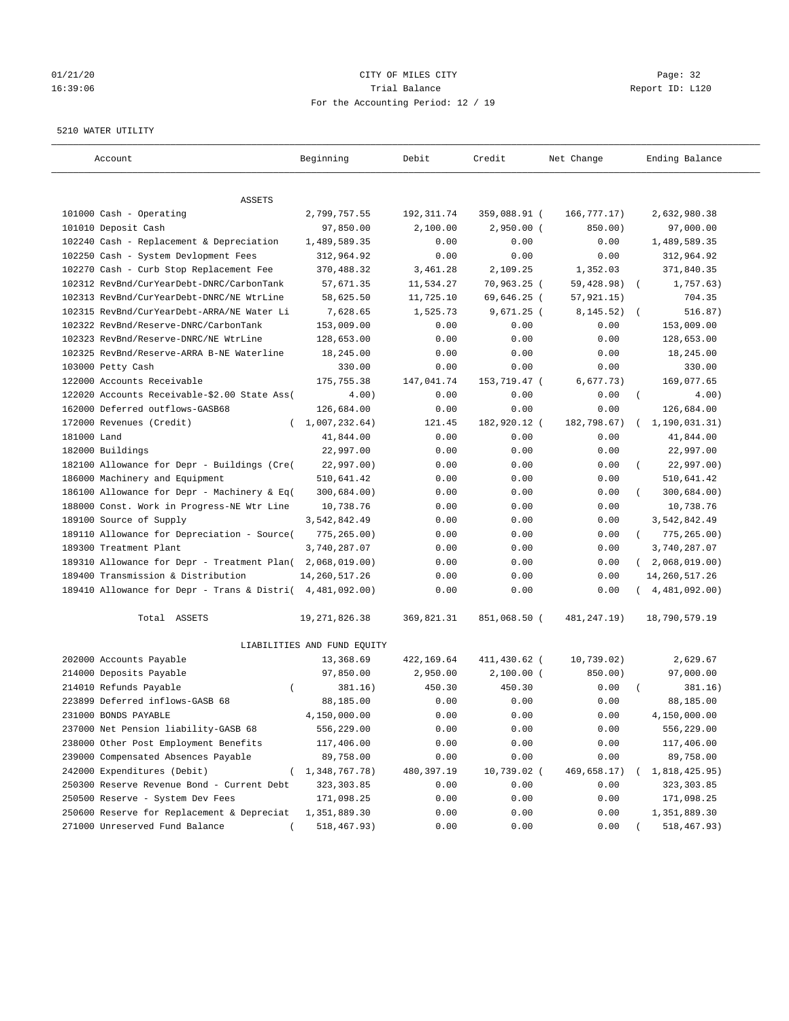## $01/21/20$  Page: 32 16:39:06 Trial Balance Report ID: L120 For the Accounting Period: 12 / 19

#### 5210 WATER UTILITY

| Account                                                   | Beginning                   | Debit       | Credit       | Net Change    | Ending Balance                 |
|-----------------------------------------------------------|-----------------------------|-------------|--------------|---------------|--------------------------------|
| ASSETS                                                    |                             |             |              |               |                                |
| 101000 Cash - Operating                                   | 2,799,757.55                | 192, 311.74 | 359,088.91 ( | 166,777.17)   | 2,632,980.38                   |
| 101010 Deposit Cash                                       | 97,850.00                   | 2,100.00    | $2,950.00$ ( | 850.00)       | 97,000.00                      |
| 102240 Cash - Replacement & Depreciation                  | 1,489,589.35                | 0.00        | 0.00         | 0.00          | 1,489,589.35                   |
| 102250 Cash - System Devlopment Fees                      | 312,964.92                  | 0.00        | 0.00         | 0.00          | 312,964.92                     |
| 102270 Cash - Curb Stop Replacement Fee                   | 370,488.32                  | 3,461.28    | 2,109.25     | 1,352.03      | 371,840.35                     |
| 102312 RevBnd/CurYearDebt-DNRC/CarbonTank                 | 57,671.35                   | 11,534.27   | 70,963.25 (  | 59,428.98)    | 1,757.63)                      |
| 102313 RevBnd/CurYearDebt-DNRC/NE WtrLine                 | 58,625.50                   | 11,725.10   | 69,646.25 (  | 57, 921.15)   | 704.35                         |
| 102315 RevBnd/CurYearDebt-ARRA/NE Water Li                | 7,628.65                    | 1,525.73    | $9,671.25$ ( | 8, 145.52)    | 516.87)<br>$\sqrt{2}$          |
| 102322 RevBnd/Reserve-DNRC/CarbonTank                     | 153,009.00                  | 0.00        | 0.00         | 0.00          | 153,009.00                     |
| 102323 RevBnd/Reserve-DNRC/NE WtrLine                     | 128,653.00                  | 0.00        | 0.00         | 0.00          | 128,653.00                     |
| 102325 RevBnd/Reserve-ARRA B-NE Waterline                 | 18,245.00                   | 0.00        | 0.00         | 0.00          | 18,245.00                      |
| 103000 Petty Cash                                         | 330.00                      | 0.00        | 0.00         | 0.00          | 330.00                         |
| 122000 Accounts Receivable                                | 175,755.38                  | 147,041.74  | 153,719.47 ( | 6,677.73)     | 169,077.65                     |
| 122020 Accounts Receivable-\$2.00 State Ass(              | 4.00)                       | 0.00        | 0.00         | 0.00          | $\left($<br>4.00)              |
| 162000 Deferred outflows-GASB68                           | 126,684.00                  | 0.00        | 0.00         | 0.00          | 126,684.00                     |
| 172000 Revenues (Credit)                                  | (1,007,232.64)              | 121.45      | 182,920.12 ( | 182,798.67)   | 1,190,031.31)                  |
| 181000 Land                                               | 41,844.00                   | 0.00        | 0.00         | 0.00          | 41,844.00                      |
| 182000 Buildings                                          | 22,997.00                   | 0.00        | 0.00         | 0.00          | 22,997.00                      |
| 182100 Allowance for Depr - Buildings (Cre(               | 22,997.00)                  | 0.00        | 0.00         | 0.00          | 22,997.00)<br>$\overline{(\ }$ |
| 186000 Machinery and Equipment                            | 510,641.42                  | 0.00        | 0.00         | 0.00          | 510,641.42                     |
| 186100 Allowance for Depr - Machinery & Eq(               | 300,684.00)                 | 0.00        | 0.00         | 0.00          | 300,684.00)                    |
| 188000 Const. Work in Progress-NE Wtr Line                | 10,738.76                   | 0.00        | 0.00         | 0.00          | 10,738.76                      |
| 189100 Source of Supply                                   | 3,542,842.49                | 0.00        | 0.00         | 0.00          | 3,542,842.49                   |
| 189110 Allowance for Depreciation - Source(               | 775,265.00)                 | 0.00        | 0.00         | 0.00          | 775,265.00)<br>$\left($        |
| 189300 Treatment Plant                                    | 3,740,287.07                | 0.00        | 0.00         | 0.00          | 3,740,287.07                   |
| 189310 Allowance for Depr - Treatment Plan(               | 2,068,019.00)               | 0.00        | 0.00         | 0.00          | 2,068,019.00)<br>$\sqrt{2}$    |
| 189400 Transmission & Distribution                        | 14, 260, 517.26             | 0.00        | 0.00         | 0.00          | 14, 260, 517. 26               |
| 189410 Allowance for Depr - Trans & Distri( 4,481,092.00) |                             | 0.00        | 0.00         | 0.00          | 4,481,092.00)                  |
| Total ASSETS                                              | 19, 271, 826.38             | 369,821.31  | 851,068.50 ( | 481, 247. 19) | 18,790,579.19                  |
|                                                           | LIABILITIES AND FUND EQUITY |             |              |               |                                |
| 202000 Accounts Payable                                   | 13,368.69                   | 422,169.64  | 411,430.62 ( | 10,739.02)    | 2,629.67                       |
| 214000 Deposits Payable                                   | 97,850.00                   | 2,950.00    | $2,100.00$ ( | 850.00)       | 97,000.00                      |
| 214010 Refunds Payable<br>$\left($                        | 381.16)                     | 450.30      | 450.30       | 0.00          | 381.16)                        |
| 223899 Deferred inflows-GASB 68                           | 88,185.00                   | 0.00        | 0.00         | 0.00          | 88,185.00                      |
| 231000 BONDS PAYABLE                                      | 4,150,000.00                | 0.00        | 0.00         | 0.00          | 4,150,000.00                   |
| 237000 Net Pension liability-GASB 68                      | 556,229.00                  | 0.00        | 0.00         | 0.00          | 556,229.00                     |
| 238000 Other Post Employment Benefits                     | 117,406.00                  | 0.00        | 0.00         | 0.00          | 117,406.00                     |
| 239000 Compensated Absences Payable                       | 89,758.00                   | 0.00        | 0.00         | 0.00          | 89,758.00                      |
| 242000 Expenditures (Debit)                               | 1,348,767.78)               | 480,397.19  | 10,739.02 (  | 469,658.17)   | 1,818,425.95)                  |
| 250300 Reserve Revenue Bond - Current Debt                | 323, 303.85                 | 0.00        | 0.00         | 0.00          | 323, 303.85                    |
| 250500 Reserve - System Dev Fees                          | 171,098.25                  | 0.00        | 0.00         | 0.00          | 171,098.25                     |
| 250600 Reserve for Replacement & Depreciat                | 1,351,889.30                | 0.00        | 0.00         | 0.00          | 1,351,889.30                   |
| 271000 Unreserved Fund Balance                            | 518,467.93)                 | 0.00        | 0.00         | 0.00          | 518, 467.93)                   |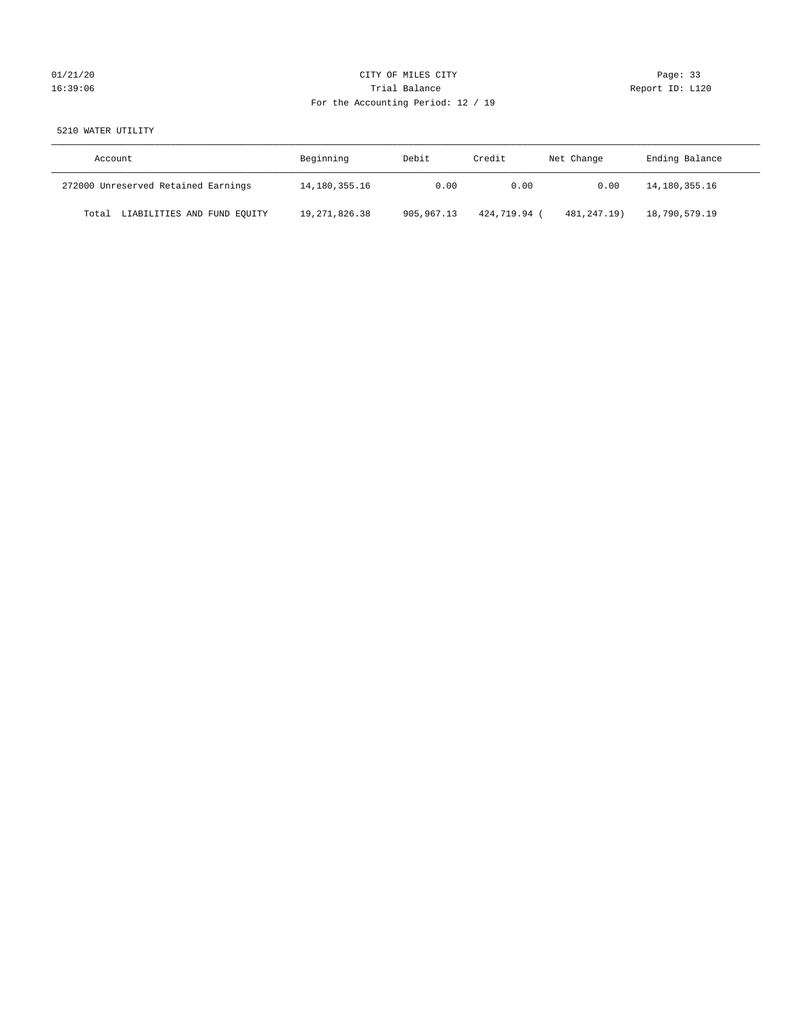# $01/21/20$  Page: 33 16:39:06 Trial Balance Report ID: L120 For the Accounting Period: 12 / 19

5210 WATER UTILITY

| Account                              | Beginning        | Debit      | Credit     | Net Change    | Ending Balance |
|--------------------------------------|------------------|------------|------------|---------------|----------------|
| 272000 Unreserved Retained Earnings  | 14,180,355.16    | 0.00       | 0.00       | 0.00          | 14,180,355.16  |
| LIABILITIES AND FUND EQUITY<br>Total | 19, 271, 826, 38 | 905,967.13 | 424,719.94 | 481, 247, 19) | 18,790,579.19  |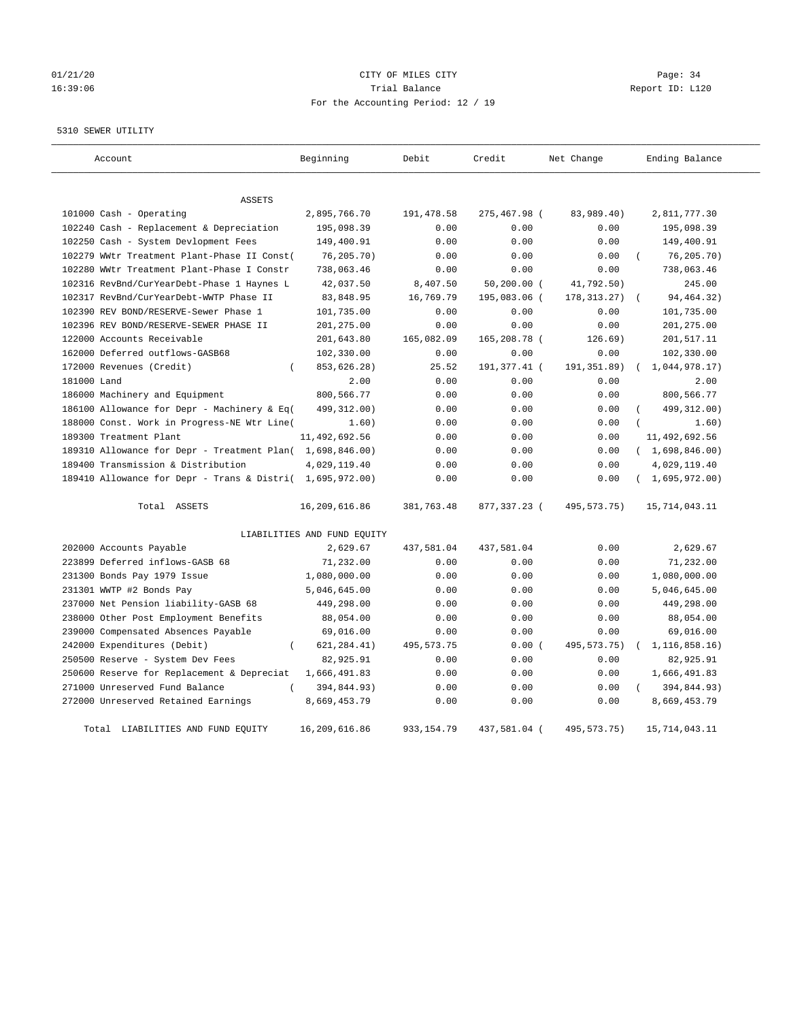# 01/21/20 Page: 34 16:39:06 Trial Balance Report ID: L120 For the Accounting Period: 12 / 19

#### 5310 SEWER UTILITY

| Account                                                   | Beginning                   | Debit        | Credit         | Net Change    | Ending Balance  |
|-----------------------------------------------------------|-----------------------------|--------------|----------------|---------------|-----------------|
| <b>ASSETS</b>                                             |                             |              |                |               |                 |
| 101000 Cash - Operating                                   | 2,895,766.70                | 191,478.58   | 275,467.98 (   | 83,989.40)    | 2,811,777.30    |
| 102240 Cash - Replacement & Depreciation                  | 195,098.39                  | 0.00         | 0.00           | 0.00          | 195,098.39      |
| 102250 Cash - System Devlopment Fees                      | 149,400.91                  | 0.00         | 0.00           | 0.00          | 149,400.91      |
| 102279 WWtr Treatment Plant-Phase II Const(               | 76,205.70)                  | 0.00         | 0.00           | 0.00          | 76, 205.70)     |
| 102280 WWtr Treatment Plant-Phase I Constr                | 738,063.46                  | 0.00         | 0.00           | 0.00          | 738,063.46      |
| 102316 RevBnd/CurYearDebt-Phase 1 Haynes L                | 42,037.50                   | 8,407.50     | $50, 200.00$ ( | 41,792.50)    | 245.00          |
| 102317 RevBnd/CurYearDebt-WWTP Phase II                   | 83,848.95                   | 16,769.79    | 195,083.06 (   | 178, 313. 27) | 94, 464. 32)    |
| 102390 REV BOND/RESERVE-Sewer Phase 1                     | 101,735.00                  | 0.00         | 0.00           | 0.00          | 101,735.00      |
| 102396 REV BOND/RESERVE-SEWER PHASE II                    | 201,275.00                  | 0.00         | 0.00           | 0.00          | 201,275.00      |
| 122000 Accounts Receivable                                | 201,643.80                  | 165,082.09   | 165,208.78 (   | 126.69)       | 201,517.11      |
| 162000 Deferred outflows-GASB68                           | 102,330.00                  | 0.00         | 0.00           | 0.00          | 102,330.00      |
| 172000 Revenues (Credit)<br>$\left($                      | 853,626.28)                 | 25.52        | 191,377.41 (   | 191, 351.89)  | 1,044,978.17)   |
| 181000 Land                                               | 2.00                        | 0.00         | 0.00           | 0.00          | 2.00            |
| 186000 Machinery and Equipment                            | 800,566.77                  | 0.00         | 0.00           | 0.00          | 800,566.77      |
| 186100 Allowance for Depr - Machinery & Eq(               | 499, 312.00)                | 0.00         | 0.00           | 0.00          | 499, 312.00)    |
| 188000 Const. Work in Progress-NE Wtr Line(               | 1.60)                       | 0.00         | 0.00           | 0.00          | 1.60)           |
| 189300 Treatment Plant                                    | 11, 492, 692.56             | 0.00         | 0.00           | 0.00          | 11,492,692.56   |
| 189310 Allowance for Depr - Treatment Plan( 1,698,846.00) |                             | 0.00         | 0.00           | 0.00          | (1,698,846.00)  |
| 189400 Transmission & Distribution                        | 4,029,119.40                | 0.00         | 0.00           | 0.00          | 4,029,119.40    |
| 189410 Allowance for Depr - Trans & Distri( 1,695,972.00) |                             | 0.00         | 0.00           | 0.00          | (1,695,972.00)  |
| Total ASSETS                                              | 16,209,616.86               | 381,763.48   | 877,337.23 (   | 495, 573. 75) | 15,714,043.11   |
|                                                           | LIABILITIES AND FUND EQUITY |              |                |               |                 |
| 202000 Accounts Payable                                   | 2,629.67                    | 437,581.04   | 437,581.04     | 0.00          | 2,629.67        |
| 223899 Deferred inflows-GASB 68                           | 71,232.00                   | 0.00         | 0.00           | 0.00          | 71,232.00       |
| 231300 Bonds Pay 1979 Issue                               | 1,080,000.00                | 0.00         | 0.00           | 0.00          | 1,080,000.00    |
| 231301 WWTP #2 Bonds Pay                                  | 5,046,645.00                | 0.00         | 0.00           | 0.00          | 5,046,645.00    |
| 237000 Net Pension liability-GASB 68                      | 449,298.00                  | 0.00         | 0.00           | 0.00          | 449,298.00      |
| 238000 Other Post Employment Benefits                     | 88,054.00                   | 0.00         | 0.00           | 0.00          | 88,054.00       |
| 239000 Compensated Absences Payable                       | 69,016.00                   | 0.00         | 0.00           | 0.00          | 69,016.00       |
| 242000 Expenditures (Debit)<br>$\overline{(\ }$           | 621, 284.41)                | 495, 573. 75 | 0.00(          | 495, 573. 75) | 1, 116, 858.16) |
| 250500 Reserve - System Dev Fees                          | 82,925.91                   | 0.00         | 0.00           | 0.00          | 82,925.91       |
| 250600 Reserve for Replacement & Depreciat                | 1,666,491.83                | 0.00         | 0.00           | 0.00          | 1,666,491.83    |
| 271000 Unreserved Fund Balance<br>$\left($                | 394,844.93)                 | 0.00         | 0.00           | 0.00          | 394,844.93)     |
| 272000 Unreserved Retained Earnings                       | 8,669,453.79                | 0.00         | 0.00           | 0.00          | 8,669,453.79    |
| Total LIABILITIES AND FUND EQUITY                         | 16,209,616.86               | 933, 154.79  | 437,581.04 (   | 495, 573. 75) | 15,714,043.11   |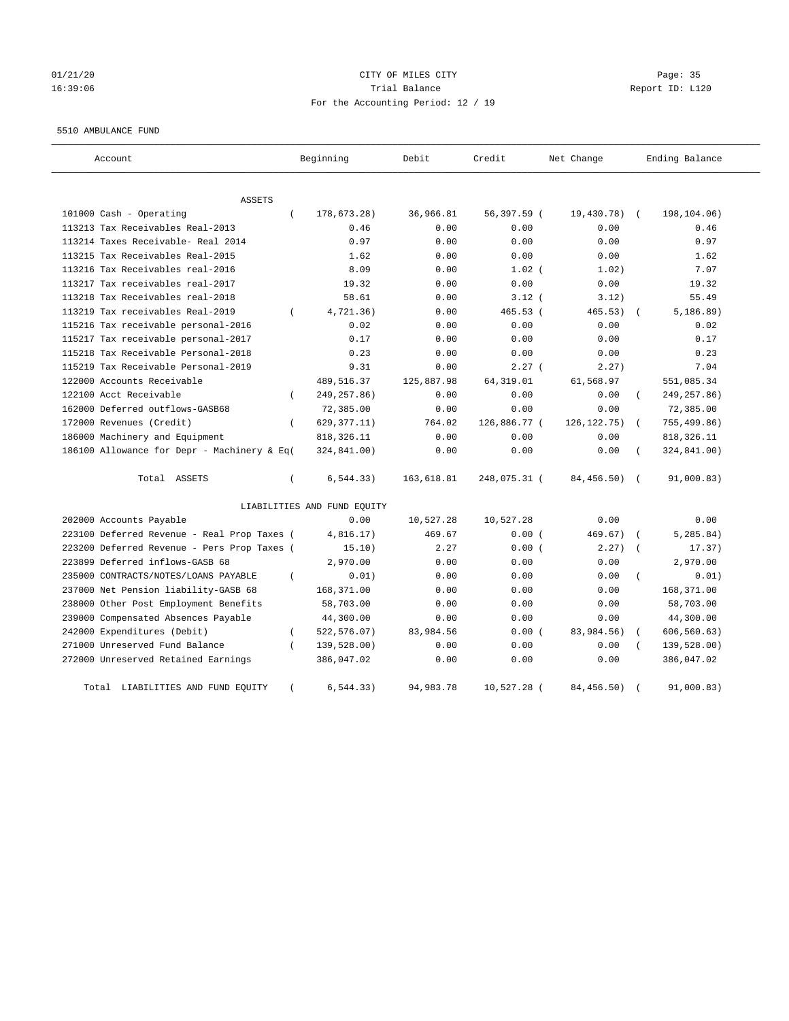## 01/21/20 Page: 35 16:39:06 Trial Balance Report ID: L120 For the Accounting Period: 12 / 19

#### 5510 AMBULANCE FUND

| Account                                     |          | Beginning                   | Debit       | Credit       | Net Change    |            | Ending Balance |
|---------------------------------------------|----------|-----------------------------|-------------|--------------|---------------|------------|----------------|
| ASSETS                                      |          |                             |             |              |               |            |                |
| 101000 Cash - Operating                     | $\left($ | 178,673.28)                 | 36,966.81   | 56,397.59 (  | 19,430.78)    | $\sqrt{2}$ | 198,104.06)    |
| 113213 Tax Receivables Real-2013            |          | 0.46                        | 0.00        | 0.00         | 0.00          |            | 0.46           |
| 113214 Taxes Receivable- Real 2014          |          | 0.97                        | 0.00        | 0.00         | 0.00          |            | 0.97           |
| 113215 Tax Receivables Real-2015            |          | 1.62                        | 0.00        | 0.00         | 0.00          |            | 1.62           |
| 113216 Tax Receivables real-2016            |          | 8.09                        | 0.00        | $1.02$ (     | 1.02)         |            | 7.07           |
| 113217 Tax receivables real-2017            |          | 19.32                       | 0.00        | 0.00         | 0.00          |            | 19.32          |
| 113218 Tax Receivables real-2018            |          | 58.61                       | 0.00        | $3.12$ (     | 3.12)         |            | 55.49          |
| 113219 Tax receivables Real-2019            | $\left($ | 4,721.36)                   | 0.00        | $465.53$ (   | 465.53)       |            | 5, 186.89)     |
| 115216 Tax receivable personal-2016         |          | 0.02                        | 0.00        | 0.00         | 0.00          |            | 0.02           |
| 115217 Tax receivable personal-2017         |          | 0.17                        | 0.00        | 0.00         | 0.00          |            | 0.17           |
| 115218 Tax Receivable Personal-2018         |          | 0.23                        | 0.00        | 0.00         | 0.00          |            | 0.23           |
| 115219 Tax Receivable Personal-2019         |          | 9.31                        | 0.00        | 2.27(        | 2.27)         |            | 7.04           |
| 122000 Accounts Receivable                  |          | 489,516.37                  | 125,887.98  | 64, 319.01   | 61,568.97     |            | 551,085.34     |
| 122100 Acct Receivable                      | $\left($ | 249, 257.86)                | 0.00        | 0.00         | 0.00          |            | 249, 257.86)   |
| 162000 Deferred outflows-GASB68             |          | 72,385.00                   | 0.00        | 0.00         | 0.00          |            | 72,385.00      |
| 172000 Revenues (Credit)                    | $\left($ | 629, 377. 11)               | 764.02      | 126,886.77 ( | 126, 122. 75) | $\left($   | 755,499.86)    |
| 186000 Machinery and Equipment              |          | 818, 326.11                 | 0.00        | 0.00         | 0.00          |            | 818, 326.11    |
| 186100 Allowance for Depr - Machinery & Eq( |          | 324,841.00)                 | 0.00        | 0.00         | 0.00          |            | 324,841.00)    |
| Total ASSETS                                | $\left($ | 6, 544.33)                  | 163,618.81  | 248,075.31 ( | 84,456.50)    | $\sqrt{2}$ | 91,000.83)     |
|                                             |          | LIABILITIES AND FUND EQUITY |             |              |               |            |                |
| 202000 Accounts Payable                     |          | 0.00                        | 10,527.28   | 10,527.28    | 0.00          |            | 0.00           |
| 223100 Deferred Revenue - Real Prop Taxes ( |          | 4,816.17)                   | 469.67      | 0.00(        | 469.67)       |            | 5, 285.84)     |
| 223200 Deferred Revenue - Pers Prop Taxes ( |          | 15.10)                      | 2.27        | 0.00(        | 2.27)         |            | 17.37)         |
| 223899 Deferred inflows-GASB 68             |          | 2,970.00                    | 0.00        | 0.00         | 0.00          |            | 2,970.00       |
| 235000 CONTRACTS/NOTES/LOANS PAYABLE        | $\left($ | 0.01)                       | 0.00        | 0.00         | 0.00          |            | 0.01)          |
| 237000 Net Pension liability-GASB 68        |          | 168,371.00                  | 0.00        | 0.00         | 0.00          |            | 168,371.00     |
| 238000 Other Post Employment Benefits       |          | 58,703.00                   | 0.00        | 0.00         | 0.00          |            | 58,703.00      |
| 239000 Compensated Absences Payable         |          | 44,300.00                   | 0.00        | 0.00         | 0.00          |            | 44,300.00      |
| 242000 Expenditures (Debit)                 | $\left($ | 522, 576.07)                | 83,984.56   | 0.00(        | 83,984.56)    |            | 606, 560.63)   |
| 271000 Unreserved Fund Balance              |          | 139,528.00)                 | 0.00        | 0.00         | 0.00          |            | 139,528.00)    |
| 272000 Unreserved Retained Earnings         |          | 386,047.02                  | 0.00        | 0.00         | 0.00          |            | 386,047.02     |
| LIABILITIES AND FUND EQUITY<br>Total        |          | 6, 544.33)                  | 94, 983. 78 | 10,527.28 (  | 84, 456.50)   |            | 91,000.83)     |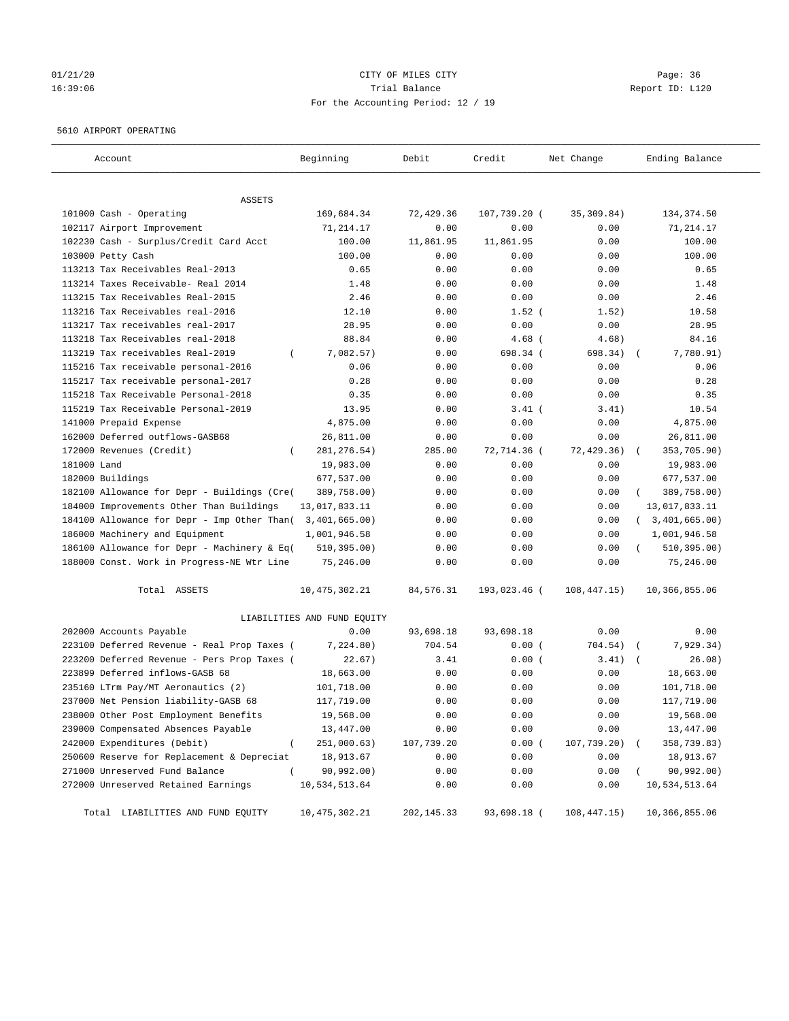# 01/21/20 Page: 36 16:39:06 Trial Balance Report ID: L120 For the Accounting Period: 12 / 19

## 5610 AIRPORT OPERATING

| Account                                      | Beginning                   | Debit       | Credit       | Net Change   | Ending Balance   |
|----------------------------------------------|-----------------------------|-------------|--------------|--------------|------------------|
| ASSETS                                       |                             |             |              |              |                  |
| 101000 Cash - Operating                      | 169,684.34                  | 72,429.36   | 107,739.20 ( | 35, 309.84)  | 134, 374.50      |
| 102117 Airport Improvement                   | 71,214.17                   | 0.00        | 0.00         | 0.00         | 71,214.17        |
| 102230 Cash - Surplus/Credit Card Acct       | 100.00                      | 11,861.95   | 11,861.95    | 0.00         | 100.00           |
| 103000 Petty Cash                            | 100.00                      | 0.00        | 0.00         | 0.00         | 100.00           |
| 113213 Tax Receivables Real-2013             | 0.65                        | 0.00        | 0.00         | 0.00         | 0.65             |
| 113214 Taxes Receivable- Real 2014           | 1.48                        | 0.00        | 0.00         | 0.00         | 1.48             |
| 113215 Tax Receivables Real-2015             | 2.46                        | 0.00        | 0.00         | 0.00         | 2.46             |
| 113216 Tax Receivables real-2016             | 12.10                       | 0.00        | $1.52$ (     | 1.52)        | 10.58            |
| 113217 Tax receivables real-2017             | 28.95                       | 0.00        | 0.00         | 0.00         | 28.95            |
| 113218 Tax Receivables real-2018             | 88.84                       | 0.00        | $4.68$ (     | 4.68)        | 84.16            |
| 113219 Tax receivables Real-2019<br>$\left($ | 7,082.57)                   | 0.00        | 698.34 (     | 698.34)      | 7,780.91)        |
| 115216 Tax receivable personal-2016          | 0.06                        | 0.00        | 0.00         | 0.00         | 0.06             |
| 115217 Tax receivable personal-2017          | 0.28                        | 0.00        | 0.00         | 0.00         | 0.28             |
| 115218 Tax Receivable Personal-2018          | 0.35                        | 0.00        | 0.00         | 0.00         | 0.35             |
| 115219 Tax Receivable Personal-2019          | 13.95                       | 0.00        | $3.41$ (     | 3.41)        | 10.54            |
| 141000 Prepaid Expense                       | 4,875.00                    | 0.00        | 0.00         | 0.00         | 4,875.00         |
| 162000 Deferred outflows-GASB68              | 26,811.00                   | 0.00        | 0.00         | 0.00         | 26,811.00        |
| 172000 Revenues (Credit)                     | 281, 276.54)                | 285.00      | 72,714.36 (  | 72, 429.36)  | 353,705.90)      |
| 181000 Land                                  | 19,983.00                   | 0.00        | 0.00         | 0.00         | 19,983.00        |
| 182000 Buildings                             | 677,537.00                  | 0.00        | 0.00         | 0.00         | 677,537.00       |
| 182100 Allowance for Depr - Buildings (Cre(  | 389,758.00)                 | 0.00        | 0.00         | 0.00         | 389,758.00)      |
| 184000 Improvements Other Than Buildings     | 13,017,833.11               | 0.00        | 0.00         | 0.00         | 13,017,833.11    |
| 184100 Allowance for Depr - Imp Other Than(  | 3,401,665.00)               | 0.00        | 0.00         | 0.00         | (3, 401, 665.00) |
| 186000 Machinery and Equipment               | 1,001,946.58                | 0.00        | 0.00         | 0.00         | 1,001,946.58     |
| 186100 Allowance for Depr - Machinery & Eq(  | 510, 395.00)                | 0.00        | 0.00         | 0.00         | 510, 395.00)     |
| 188000 Const. Work in Progress-NE Wtr Line   | 75,246.00                   | 0.00        | 0.00         | 0.00         | 75,246.00        |
|                                              |                             |             |              |              |                  |
| Total ASSETS                                 | 10, 475, 302.21             | 84,576.31   | 193,023.46 ( | 108,447.15)  | 10,366,855.06    |
|                                              | LIABILITIES AND FUND EQUITY |             |              |              |                  |
| 202000 Accounts Payable                      | 0.00                        | 93,698.18   | 93,698.18    | 0.00         | 0.00             |
| 223100 Deferred Revenue - Real Prop Taxes (  | 7,224.80)                   | 704.54      | 0.00(        | 704.54)      | 7,929.34)        |
| 223200 Deferred Revenue - Pers Prop Taxes (  | 22.67)                      | 3.41        | 0.00(        | 3.41)        | 26.08)           |
| 223899 Deferred inflows-GASB 68              | 18,663.00                   | 0.00        | 0.00         | 0.00         | 18,663.00        |
| 235160 LTrm Pay/MT Aeronautics (2)           | 101,718.00                  | 0.00        | 0.00         | 0.00         | 101,718.00       |
| 237000 Net Pension liability-GASB 68         | 117,719.00                  | 0.00        | 0.00         | 0.00         | 117,719.00       |
| 238000 Other Post Employment Benefits        | 19,568.00                   | 0.00        | 0.00         | 0.00         | 19,568.00        |
| 239000 Compensated Absences Payable          | 13,447.00                   | 0.00        | 0.00         | 0.00         | 13,447.00        |
| 242000 Expenditures (Debit)                  | 251,000.63)                 | 107,739.20  | 0.00(        | 107,739.20)  | 358,739.83)      |
| 250600 Reserve for Replacement & Depreciat   | 18,913.67                   | 0.00        | 0.00         | 0.00         | 18,913.67        |
| 271000 Unreserved Fund Balance               | 90,992.00)                  | 0.00        | 0.00         | 0.00         | 90,992.00)       |
| 272000 Unreserved Retained Earnings          | 10,534,513.64               | 0.00        | 0.00         | 0.00         | 10,534,513.64    |
| Total LIABILITIES AND FUND EQUITY            | 10, 475, 302.21             | 202, 145.33 | 93,698.18 (  | 108, 447.15) | 10,366,855.06    |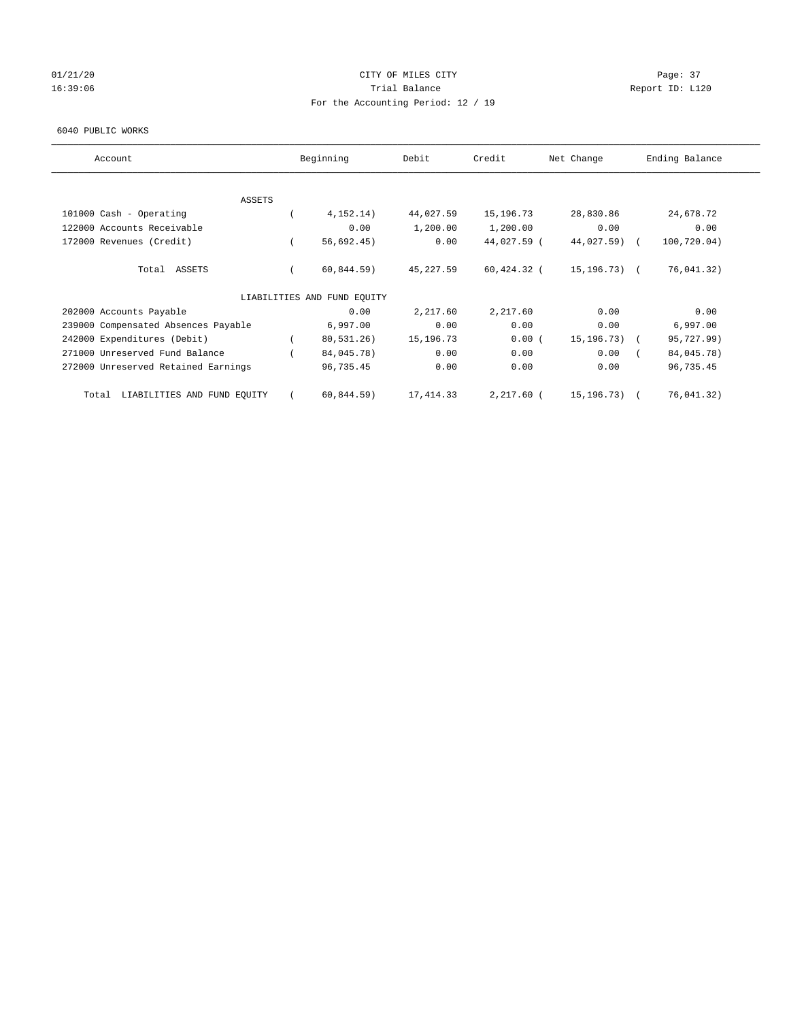## 01/21/20 Page: 37 16:39:06 Trial Balance Report ID: L120 For the Accounting Period: 12 / 19

#### 6040 PUBLIC WORKS

| Account                                  | Beginning                   | Debit       | Credit        | Net Change     | Ending Balance |
|------------------------------------------|-----------------------------|-------------|---------------|----------------|----------------|
|                                          |                             |             |               |                |                |
| <b>ASSETS</b><br>101000 Cash - Operating | 4, 152.14)                  | 44,027.59   | 15,196.73     | 28,830.86      | 24,678.72      |
| 122000 Accounts Receivable               | 0.00                        | 1,200.00    | 1,200.00      | 0.00           | 0.00           |
| 172000 Revenues (Credit)                 | 56,692.45)                  | 0.00        | 44,027.59 (   | 44,027.59)     | 100,720.04)    |
|                                          |                             |             |               |                |                |
| Total<br>ASSETS                          | 60, 844.59)                 | 45,227.59   | $60,424.32$ ( | 15, 196. 73) ( | 76,041.32)     |
|                                          | LIABILITIES AND FUND EQUITY |             |               |                |                |
| 202000 Accounts Payable                  | 0.00                        | 2,217.60    | 2,217.60      | 0.00           | 0.00           |
| 239000 Compensated Absences Payable      | 6,997.00                    | 0.00        | 0.00          | 0.00           | 6,997.00       |
| 242000 Expenditures (Debit)              | 80,531.26)                  | 15, 196. 73 | 0.00(         | 15, 196. 73)   | 95,727.99)     |
| 271000 Unreserved Fund Balance           | 84,045.78)                  | 0.00        | 0.00          | 0.00           | 84,045.78)     |
| 272000 Unreserved Retained Earnings      | 96,735.45                   | 0.00        | 0.00          | 0.00           | 96,735.45      |
| LIABILITIES AND FUND EQUITY<br>Total     | 60, 844.59)                 | 17,414.33   | 2,217.60 (    | 15,196.73) (   | 76,041.32)     |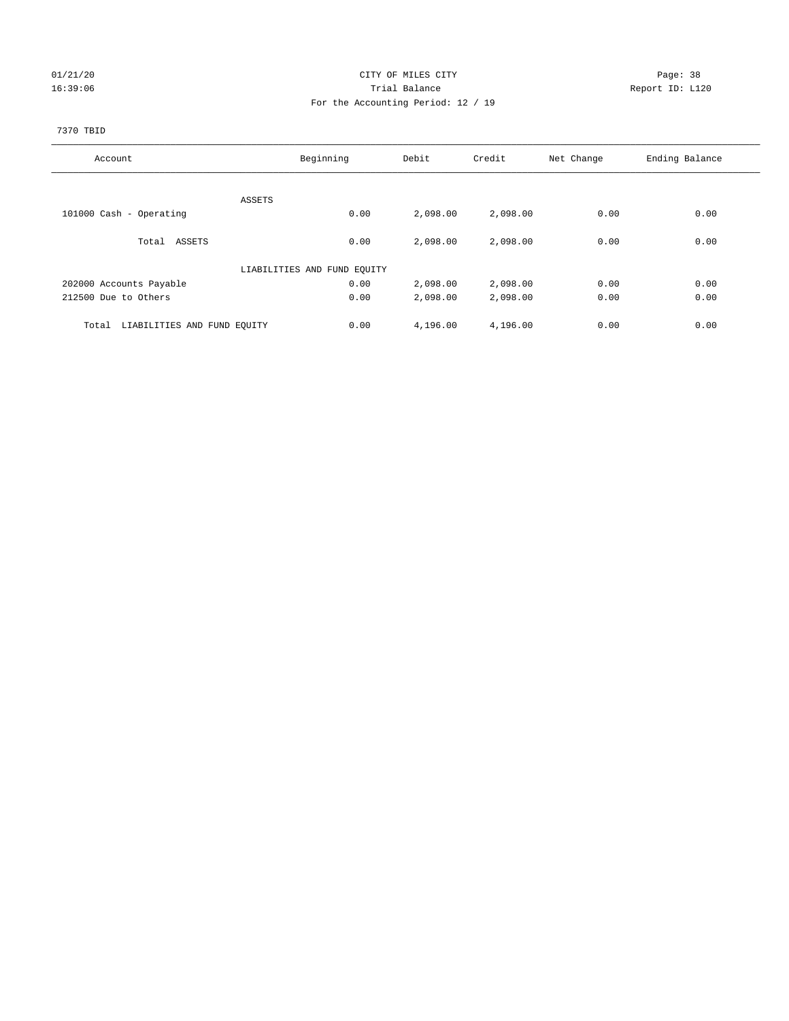## 01/21/20 Page: 38 16:39:06 Trial Balance Report ID: L120 For the Accounting Period: 12 / 19

## 7370 TBID

| Account                              | Beginning                   | Debit    | Credit   | Net Change | Ending Balance |
|--------------------------------------|-----------------------------|----------|----------|------------|----------------|
|                                      |                             |          |          |            |                |
|                                      | ASSETS                      |          |          |            |                |
| 101000 Cash - Operating              | 0.00                        | 2,098.00 | 2,098.00 | 0.00       | 0.00           |
|                                      |                             |          |          |            |                |
| Total ASSETS                         | 0.00                        | 2,098.00 | 2,098.00 | 0.00       | 0.00           |
|                                      |                             |          |          |            |                |
|                                      | LIABILITIES AND FUND EQUITY |          |          |            |                |
| 202000 Accounts Payable              | 0.00                        | 2,098.00 | 2,098.00 | 0.00       | 0.00           |
| 212500 Due to Others                 | 0.00                        | 2,098.00 | 2,098.00 | 0.00       | 0.00           |
|                                      |                             |          |          |            |                |
| LIABILITIES AND FUND EQUITY<br>Total | 0.00                        | 4,196.00 | 4,196.00 | 0.00       | 0.00           |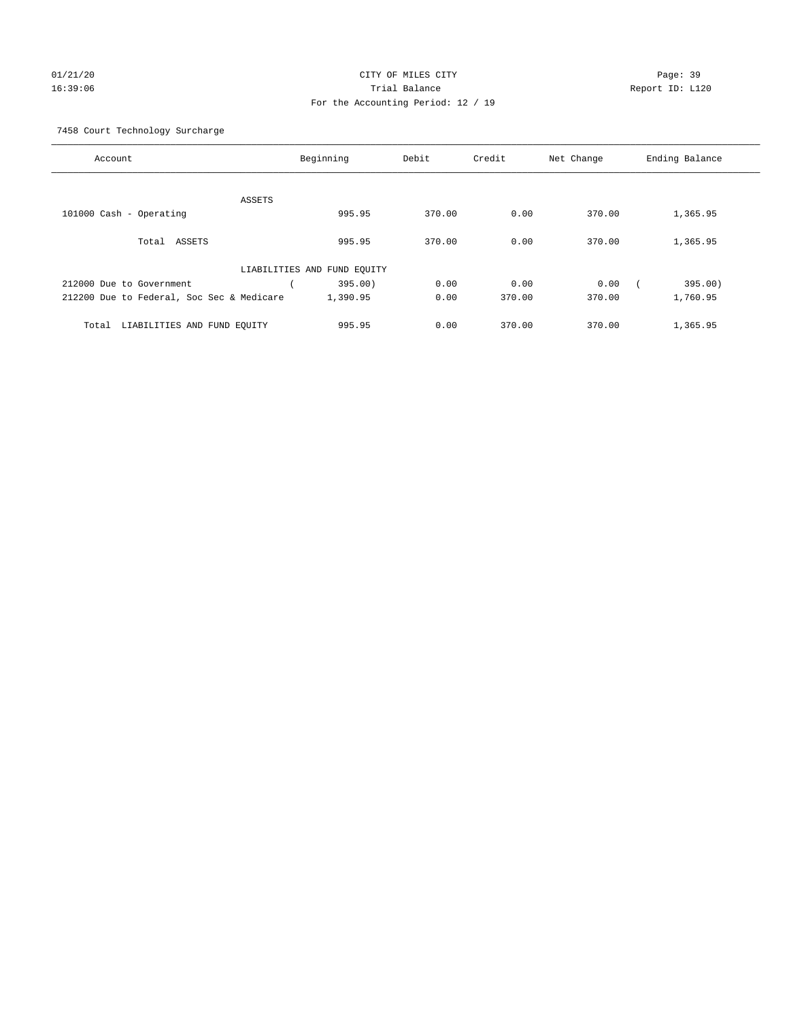## 01/21/20 Page: 39 16:39:06 Trial Balance Report ID: L120 For the Accounting Period: 12 / 19

7458 Court Technology Surcharge

| Account                                   |                             | Beginning | Debit  | Credit | Net Change | Ending Balance |
|-------------------------------------------|-----------------------------|-----------|--------|--------|------------|----------------|
|                                           |                             |           |        |        |            |                |
|                                           | <b>ASSETS</b>               |           |        |        |            |                |
| 101000 Cash - Operating                   |                             | 995.95    | 370.00 | 0.00   | 370.00     | 1,365.95       |
| Total ASSETS                              |                             | 995.95    | 370.00 | 0.00   | 370.00     | 1,365.95       |
|                                           | LIABILITIES AND FUND EQUITY |           |        |        |            |                |
| 212000 Due to Government                  |                             | 395.00)   | 0.00   | 0.00   | 0.00       | 395.00)        |
| 212200 Due to Federal, Soc Sec & Medicare |                             | 1,390.95  | 0.00   | 370.00 | 370.00     | 1,760.95       |
| LIABILITIES AND FUND EQUITY<br>Total      |                             | 995.95    | 0.00   | 370.00 | 370.00     | 1,365.95       |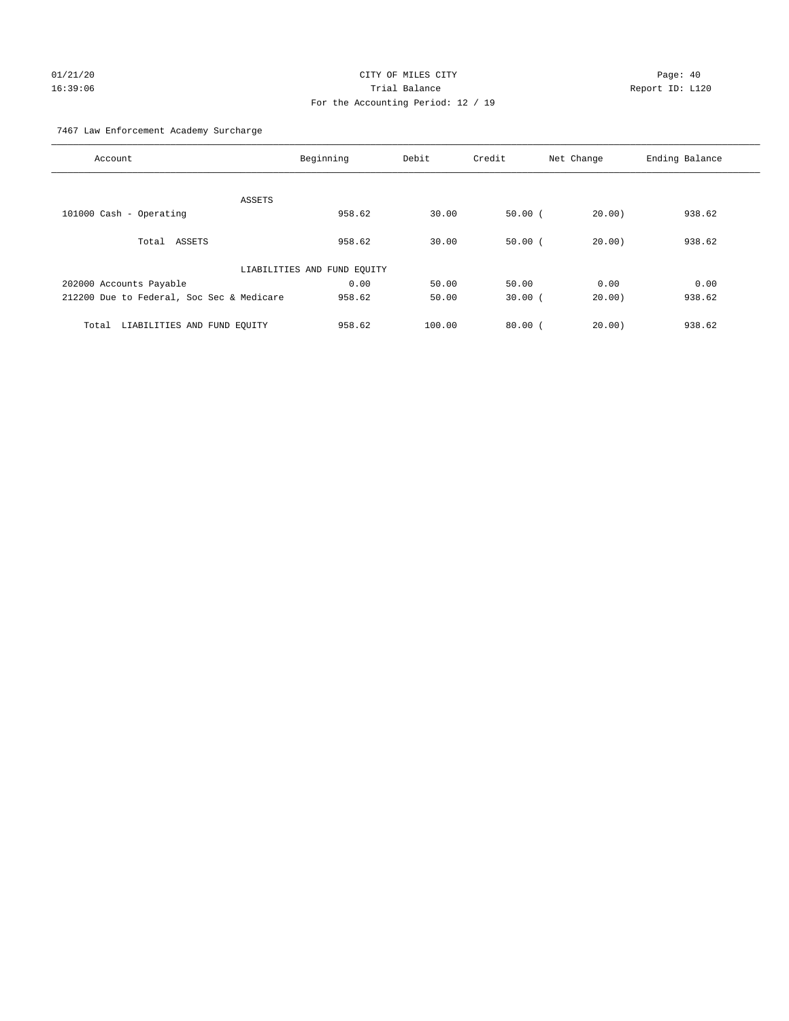# 01/21/20 Page: 40 16:39:06 Trial Balance Report ID: L120 For the Accounting Period: 12 / 19

7467 Law Enforcement Academy Surcharge

| Account                                   | Beginning                   | Debit  | Credit    | Net Change | Ending Balance |
|-------------------------------------------|-----------------------------|--------|-----------|------------|----------------|
| ASSETS                                    |                             |        |           |            |                |
| 101000 Cash - Operating                   | 958.62                      | 30.00  | 50.00(    | 20.00      | 938.62         |
| Total ASSETS                              | 958.62                      | 30.00  | 50.00(    | 20.00      | 938.62         |
|                                           | LIABILITIES AND FUND EQUITY |        |           |            |                |
| 202000 Accounts Payable                   | 0.00                        | 50.00  | 50.00     | 0.00       | 0.00           |
| 212200 Due to Federal, Soc Sec & Medicare | 958.62                      | 50.00  | $30.00$ ( | 20.00)     | 938.62         |
| LIABILITIES AND FUND EQUITY<br>Total      | 958.62                      | 100.00 | 80.00(    | 20.00      | 938.62         |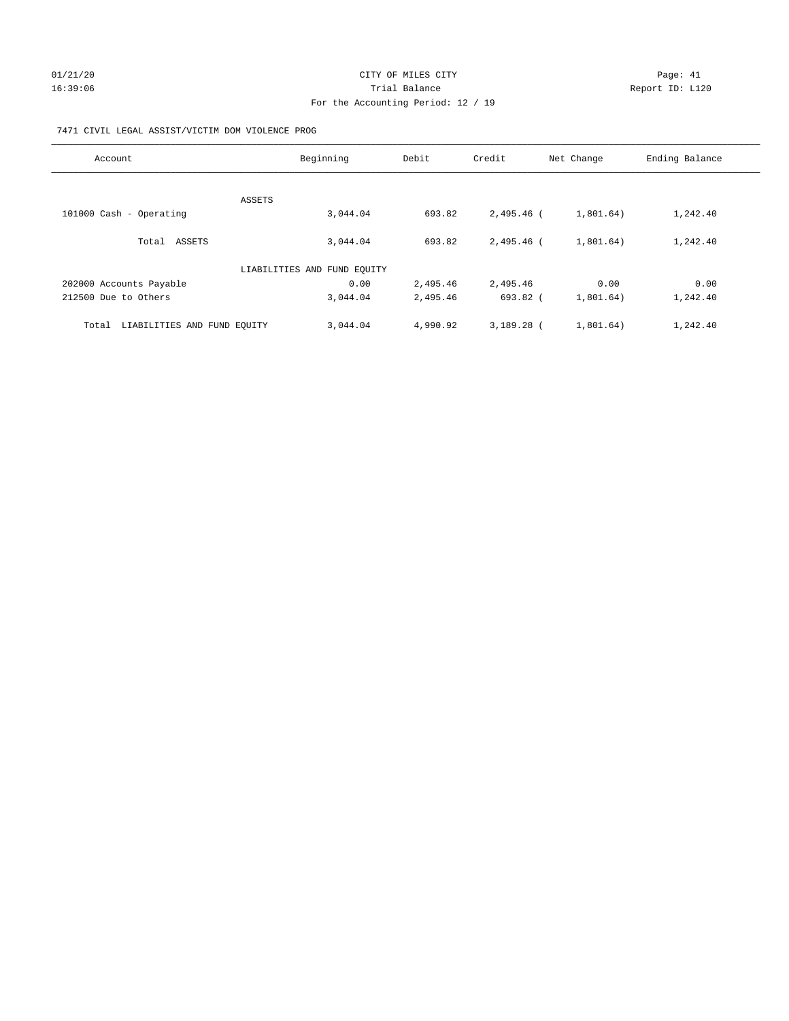# 01/21/20 Page: 41 16:39:06 Channel Report ID: L120 For the Accounting Period: 12 / 19

## 7471 CIVIL LEGAL ASSIST/VICTIM DOM VIOLENCE PROG

| Account                              | Beginning                   | Debit    | Credit       | Net Change | Ending Balance |
|--------------------------------------|-----------------------------|----------|--------------|------------|----------------|
|                                      |                             |          |              |            |                |
| ASSETS                               |                             |          |              |            |                |
| 101000 Cash - Operating              | 3,044.04                    | 693.82   | 2,495.46 (   | 1,801.64)  | 1,242.40       |
|                                      |                             |          |              |            |                |
| Total ASSETS                         | 3,044.04                    | 693.82   | 2,495.46 (   | 1,801.64)  | 1,242.40       |
|                                      | LIABILITIES AND FUND EQUITY |          |              |            |                |
|                                      |                             |          |              |            |                |
| 202000 Accounts Payable              | 0.00                        | 2,495.46 | 2,495.46     | 0.00       | 0.00           |
| 212500 Due to Others                 | 3,044.04                    | 2,495.46 | 693.82 (     | 1,801.64)  | 1,242.40       |
| LIABILITIES AND FUND EQUITY<br>Total | 3,044.04                    | 4,990.92 | $3.189.28$ ( | 1,801.64)  | 1,242.40       |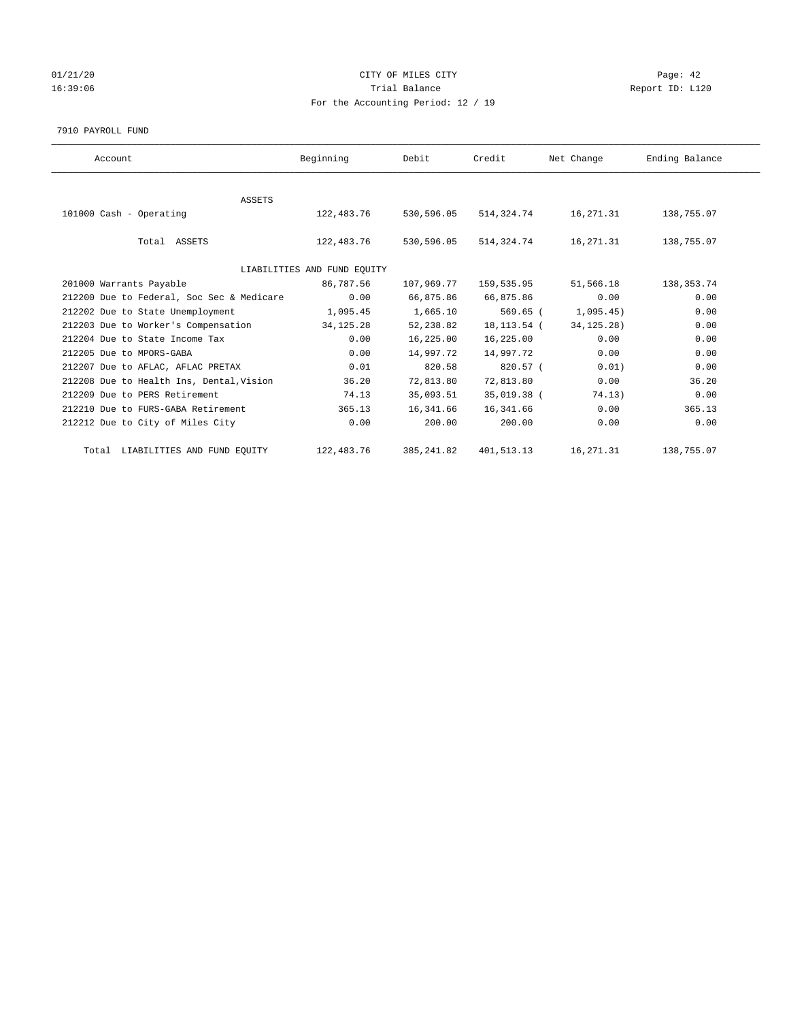## $01/21/20$  Page: 42 16:39:06 Channel Report ID: L120 For the Accounting Period: 12 / 19

7910 PAYROLL FUND

| Account                                   | Beginning                   | Debit       | Credit      | Net Change   | Ending Balance |
|-------------------------------------------|-----------------------------|-------------|-------------|--------------|----------------|
|                                           |                             |             |             |              |                |
| <b>ASSETS</b><br>101000 Cash - Operating  | 122,483.76                  | 530,596.05  | 514,324.74  | 16,271.31    | 138,755.07     |
| Total ASSETS                              | 122,483.76                  | 530,596.05  | 514,324.74  | 16,271.31    | 138,755.07     |
|                                           | LIABILITIES AND FUND EQUITY |             |             |              |                |
| 201000 Warrants Payable                   | 86,787.56                   | 107,969.77  | 159,535.95  | 51,566.18    | 138,353.74     |
| 212200 Due to Federal, Soc Sec & Medicare | 0.00                        | 66,875.86   | 66,875.86   | 0.00         | 0.00           |
| 212202 Due to State Unemployment          | 1,095.45                    | 1,665.10    | $569.65$ (  | 1,095.45)    | 0.00           |
| 212203 Due to Worker's Compensation       | 34,125.28                   | 52,238.82   | 18,113.54 ( | 34, 125. 28) | 0.00           |
| 212204 Due to State Income Tax            | 0.00                        | 16,225.00   | 16,225.00   | 0.00         | 0.00           |
| 212205 Due to MPORS-GABA                  | 0.00                        | 14,997.72   | 14,997.72   | 0.00         | 0.00           |
| 212207 Due to AFLAC, AFLAC PRETAX         | 0.01                        | 820.58      | $820.57$ (  | 0.01)        | 0.00           |
| 212208 Due to Health Ins, Dental, Vision  | 36.20                       | 72,813.80   | 72,813.80   | 0.00         | 36.20          |
| 212209 Due to PERS Retirement             | 74.13                       | 35,093.51   | 35,019.38 ( | 74.13)       | 0.00           |
| 212210 Due to FURS-GABA Retirement        | 365.13                      | 16,341.66   | 16,341.66   | 0.00         | 365.13         |
| 212212 Due to City of Miles City          | 0.00                        | 200.00      | 200.00      | 0.00         | 0.00           |
| Total LIABILITIES AND FUND EQUITY         | 122,483.76                  | 385, 241.82 | 401,513.13  | 16,271.31    | 138,755.07     |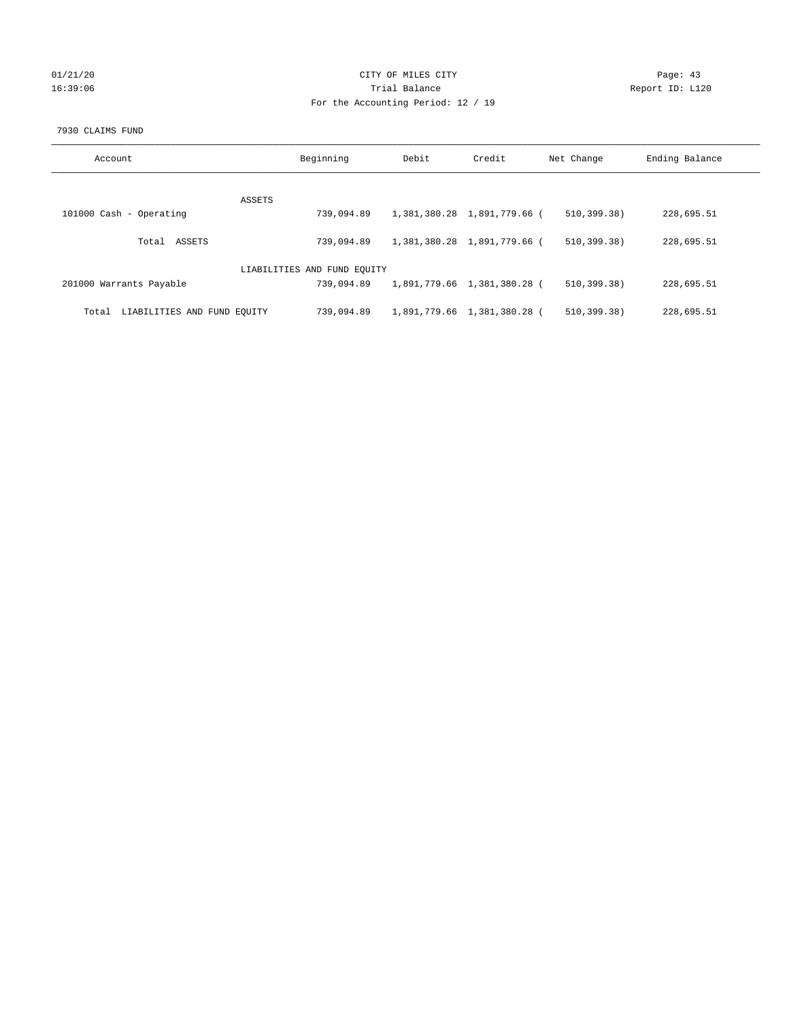## 01/21/20 Page: 43 16:39:06 Channel Report ID: L120 For the Accounting Period: 12 / 19

## 7930 CLAIMS FUND

| Account                              | Beginning                   | Debit | Credit                      | Net Change    | Ending Balance |
|--------------------------------------|-----------------------------|-------|-----------------------------|---------------|----------------|
| ASSETS                               |                             |       |                             |               |                |
| 101000 Cash - Operating              | 739,094.89                  |       | 1,381,380.28 1,891,779.66 ( | 510, 399, 38) | 228,695.51     |
| ASSETS<br>Total                      | 739,094.89                  |       | 1,381,380.28 1,891,779.66 ( | 510, 399, 38) | 228,695.51     |
|                                      | LIABILITIES AND FUND EQUITY |       |                             |               |                |
| 201000 Warrants Payable              | 739,094.89                  |       | 1,891,779.66 1,381,380.28 ( | 510, 399, 38) | 228,695.51     |
| LIABILITIES AND FUND EQUITY<br>Total | 739,094.89                  |       | 1,891,779.66 1,381,380.28 ( | 510, 399, 38) | 228,695.51     |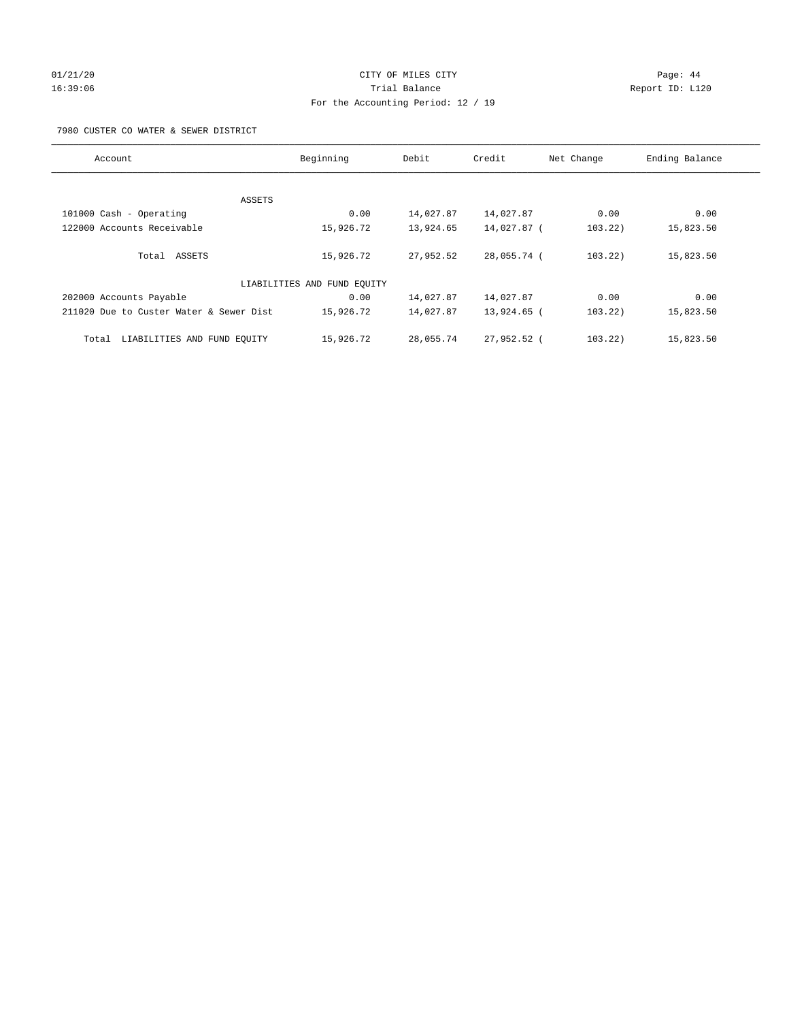# 01/21/20 Page: 44 16:39:06 Trial Balance Report ID: L120 For the Accounting Period: 12 / 19

7980 CUSTER CO WATER & SEWER DISTRICT

| Account                                 | Beginning                   | Debit     | Credit      | Net Change | Ending Balance |
|-----------------------------------------|-----------------------------|-----------|-------------|------------|----------------|
|                                         |                             |           |             |            |                |
| ASSETS                                  |                             |           |             |            |                |
| 101000 Cash - Operating                 | 0.00                        | 14,027.87 | 14,027.87   | 0.00       | 0.00           |
| 122000 Accounts Receivable              | 15,926.72                   | 13,924.65 | 14,027.87 ( | 103.22)    | 15,823.50      |
| Total ASSETS                            | 15,926.72                   | 27,952.52 | 28,055.74 ( | 103.22)    | 15,823.50      |
|                                         | LIABILITIES AND FUND EQUITY |           |             |            |                |
| 202000 Accounts Payable                 | 0.00                        | 14,027.87 | 14,027.87   | 0.00       | 0.00           |
| 211020 Due to Custer Water & Sewer Dist | 15,926.72                   | 14,027.87 | 13,924.65 ( | 103.22)    | 15,823.50      |
| LIABILITIES AND FUND EOUITY<br>Total    | 15,926.72                   | 28,055.74 | 27,952.52 ( | 103.22)    | 15,823.50      |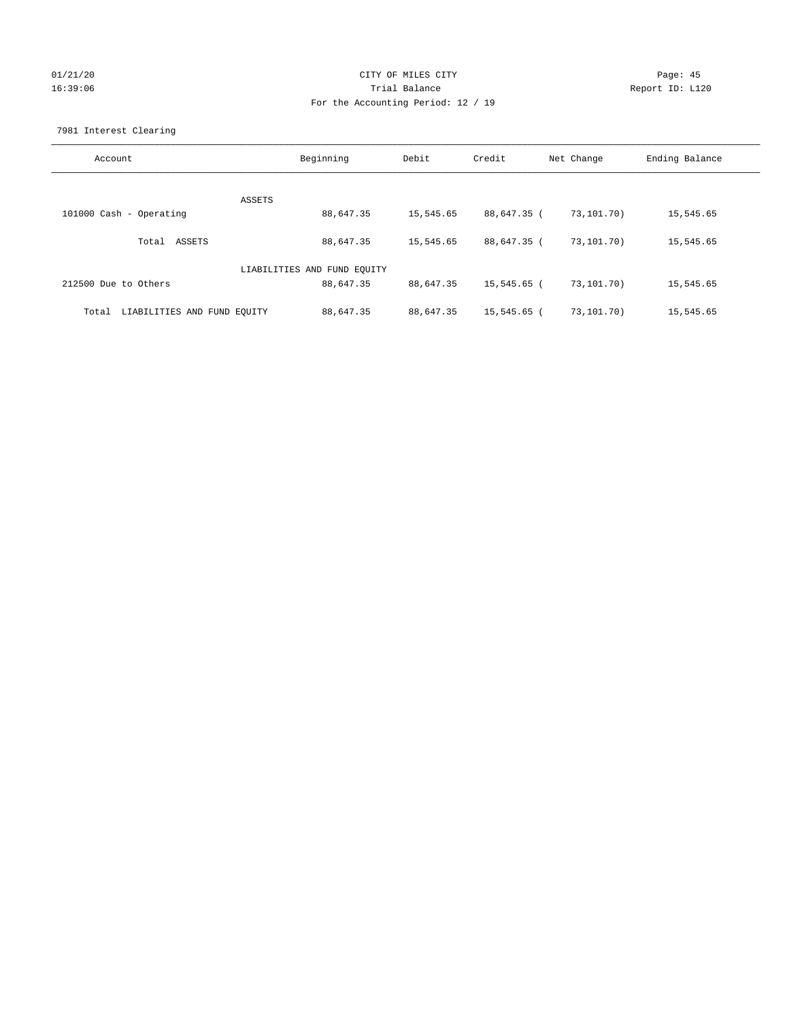## 01/21/20 Page: 45 16:39:06 Trial Balance Report ID: L120 For the Accounting Period: 12 / 19

7981 Interest Clearing

| Account                              | Beginning                   | Debit     | Credit      | Net Change | Ending Balance |
|--------------------------------------|-----------------------------|-----------|-------------|------------|----------------|
|                                      |                             |           |             |            |                |
|                                      | ASSETS                      |           |             |            |                |
| 101000 Cash - Operating              | 88,647.35                   | 15,545.65 | 88,647.35 ( | 73,101.70) | 15,545.65      |
|                                      |                             |           |             |            |                |
| Total ASSETS                         | 88,647.35                   | 15,545.65 | 88,647.35 ( | 73,101.70) | 15,545.65      |
|                                      |                             |           |             |            |                |
|                                      | LIABILITIES AND FUND EQUITY |           |             |            |                |
| 212500 Due to Others                 | 88,647.35                   | 88,647.35 | 15,545.65 ( | 73,101.70) | 15,545.65      |
|                                      |                             |           |             |            |                |
| LIABILITIES AND FUND EQUITY<br>Total | 88,647.35                   | 88,647.35 | 15,545.65 ( | 73,101.70) | 15,545.65      |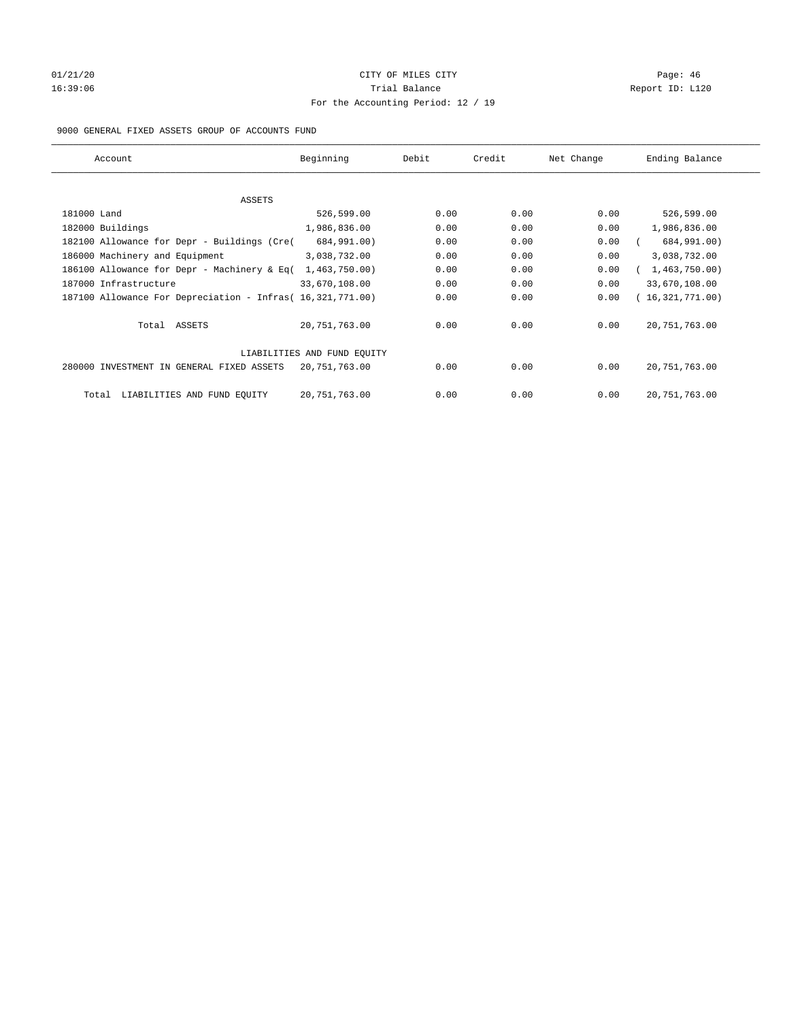# 01/21/20 Page: 46 16:39:06 Channel Report ID: L120 For the Accounting Period: 12 / 19

## 9000 GENERAL FIXED ASSETS GROUP OF ACCOUNTS FUND

| Account                                                    | Beginning                   | Debit | Credit | Net Change | Ending Balance  |
|------------------------------------------------------------|-----------------------------|-------|--------|------------|-----------------|
| ASSETS                                                     |                             |       |        |            |                 |
| 181000 Land                                                | 526,599.00                  | 0.00  | 0.00   | 0.00       | 526,599.00      |
| 182000 Buildings                                           | 1,986,836.00                | 0.00  | 0.00   | 0.00       | 1,986,836.00    |
| 182100 Allowance for Depr - Buildings (Cre(                | 684,991.00)                 | 0.00  | 0.00   | 0.00       | 684,991.00)     |
| 186000 Machinery and Equipment                             | 3,038,732.00                | 0.00  | 0.00   | 0.00       | 3,038,732.00    |
| 186100 Allowance for Depr - Machinery & Eq(                | 1,463,750.00)               | 0.00  | 0.00   | 0.00       | 1,463,750.00    |
| 187000 Infrastructure                                      | 33,670,108.00               | 0.00  | 0.00   | 0.00       | 33,670,108.00   |
| 187100 Allowance For Depreciation - Infras( 16,321,771.00) |                             | 0.00  | 0.00   | 0.00       | 16,321,771.00)  |
| Total ASSETS                                               | 20,751,763.00               | 0.00  | 0.00   | 0.00       | 20, 751, 763.00 |
|                                                            | LIABILITIES AND FUND EQUITY |       |        |            |                 |
| 280000 INVESTMENT IN GENERAL FIXED ASSETS                  | 20,751,763.00               | 0.00  | 0.00   | 0.00       | 20, 751, 763.00 |
| LIABILITIES AND FUND EQUITY<br>Total                       | 20, 751, 763.00             | 0.00  | 0.00   | 0.00       | 20, 751, 763.00 |